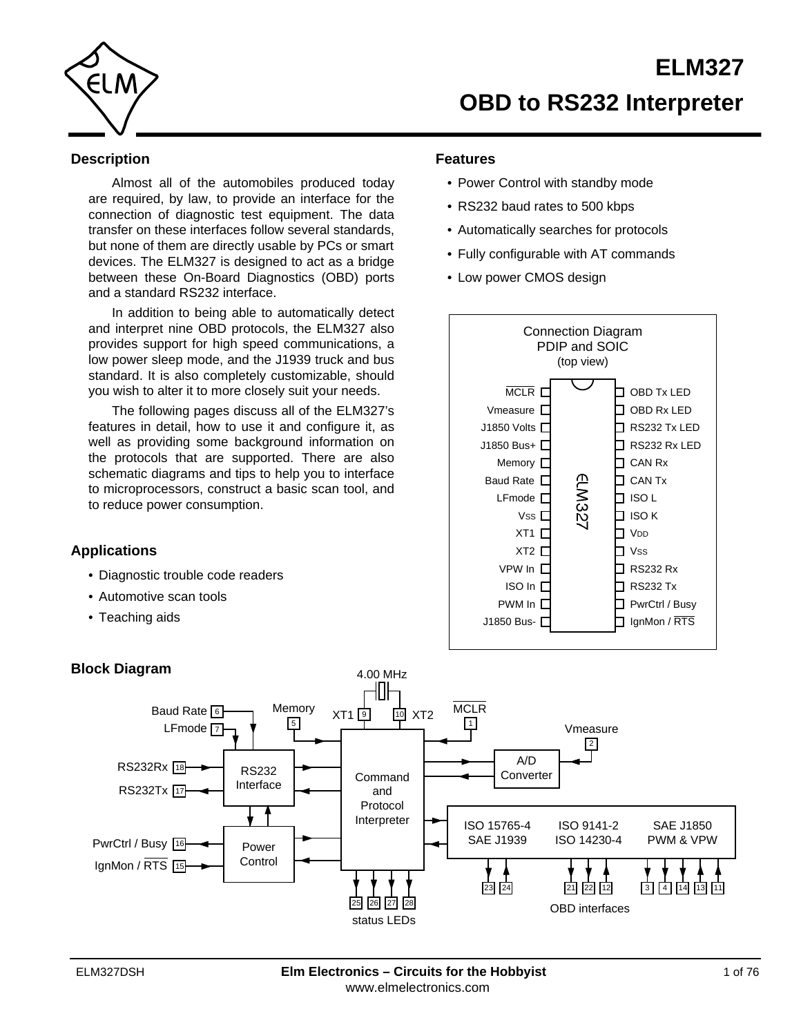

## **Description**

Almost all of the automobiles produced today are required, by law, to provide an interface for the connection of diagnostic test equipment. The data transfer on these interfaces follow several standards, but none of them are directly usable by PCs or smart devices. The ELM327 is designed to act as a bridge between these On-Board Diagnostics (OBD) ports and a standard RS232 interface.

In addition to being able to automatically detect and interpret nine OBD protocols, the ELM327 also provides support for high speed communications, a low power sleep mode, and the J1939 truck and bus standard. It is also completely customizable, should you wish to alter it to more closely suit your needs.

The following pages discuss all of the ELM327's features in detail, how to use it and configure it, as well as providing some background information on the protocols that are supported. There are also schematic diagrams and tips to help you to interface to microprocessors, construct a basic scan tool, and to reduce power consumption.

# **Applications**

- Diagnostic trouble code readers
- Automotive scan tools
- Teaching aids

# **Features**

- Power Control with standby mode
- RS232 baud rates to 500 kbps
- Automatically searches for protocols
- Fully configurable with AT commands
- Low power CMOS design



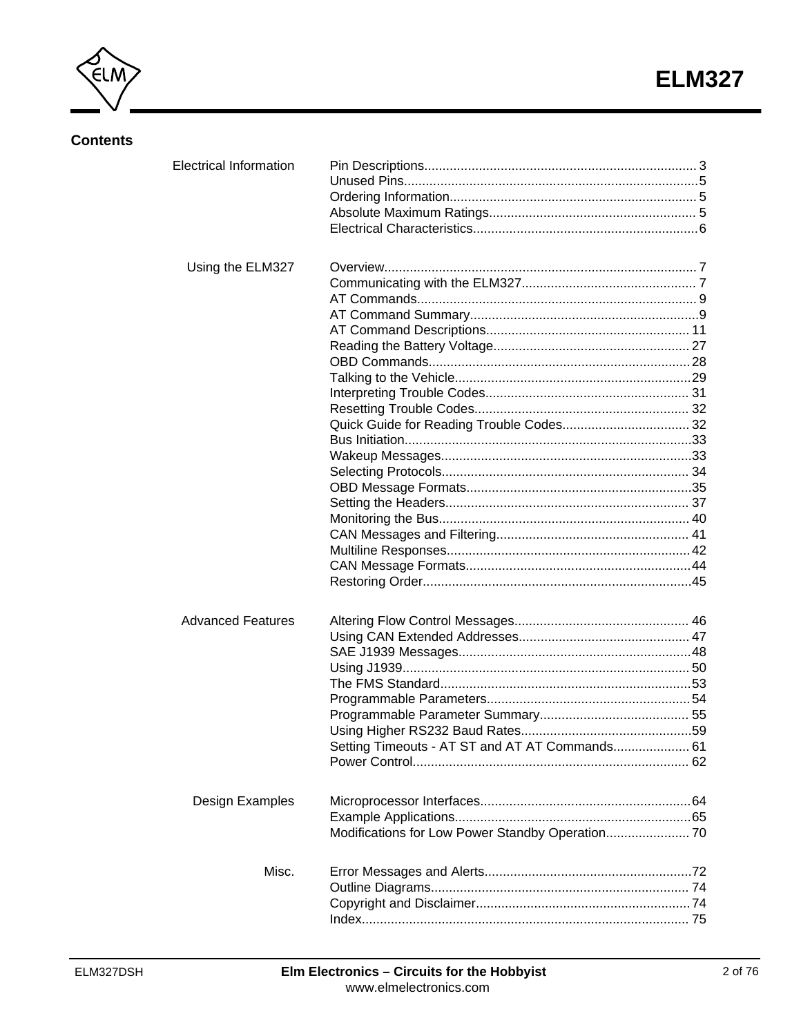

# **Contents**

| <b>Electrical Information</b> |                                                |  |
|-------------------------------|------------------------------------------------|--|
| Using the ELM327              |                                                |  |
| <b>Advanced Features</b>      | Setting Timeouts - AT ST and AT AT Commands 61 |  |
| Design Examples               |                                                |  |
| Misc.                         |                                                |  |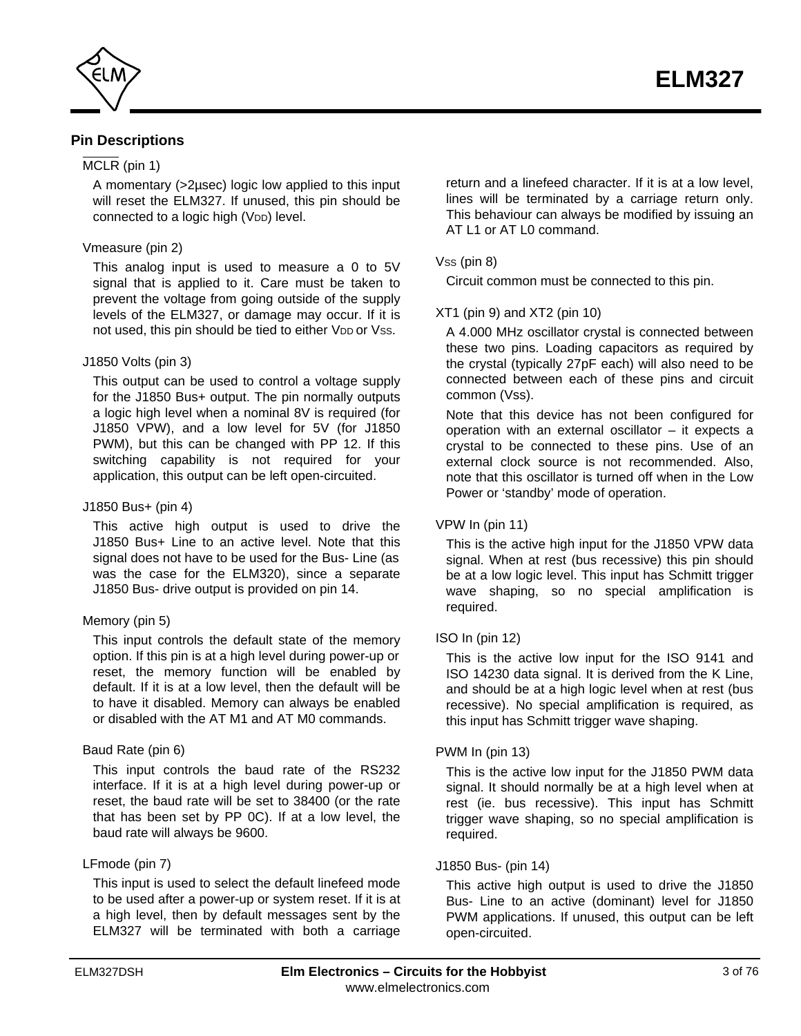<span id="page-2-0"></span>

## **Pin Descriptions**

## MCLR (pin 1)

A momentary (>2µsec) logic low applied to this input will reset the ELM327. If unused, this pin should be connected to a logic high (VDD) level.

### Vmeasure (pin 2)

This analog input is used to measure a 0 to 5V signal that is applied to it. Care must be taken to prevent the voltage from going outside of the supply levels of the ELM327, or damage may occur. If it is not used, this pin should be tied to either VDD or Vss.

### J1850 Volts (pin 3)

This output can be used to control a voltage supply for the J1850 Bus+ output. The pin normally outputs a logic high level when a nominal 8V is required (for J1850 VPW), and a low level for 5V (for J1850 PWM), but this can be changed with PP 12. If this switching capability is not required for your application, this output can be left open-circuited.

### J1850 Bus+ (pin 4)

This active high output is used to drive the J1850 Bus+ Line to an active level. Note that this signal does not have to be used for the Bus- Line (as was the case for the ELM320), since a separate J1850 Bus- drive output is provided on pin 14.

## Memory (pin 5)

This input controls the default state of the memory option. If this pin is at a high level during power-up or reset, the memory function will be enabled by default. If it is at a low level, then the default will be to have it disabled. Memory can always be enabled or disabled with the AT M1 and AT M0 commands.

## Baud Rate (pin 6)

This input controls the baud rate of the RS232 interface. If it is at a high level during power-up or reset, the baud rate will be set to 38400 (or the rate that has been set by PP 0C). If at a low level, the baud rate will always be 9600.

## LFmode (pin 7)

This input is used to select the default linefeed mode to be used after a power-up or system reset. If it is at a high level, then by default messages sent by the ELM327 will be terminated with both a carriage

return and a linefeed character. If it is at a low level, lines will be terminated by a carriage return only. This behaviour can always be modified by issuing an AT L1 or AT L0 command.

## $V$ ss (pin 8)

Circuit common must be connected to this pin.

## XT1 (pin 9) and XT2 (pin 10)

A 4.000 MHz oscillator crystal is connected between these two pins. Loading capacitors as required by the crystal (typically 27pF each) will also need to be connected between each of these pins and circuit common (Vss).

Note that this device has not been configured for operation with an external oscillator – it expects a crystal to be connected to these pins. Use of an external clock source is not recommended. Also, note that this oscillator is turned off when in the Low Power or 'standby' mode of operation.

## VPW In (pin 11)

This is the active high input for the J1850 VPW data signal. When at rest (bus recessive) this pin should be at a low logic level. This input has Schmitt trigger wave shaping, so no special amplification is required.

## ISO In (pin 12)

This is the active low input for the ISO 9141 and ISO 14230 data signal. It is derived from the K Line, and should be at a high logic level when at rest (bus recessive). No special amplification is required, as this input has Schmitt trigger wave shaping.

## PWM In (pin 13)

This is the active low input for the J1850 PWM data signal. It should normally be at a high level when at rest (ie. bus recessive). This input has Schmitt trigger wave shaping, so no special amplification is required.

## J1850 Bus- (pin 14)

This active high output is used to drive the J1850 Bus- Line to an active (dominant) level for J1850 PWM applications. If unused, this output can be left open-circuited.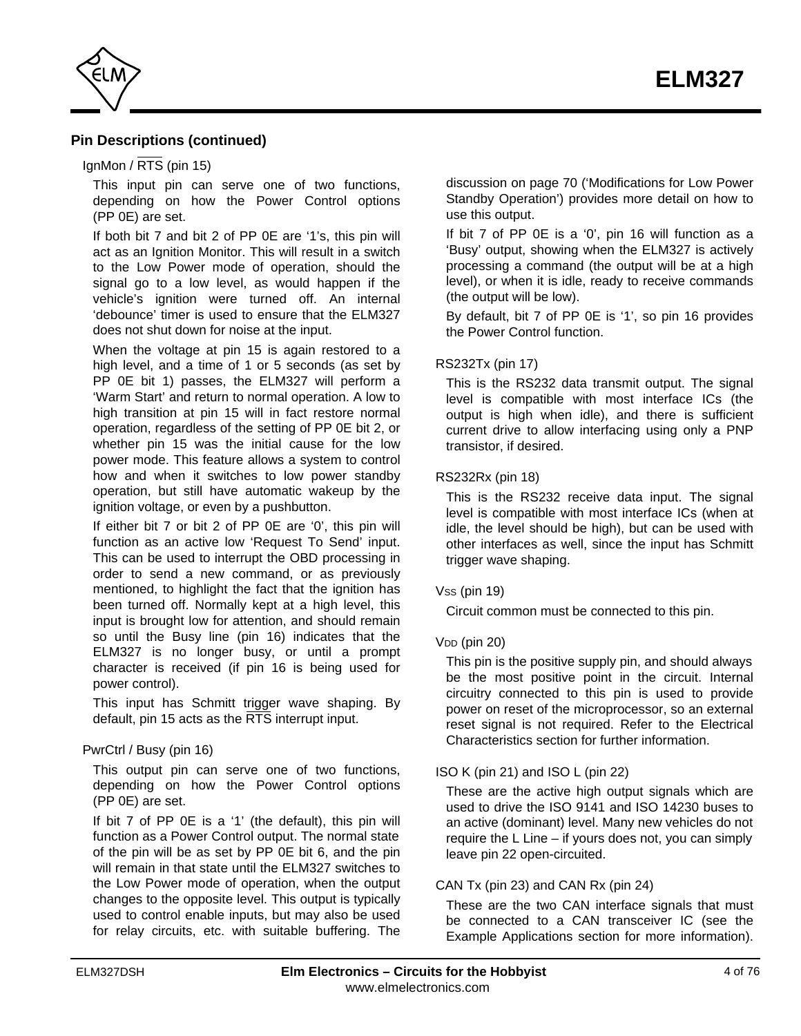

## **Pin Descriptions (continued)**

### IgnMon /  $\overline{\text{RTS}}$  (pin 15)

This input pin can serve one of two functions, depending on how the Power Control options (PP 0E) are set.

If both bit 7 and bit 2 of PP 0E are '1's, this pin will act as an Ignition Monitor. This will result in a switch to the Low Power mode of operation, should the signal go to a low level, as would happen if the vehicle's ignition were turned off. An internal 'debounce' timer is used to ensure that the ELM327 does not shut down for noise at the input.

When the voltage at pin 15 is again restored to a high level, and a time of 1 or 5 seconds (as set by PP 0E bit 1) passes, the ELM327 will perform a 'Warm Start' and return to normal operation. A low to high transition at pin 15 will in fact restore normal operation, regardless of the setting of PP 0E bit 2, or whether pin 15 was the initial cause for the low power mode. This feature allows a system to control how and when it switches to low power standby operation, but still have automatic wakeup by the ignition voltage, or even by a pushbutton.

If either bit 7 or bit 2 of PP 0E are '0', this pin will function as an active low 'Request To Send' input. This can be used to interrupt the OBD processing in order to send a new command, or as previously mentioned, to highlight the fact that the ignition has been turned off. Normally kept at a high level, this input is brought low for attention, and should remain so until the Busy line (pin 16) indicates that the ELM327 is no longer busy, or until a prompt character is received (if pin 16 is being used for power control).

This input has Schmitt trigger wave shaping. By default, pin 15 acts as the  $\overline{\text{RTS}}$  interrupt input.

### PwrCtrl / Busy (pin 16)

This output pin can serve one of two functions, depending on how the Power Control options (PP 0E) are set.

If bit 7 of PP 0E is a '1' (the default), this pin will function as a Power Control output. The normal state of the pin will be as set by PP 0E bit 6, and the pin will remain in that state until the ELM327 switches to the Low Power mode of operation, when the output changes to the opposite level. This output is typically used to control enable inputs, but may also be used for relay circuits, etc. with suitable buffering. The discussion on [page 70 \('Modifications for Low Power](#page-69-0) [Standby Operation'\)](#page-69-0) provides more detail on how to use this output.

If bit 7 of PP 0E is a '0', pin 16 will function as a 'Busy' output, showing when the ELM327 is actively processing a command (the output will be at a high level), or when it is idle, ready to receive commands (the output will be low).

By default, bit 7 of PP 0E is '1', so pin 16 provides the Power Control function.

### RS232Tx (pin 17)

This is the RS232 data transmit output. The signal level is compatible with most interface ICs (the output is high when idle), and there is sufficient current drive to allow interfacing using only a PNP transistor, if desired.

### RS232Rx (pin 18)

This is the RS232 receive data input. The signal level is compatible with most interface ICs (when at idle, the level should be high), but can be used with other interfaces as well, since the input has Schmitt trigger wave shaping.

### Vss (pin 19)

Circuit common must be connected to this pin.

### $V<sub>DD</sub>$  (pin 20)

This pin is the positive supply pin, and should always be the most positive point in the circuit. Internal circuitry connected to this pin is used to provide power on reset of the microprocessor, so an external reset signal is not required. Refer to [the Electrical](#page-5-0) [Characteristics section f](#page-5-0)or further information.

### ISO K (pin 21) and ISO L (pin 22)

These are the active high output signals which are used to drive the ISO 9141 and ISO 14230 buses to an active (dominant) level. Many new vehicles do not require the L Line – if yours does not, you can simply leave pin 22 open-circuited.

### CAN Tx (pin 23) and CAN Rx (pin 24)

These are the two CAN interface signals that must be connected to a CAN transceiver IC (see the [Example Applications section f](#page-64-0)or more information).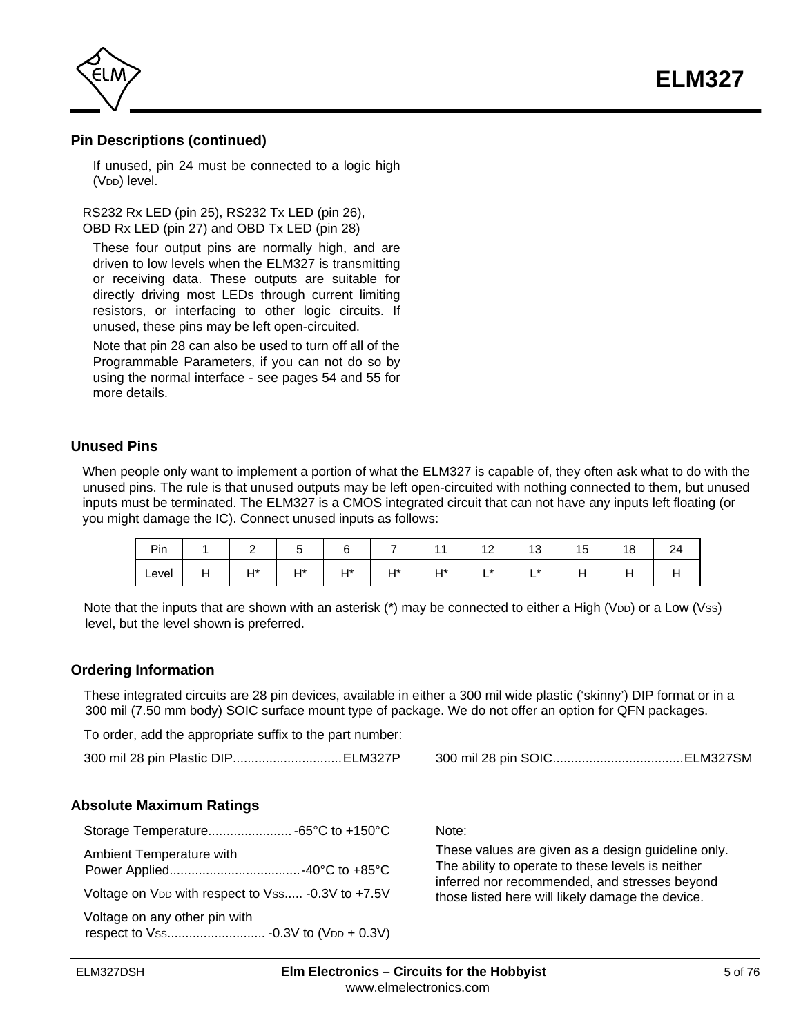**ELM327**

<span id="page-4-0"></span>

## **Pin Descriptions (continued)**

If unused, pin 24 must be connected to a logic high (V<sub>DD</sub>) level.

RS232 Rx LED (pin 25), RS232 Tx LED (pin 26), OBD Rx LED (pin 27) and OBD Tx LED (pin 28)

These four output pins are normally high, and are driven to low levels when the ELM327 is transmitting or receiving data. These outputs are suitable for directly driving most LEDs through current limiting resistors, or interfacing to other logic circuits. If unused, these pins may be left open-circuited.

Note that pin 28 can also be used to turn off all of the Programmable Parameters, if you can not do so by using the normal interface - [see pages 54 and 55 f](#page-53-0)or more details.

### **Unused Pins**

When people only want to implement a portion of what the ELM327 is capable of, they often ask what to do with the unused pins. The rule is that unused outputs may be left open-circuited with nothing connected to them, but unused inputs must be terminated. The ELM327 is a CMOS integrated circuit that can not have any inputs left floating (or you might damage the IC). Connect unused inputs as follows:

| Pin   | -          |              | ∽  |            |           | ہم<br>$\overline{\phantom{a}}$ | $\overline{ }$<br>ں ، | ∽<br>ں ، | $\sim$<br>18 | $\sim$<br>24 |
|-------|------------|--------------|----|------------|-----------|--------------------------------|-----------------------|----------|--------------|--------------|
| Level | ⊔*∟<br>. . | $H^*$<br>. . | ц* | LI*<br>. . | H*<br>. . | $\star$<br>-                   | *<br>-                |          |              |              |

Note that the inputs that are shown with an asterisk  $(*)$  may be connected to either a High (V<sub>DD</sub>) or a Low (Vss) level, but the level shown is preferred.

### **Ordering Information**

These integrated circuits are 28 pin devices, available in either a 300 mil wide plastic ('skinny') DIP format or in a 300 mil (7.50 mm body) SOIC surface mount type of package. We do not offer an option for QFN packages.

To order, add the appropriate suffix to the part number:

300 mil 28 pin Plastic DIP..............................ELM327P 300 mil 28 pin SOIC....................................ELM327SM

## **Absolute Maximum Ratings**

| Ambient Temperature with                                      |  |
|---------------------------------------------------------------|--|
| Voltage on V <sub>DD</sub> with respect to Vss -0.3V to +7.5V |  |
| Voltage on any other pin with                                 |  |

Note:

These values are given as a design guideline only. The ability to operate to these levels is neither inferred nor recommended, and stresses beyond those listed here will likely damage the device.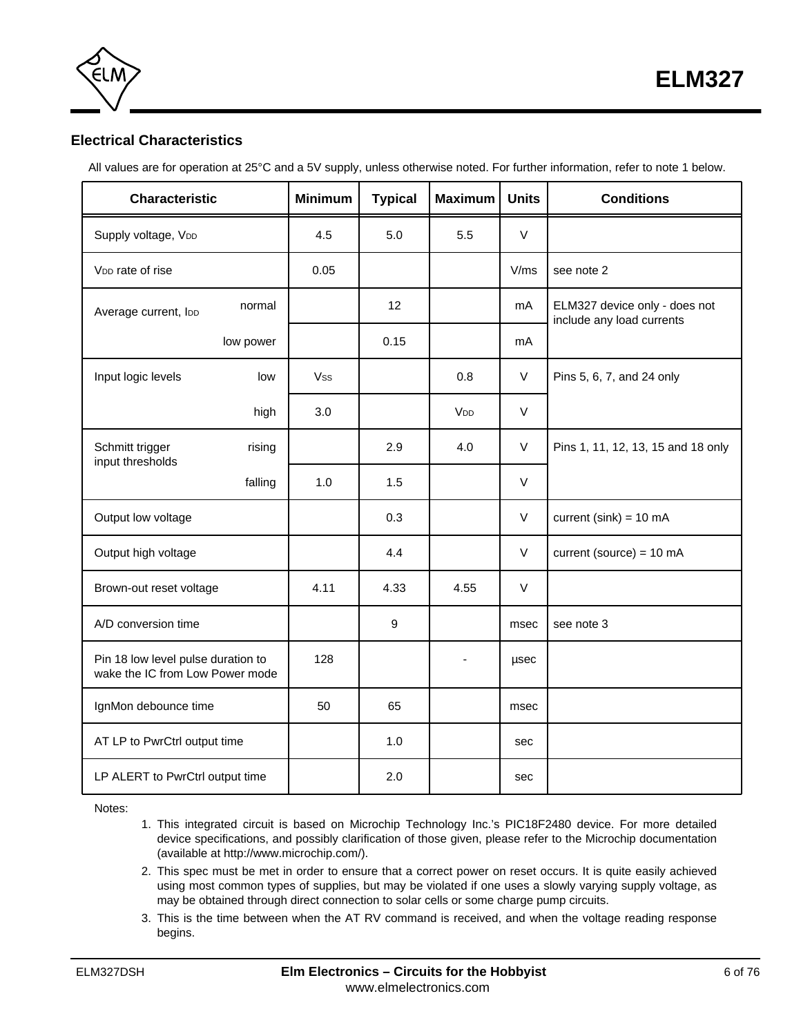

<span id="page-5-0"></span>

# **Electrical Characteristics**

All values are for operation at 25°C and a 5V supply, unless otherwise noted. For further information, refer to note 1 below.

| <b>Characteristic</b>                                                 |           | <b>Minimum</b> | <b>Typical</b> | <b>Maximum</b>        | <b>Units</b> | <b>Conditions</b>                                          |
|-----------------------------------------------------------------------|-----------|----------------|----------------|-----------------------|--------------|------------------------------------------------------------|
| Supply voltage, VDD                                                   |           | 4.5            | 5.0            | 5.5                   | $\vee$       |                                                            |
| V <sub>DD</sub> rate of rise                                          |           | 0.05           |                |                       | V/ms         | see note 2                                                 |
| Average current, loo                                                  | normal    |                | 12             |                       | mA           | ELM327 device only - does not<br>include any load currents |
|                                                                       | low power |                | 0.15           |                       | mA           |                                                            |
| Input logic levels                                                    | low       | <b>Vss</b>     |                | 0.8                   | V            | Pins 5, 6, 7, and 24 only                                  |
|                                                                       | high      | 3.0            |                | <b>V<sub>DD</sub></b> | $\vee$       |                                                            |
| Schmitt trigger<br>input thresholds                                   | rising    |                | 2.9            | 4.0                   | $\vee$       | Pins 1, 11, 12, 13, 15 and 18 only                         |
|                                                                       | falling   | 1.0            | 1.5            |                       | $\vee$       |                                                            |
| Output low voltage                                                    |           |                | 0.3            |                       | $\vee$       | current (sink) = $10 \text{ mA}$                           |
| Output high voltage                                                   |           |                | 4.4            |                       | $\vee$       | current (source) = $10 \text{ mA}$                         |
| Brown-out reset voltage                                               |           | 4.11           | 4.33           | 4.55                  | $\vee$       |                                                            |
| A/D conversion time                                                   |           |                | 9              |                       | msec         | see note 3                                                 |
| Pin 18 low level pulse duration to<br>wake the IC from Low Power mode |           | 128            |                |                       | usec         |                                                            |
| IgnMon debounce time                                                  |           | 50             | 65             |                       | msec         |                                                            |
| AT LP to PwrCtrl output time                                          |           |                | 1.0            |                       | sec          |                                                            |
| LP ALERT to PwrCtrl output time                                       |           |                | 2.0            |                       | sec          |                                                            |

Notes:

- 1. This integrated circuit is based on Microchip Technology Inc.'s PIC18F2480 device. For more detailed device specifications, and possibly clarification of those given, please refer to the Microchip documentation (available at http://www.microchip.com/).
- 2. This spec must be met in order to ensure that a correct power on reset occurs. It is quite easily achieved using most common types of supplies, but may be violated if one uses a slowly varying supply voltage, as may be obtained through direct connection to solar cells or some charge pump circuits.
- 3. This is the time between when the AT RV command is received, and when the voltage reading response begins.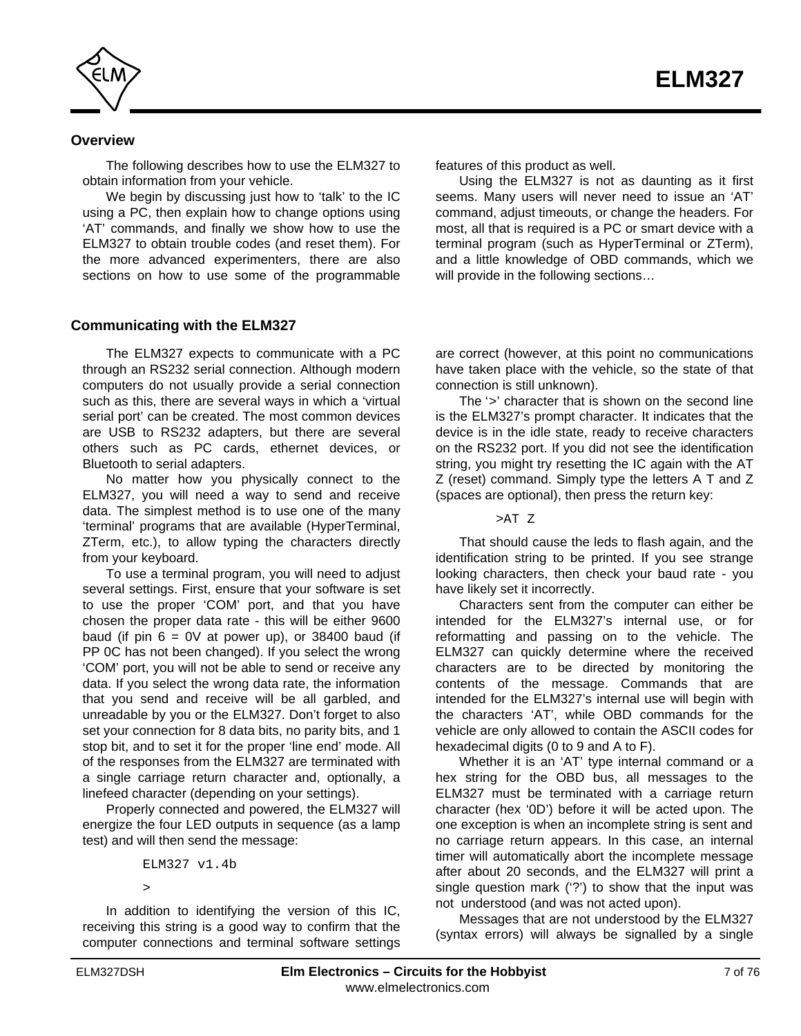<span id="page-6-0"></span>

## **Overview**

The following describes how to use the ELM327 to obtain information from your vehicle.

We begin by discussing just how to 'talk' to the IC using a PC, then explain how to change options using 'AT' commands, and finally we show how to use the ELM327 to obtain trouble codes (and reset them). For the more advanced experimenters, there are also sections on how to use some of the programmable

### **Communicating with the ELM327**

The ELM327 expects to communicate with a PC through an RS232 serial connection. Although modern computers do not usually provide a serial connection such as this, there are several ways in which a 'virtual serial port' can be created. The most common devices are USB to RS232 adapters, but there are several others such as PC cards, ethernet devices, or Bluetooth to serial adapters.

No matter how you physically connect to the ELM327, you will need a way to send and receive data. The simplest method is to use one of the many 'terminal' programs that are available (HyperTerminal, ZTerm, etc.), to allow typing the characters directly from your keyboard.

To use a terminal program, you will need to adjust several settings. First, ensure that your software is set to use the proper 'COM' port, and that you have chosen the proper data rate - this will be either 9600 baud (if pin  $6 = 0V$  at power up), or 38400 baud (if PP 0C has not been changed). If you select the wrong 'COM' port, you will not be able to send or receive any data. If you select the wrong data rate, the information that you send and receive will be all garbled, and unreadable by you or the ELM327. Don't forget to also set your connection for 8 data bits, no parity bits, and 1 stop bit, and to set it for the proper 'line end' mode. All of the responses from the ELM327 are terminated with a single carriage return character and, optionally, a linefeed character (depending on your settings).

Properly connected and powered, the ELM327 will energize the four LED outputs in sequence (as a lamp test) and will then send the message:

ELM327 v1.4b >

In addition to identifying the version of this IC, receiving this string is a good way to confirm that the computer connections and terminal software settings features of this product as well.

Using the ELM327 is not as daunting as it first seems. Many users will never need to issue an 'AT' command, adjust timeouts, or change the headers. For most, all that is required is a PC or smart device with a terminal program (such as HyperTerminal or ZTerm), and a little knowledge of OBD commands, which we will provide in the following sections…

are correct (however, at this point no communications have taken place with the vehicle, so the state of that connection is still unknown).

The '>' character that is shown on the second line is the ELM327's prompt character. It indicates that the device is in the idle state, ready to receive characters on the RS232 port. If you did not see the identification string, you might try resetting the IC again with the AT Z (reset) command. Simply type the letters A T and Z (spaces are optional), then press the return key:

>AT Z

That should cause the leds to flash again, and the identification string to be printed. If you see strange looking characters, then check your baud rate - you have likely set it incorrectly.

Characters sent from the computer can either be intended for the ELM327's internal use, or for reformatting and passing on to the vehicle. The ELM327 can quickly determine where the received characters are to be directed by monitoring the contents of the message. Commands that are intended for the ELM327's internal use will begin with the characters 'AT', while OBD commands for the vehicle are only allowed to contain the ASCII codes for hexadecimal digits (0 to 9 and A to F).

Whether it is an 'AT' type internal command or a hex string for the OBD bus, all messages to the ELM327 must be terminated with a carriage return character (hex '0D') before it will be acted upon. The one exception is when an incomplete string is sent and no carriage return appears. In this case, an internal timer will automatically abort the incomplete message after about 20 seconds, and the ELM327 will print a single question mark ('?') to show that the input was not understood (and was not acted upon).

Messages that are not understood by the ELM327 (syntax errors) will always be signalled by a single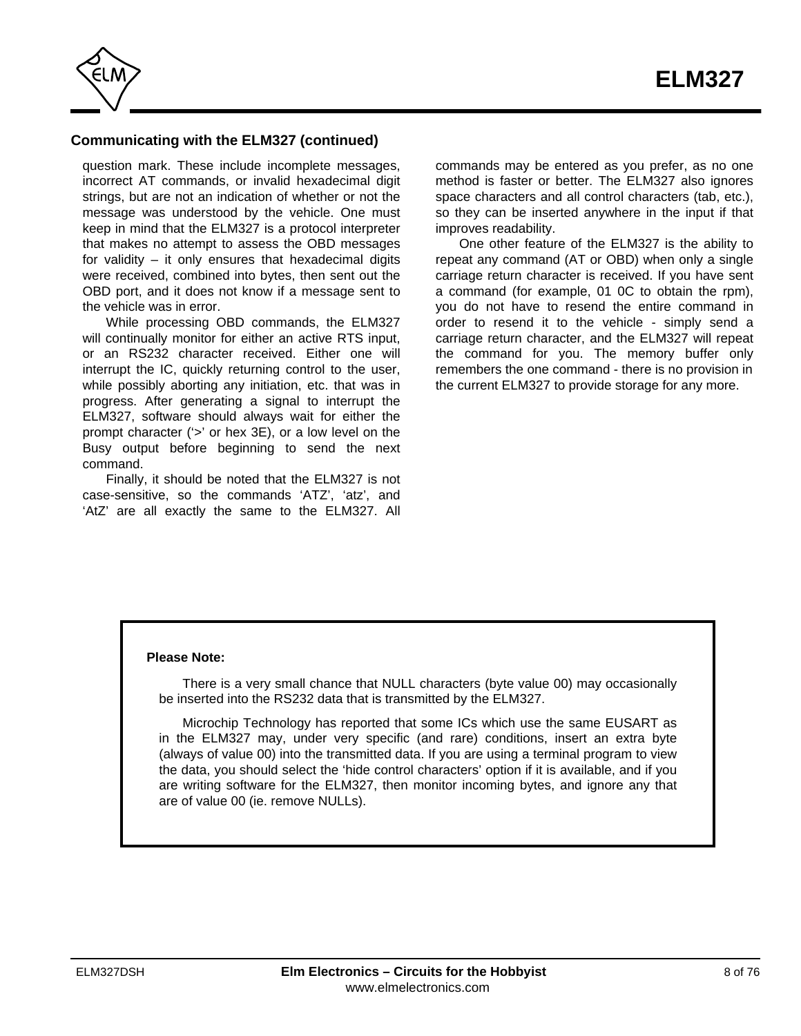

## **Communicating with the ELM327 (continued)**

question mark. These include incomplete messages, incorrect AT commands, or invalid hexadecimal digit strings, but are not an indication of whether or not the message was understood by the vehicle. One must keep in mind that the ELM327 is a protocol interpreter that makes no attempt to assess the OBD messages for validity – it only ensures that hexadecimal digits were received, combined into bytes, then sent out the OBD port, and it does not know if a message sent to the vehicle was in error.

While processing OBD commands, the ELM327 will continually monitor for either an active RTS input, or an RS232 character received. Either one will interrupt the IC, quickly returning control to the user, while possibly aborting any initiation, etc. that was in progress. After generating a signal to interrupt the ELM327, software should always wait for either the prompt character ('>' or hex 3E), or a low level on the Busy output before beginning to send the next command.

Finally, it should be noted that the ELM327 is not case-sensitive, so the commands 'ATZ', 'atz', and 'AtZ' are all exactly the same to the ELM327. All commands may be entered as you prefer, as no one method is faster or better. The ELM327 also ignores space characters and all control characters (tab, etc.), so they can be inserted anywhere in the input if that improves readability.

One other feature of the ELM327 is the ability to repeat any command (AT or OBD) when only a single carriage return character is received. If you have sent a command (for example, 01 0C to obtain the rpm), you do not have to resend the entire command in order to resend it to the vehicle - simply send a carriage return character, and the ELM327 will repeat the command for you. The memory buffer only remembers the one command - there is no provision in the current ELM327 to provide storage for any more.

### **Please Note:**

There is a very small chance that NULL characters (byte value 00) may occasionally be inserted into the RS232 data that is transmitted by the ELM327.

Microchip Technology has reported that some ICs which use the same EUSART as in the ELM327 may, under very specific (and rare) conditions, insert an extra byte (always of value 00) into the transmitted data. If you are using a terminal program to view the data, you should select the 'hide control characters' option if it is available, and if you are writing software for the ELM327, then monitor incoming bytes, and ignore any that are of value 00 (ie. remove NULLs).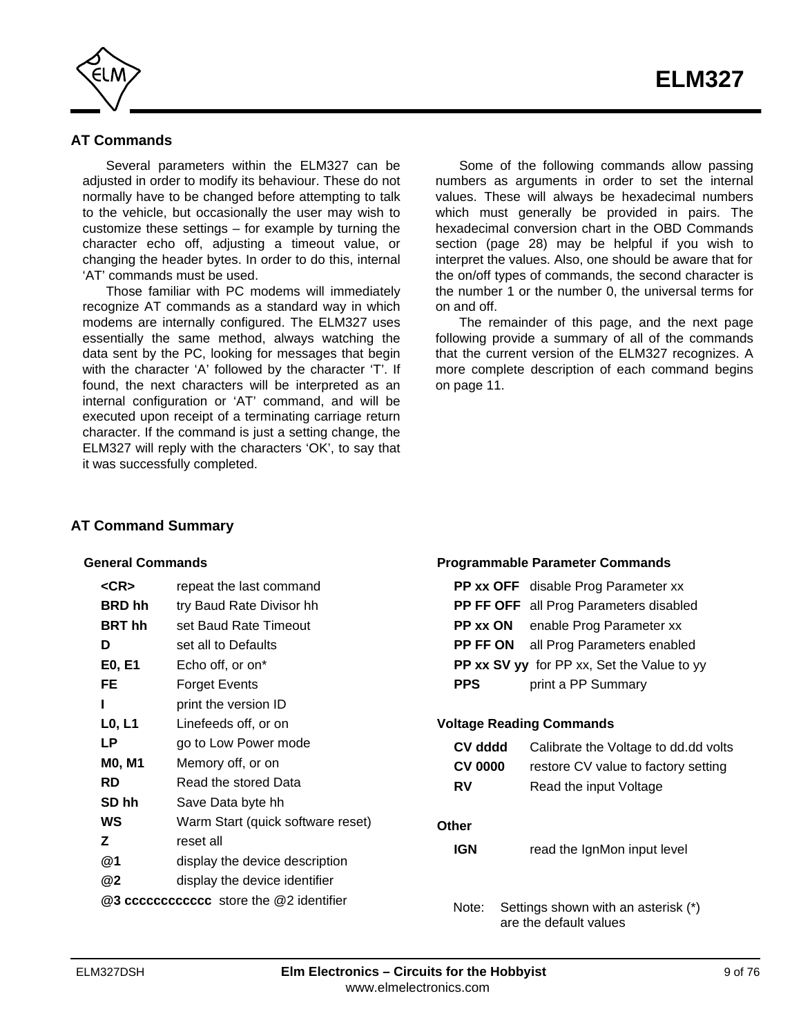<span id="page-8-0"></span>

# **AT Commands**

Several parameters within the ELM327 can be adjusted in order to modify its behaviour. These do not normally have to be changed before attempting to talk to the vehicle, but occasionally the user may wish to customize these settings – for example by turning the character echo off, adjusting a timeout value, or changing the header bytes. In order to do this, internal 'AT' commands must be used.

Those familiar with PC modems will immediately recognize AT commands as a standard way in which modems are internally configured. The ELM327 uses essentially the same method, always watching the data sent by the PC, looking for messages that begin with the character 'A' followed by the character 'T'. If found, the next characters will be interpreted as an internal configuration or 'AT' command, and will be executed upon receipt of a terminating carriage return character. If the command is just a setting change, the ELM327 will reply with the characters 'OK', to say that it was successfully completed.

Some of the following commands allow passing numbers as arguments in order to set the internal values. These will always be hexadecimal numbers which must generally be provided in pairs. The hexadecimal conversion chart i[n the OBD Commands](#page-27-0) [section \(page 28\)](#page-27-0) may be helpful if you wish to interpret the values. Also, one should be aware that for the on/off types of commands, the second character is the number 1 or the number 0, the universal terms for on and off.

The remainder of this page, and the next page following provide a summary of all of the commands that the current version of the ELM327 recognizes. A more complete description of each command begins [on page 11.](#page-10-0)

**Programmable Parameter Commands**

are the default values

## **AT Command Summary**

## **General Commands**

| $<$ CR $>$                      | repeat the last command                  |                | <b>PP xx OFF</b> disable Prog Parameter xx        |
|---------------------------------|------------------------------------------|----------------|---------------------------------------------------|
| <b>BRD</b> hh                   | try Baud Rate Divisor hh                 |                | PP FF OFF all Prog Parameters disabled            |
| <b>BRT</b> hh                   | set Baud Rate Timeout                    | PP xx ON       | enable Prog Parameter xx                          |
| D                               | set all to Defaults                      | PP FF ON       | all Prog Parameters enabled                       |
| E0, E1                          | Echo off, or on*                         |                | <b>PP xx SV yy</b> for PP xx, Set the Value to yy |
| FE                              | <b>Forget Events</b>                     | <b>PPS</b>     | print a PP Summary                                |
|                                 | print the version ID                     |                |                                                   |
| L <sub>0</sub> , L <sub>1</sub> | Linefeeds off, or on                     |                | <b>Voltage Reading Commands</b>                   |
| <b>LP</b>                       | go to Low Power mode                     | CV dddd        | Calibrate the Voltage to dd.dd volt               |
| <b>MO, M1</b>                   | Memory off, or on                        | <b>CV 0000</b> | restore CV value to factory setting               |
| <b>RD</b>                       | Read the stored Data                     | <b>RV</b>      | Read the input Voltage                            |
| SD hh                           | Save Data byte hh                        |                |                                                   |
| WS                              | Warm Start (quick software reset)        | <b>Other</b>   |                                                   |
| Z                               | reset all                                | <b>IGN</b>     | read the IgnMon input level                       |
| @1                              | display the device description           |                |                                                   |
| @2                              | display the device identifier            |                |                                                   |
|                                 | @3 ccccccccccccc store the @2 identifier | Note:          | Settings shown with an asterisk (*)               |

add dd volts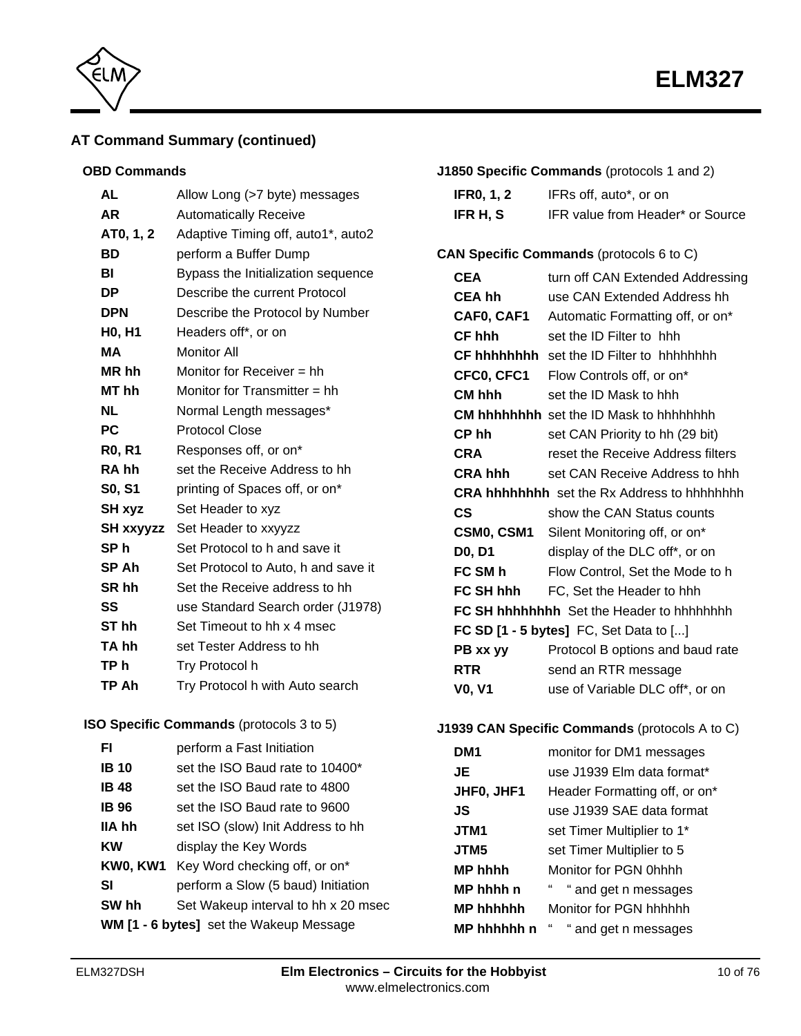



# **AT Command Summary (continued)**

## **OBD Commands**

| <b>AL</b>        | Allow Long (>7 byte) messages       |
|------------------|-------------------------------------|
| AR               | <b>Automatically Receive</b>        |
| AT0, 1, 2        | Adaptive Timing off, auto1*, auto2  |
| BD               | perform a Buffer Dump               |
| BI               | Bypass the Initialization sequence  |
| DΡ               | Describe the current Protocol       |
| <b>DPN</b>       | Describe the Protocol by Number     |
| H0, H1           | Headers off*, or on                 |
| MА               | <b>Monitor All</b>                  |
| MR hh            | Monitor for Receiver $=$ hh         |
| MT hh            | Monitor for Transmitter $=$ hh      |
| <b>NL</b>        | Normal Length messages*             |
| <b>PC</b>        | <b>Protocol Close</b>               |
|                  |                                     |
| <b>RO, R1</b>    | Responses off, or on*               |
| RA hh            | set the Receive Address to hh       |
| S0, S1           | printing of Spaces off, or on*      |
| SH xyz           | Set Header to xyz                   |
| <b>SH xxyyzz</b> | Set Header to xxyyzz                |
| SP h             | Set Protocol to h and save it       |
| SP Ah            | Set Protocol to Auto, h and save it |
| SR hh            | Set the Receive address to hh       |
| SS               | use Standard Search order (J1978)   |
| ST <sub>hh</sub> | Set Timeout to hh x 4 msec          |
| TA hh            | set Tester Address to hh            |
| TP h             | Try Protocol h                      |

## **ISO Specific Commands** (protocols 3 to 5)

| FI.                                     | perform a Fast Initiation           |  |  |
|-----------------------------------------|-------------------------------------|--|--|
| <b>IB</b> 10                            | set the ISO Baud rate to 10400*     |  |  |
| <b>IB 48</b>                            | set the ISO Baud rate to 4800       |  |  |
| <b>IB 96</b>                            | set the ISO Baud rate to 9600       |  |  |
| IIA hh                                  | set ISO (slow) Init Address to hh   |  |  |
| KW                                      | display the Key Words               |  |  |
| KW0, KW1                                | Key Word checking off, or on*       |  |  |
| SI                                      | perform a Slow (5 baud) Initiation  |  |  |
| SW hh                                   | Set Wakeup interval to hh x 20 msec |  |  |
| WM [1 - 6 bytes] set the Wakeup Message |                                     |  |  |

|  | J1850 Specific Commands (protocols 1 and 2) |  |
|--|---------------------------------------------|--|
|  |                                             |  |

| <b>IFR0, 1, 2</b> | IFRs off, auto*, or on           |
|-------------------|----------------------------------|
| IFR H, S          | IFR value from Header* or Source |

# **CAN Specific Commands** (protocols 6 to C)

| <b>CEA</b>    | turn off CAN Extended Addressing                   |  |  |
|---------------|----------------------------------------------------|--|--|
| CEA hh        | use CAN Extended Address hh                        |  |  |
| CAF0, CAF1    | Automatic Formatting off, or on*                   |  |  |
| CF hhh        | set the ID Filter to hhh                           |  |  |
|               | <b>CF hhhhhhhh</b> set the ID Filter to hhhhhhhh   |  |  |
| CFC0, CFC1    | Flow Controls off, or on*                          |  |  |
| CM hhh        | set the ID Mask to hhh                             |  |  |
|               | <b>CM hhhhhhhh</b> set the ID Mask to hhhhhhhh     |  |  |
| CP hh         | set CAN Priority to hh (29 bit)                    |  |  |
| <b>CRA</b>    | reset the Receive Address filters                  |  |  |
| CRA hhh       | set CAN Receive Address to hhh                     |  |  |
|               | <b>CRA hhhhhhhh</b> set the Rx Address to hhhhhhhh |  |  |
| CS            | show the CAN Status counts                         |  |  |
|               | <b>CSM0, CSM1</b> Silent Monitoring off, or on*    |  |  |
| D0, D1        | display of the DLC off*, or on                     |  |  |
| FC SM h       | Flow Control, Set the Mode to h                    |  |  |
|               | <b>FC SH hhh</b> FC, Set the Header to hhh         |  |  |
|               | <b>FC SH hhhhhhhh</b> Set the Header to hhhhhhhh   |  |  |
|               | FC SD $[1 - 5$ bytes] FC, Set Data to $[]$         |  |  |
| PB xx yy      | Protocol B options and baud rate                   |  |  |
| <b>RTR</b>    | send an RTR message                                |  |  |
| <b>VO, V1</b> | use of Variable DLC off*, or on                    |  |  |

# **J1939 CAN Specific Commands** (protocols A to C)

| DM <sub>1</sub>  | monitor for DM1 messages      |  |  |
|------------------|-------------------------------|--|--|
| JE               | use J1939 Elm data format*    |  |  |
| JHF0, JHF1       | Header Formatting off, or on* |  |  |
| JS               | use J1939 SAE data format     |  |  |
| JTM1             | set Timer Multiplier to 1*    |  |  |
| JTM5             | set Timer Multiplier to 5     |  |  |
| <b>MP hhhh</b>   | Monitor for PGN 0hhhh         |  |  |
| MP hhhh n        | " and get n messages          |  |  |
| <b>MP hhhhhh</b> | Monitor for PGN hhhhhh        |  |  |
| MP hhhhhh n      | " and get n messages          |  |  |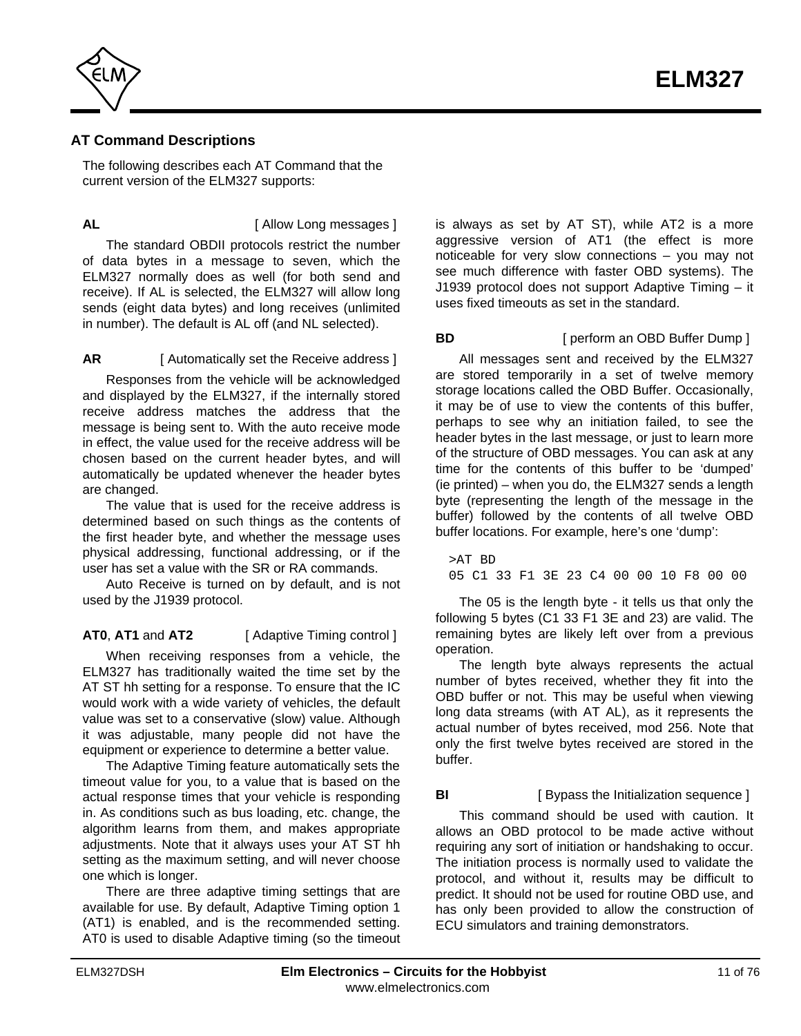<span id="page-10-0"></span>

# **AT Command Descriptions**

The following describes each AT Command that the current version of the ELM327 supports:

**AL AL I** Allow Long messages 1

The standard OBDII protocols restrict the number of data bytes in a message to seven, which the ELM327 normally does as well (for both send and receive). If AL is selected, the ELM327 will allow long sends (eight data bytes) and long receives (unlimited in number). The default is AL off (and NL selected).

## **AR** [ Automatically set the Receive address ]

Responses from the vehicle will be acknowledged and displayed by the ELM327, if the internally stored receive address matches the address that the message is being sent to. With the auto receive mode in effect, the value used for the receive address will be chosen based on the current header bytes, and will automatically be updated whenever the header bytes are changed.

The value that is used for the receive address is determined based on such things as the contents of the first header byte, and whether the message uses physical addressing, functional addressing, or if the user has set a value with the SR or RA commands.

Auto Receive is turned on by default, and is not used by the J1939 protocol.

**AT0**, **AT1** and **AT2** [ Adaptive Timing control ]

When receiving responses from a vehicle, the ELM327 has traditionally waited the time set by the AT ST hh setting for a response. To ensure that the IC would work with a wide variety of vehicles, the default value was set to a conservative (slow) value. Although it was adjustable, many people did not have the equipment or experience to determine a better value.

The Adaptive Timing feature automatically sets the timeout value for you, to a value that is based on the actual response times that your vehicle is responding in. As conditions such as bus loading, etc. change, the algorithm learns from them, and makes appropriate adjustments. Note that it always uses your AT ST hh setting as the maximum setting, and will never choose one which is longer.

There are three adaptive timing settings that are available for use. By default, Adaptive Timing option 1 (AT1) is enabled, and is the recommended setting. AT0 is used to disable Adaptive timing (so the timeout is always as set by AT ST), while AT2 is a more aggressive version of AT1 (the effect is more noticeable for very slow connections – you may not see much difference with faster OBD systems). The J1939 protocol does not support Adaptive Timing – it uses fixed timeouts as set in the standard.

## **BD** [ perform an OBD Buffer Dump ]

All messages sent and received by the ELM327 are stored temporarily in a set of twelve memory storage locations called the OBD Buffer. Occasionally, it may be of use to view the contents of this buffer, perhaps to see why an initiation failed, to see the header bytes in the last message, or just to learn more of the structure of OBD messages. You can ask at any time for the contents of this buffer to be 'dumped' (ie printed) – when you do, the ELM327 sends a length byte (representing the length of the message in the buffer) followed by the contents of all twelve OBD buffer locations. For example, here's one 'dump':

>AT BD 05 C1 33 F1 3E 23 C4 00 00 10 F8 00 00

The 05 is the length byte - it tells us that only the following 5 bytes (C1 33 F1 3E and 23) are valid. The remaining bytes are likely left over from a previous operation.

The length byte always represents the actual number of bytes received, whether they fit into the OBD buffer or not. This may be useful when viewing long data streams (with AT AL), as it represents the actual number of bytes received, mod 256. Note that only the first twelve bytes received are stored in the buffer.

## **BI** [ Bypass the Initialization sequence ]

This command should be used with caution. It allows an OBD protocol to be made active without requiring any sort of initiation or handshaking to occur. The initiation process is normally used to validate the protocol, and without it, results may be difficult to predict. It should not be used for routine OBD use, and has only been provided to allow the construction of ECU simulators and training demonstrators.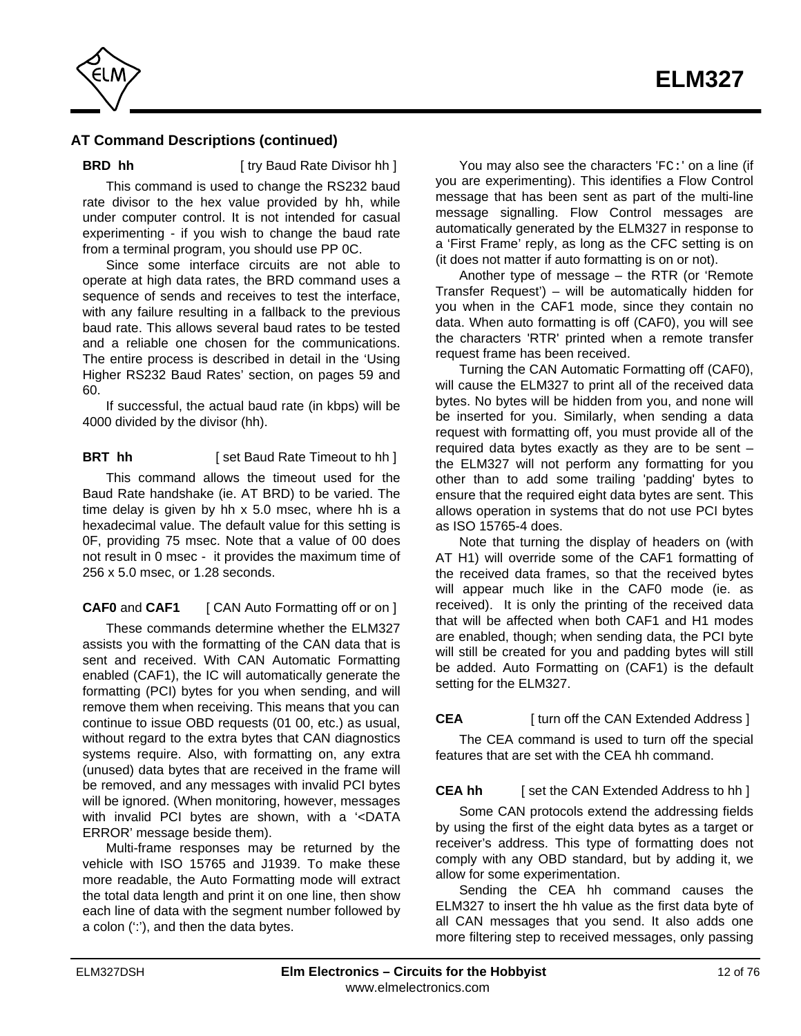

**BRD hh** [ try Baud Rate Divisor hh ]

This command is used to change the RS232 baud rate divisor to the hex value provided by hh, while under computer control. It is not intended for casual experimenting - if you wish to change the baud rate from a terminal program, you should use PP 0C.

Since some interface circuits are not able to operate at high data rates, the BRD command uses a sequence of sends and receives to test the interface, with any failure resulting in a fallback to the previous baud rate. This allows several baud rates to be tested and a reliable one chosen for the communications. The entire process is described in detail in [the 'Using](#page-58-0) [Higher RS232 Baud Rates' section, on pages 59 and](#page-58-0) [60.](#page-59-0)

If successful, the actual baud rate (in kbps) will be 4000 divided by the divisor (hh).

**BRT** hh [ set Baud Rate Timeout to hh ]

This command allows the timeout used for the Baud Rate handshake (ie. AT BRD) to be varied. The time delay is given by hh x 5.0 msec, where hh is a hexadecimal value. The default value for this setting is 0F, providing 75 msec. Note that a value of 00 does not result in 0 msec - it provides the maximum time of 256 x 5.0 msec, or 1.28 seconds.

**CAF0** and **CAF1** [ CAN Auto Formatting off or on ]

These commands determine whether the ELM327 assists you with the formatting of the CAN data that is sent and received. With CAN Automatic Formatting enabled (CAF1), the IC will automatically generate the formatting (PCI) bytes for you when sending, and will remove them when receiving. This means that you can continue to issue OBD requests (01 00, etc.) as usual, without regard to the extra bytes that CAN diagnostics systems require. Also, with formatting on, any extra (unused) data bytes that are received in the frame will be removed, and any messages with invalid PCI bytes will be ignored. (When monitoring, however, messages with invalid PCI bytes are shown, with a '<DATA ERROR' message beside them).

Multi-frame responses may be returned by the vehicle with ISO 15765 and J1939. To make these more readable, the Auto Formatting mode will extract the total data length and print it on one line, then show each line of data with the segment number followed by a colon (':'), and then the data bytes.

You may also see the characters 'FC:' on a line (if you are experimenting). This identifies a Flow Control message that has been sent as part of the multi-line message signalling. Flow Control messages are automatically generated by the ELM327 in response to a 'First Frame' reply, as long as the CFC setting is on (it does not matter if auto formatting is on or not).

Another type of message – the RTR (or 'Remote Transfer Request') – will be automatically hidden for you when in the CAF1 mode, since they contain no data. When auto formatting is off (CAF0), you will see the characters 'RTR' printed when a remote transfer request frame has been received.

Turning the CAN Automatic Formatting off (CAF0), will cause the ELM327 to print all of the received data bytes. No bytes will be hidden from you, and none will be inserted for you. Similarly, when sending a data request with formatting off, you must provide all of the required data bytes exactly as they are to be sent – the ELM327 will not perform any formatting for you other than to add some trailing 'padding' bytes to ensure that the required eight data bytes are sent. This allows operation in systems that do not use PCI bytes as ISO 15765-4 does.

Note that turning the display of headers on (with AT H1) will override some of the CAF1 formatting of the received data frames, so that the received bytes will appear much like in the CAF0 mode (ie. as received). It is only the printing of the received data that will be affected when both CAF1 and H1 modes are enabled, though; when sending data, the PCI byte will still be created for you and padding bytes will still be added. Auto Formatting on (CAF1) is the default setting for the ELM327.

# **CEA** [ turn off the CAN Extended Address ]

The CEA command is used to turn off the special features that are set with the CEA hh command.

## **CEA hh** [ set the CAN Extended Address to hh ]

Some CAN protocols extend the addressing fields by using the first of the eight data bytes as a target or receiver's address. This type of formatting does not comply with any OBD standard, but by adding it, we allow for some experimentation.

Sending the CEA hh command causes the ELM327 to insert the hh value as the first data byte of all CAN messages that you send. It also adds one more filtering step to received messages, only passing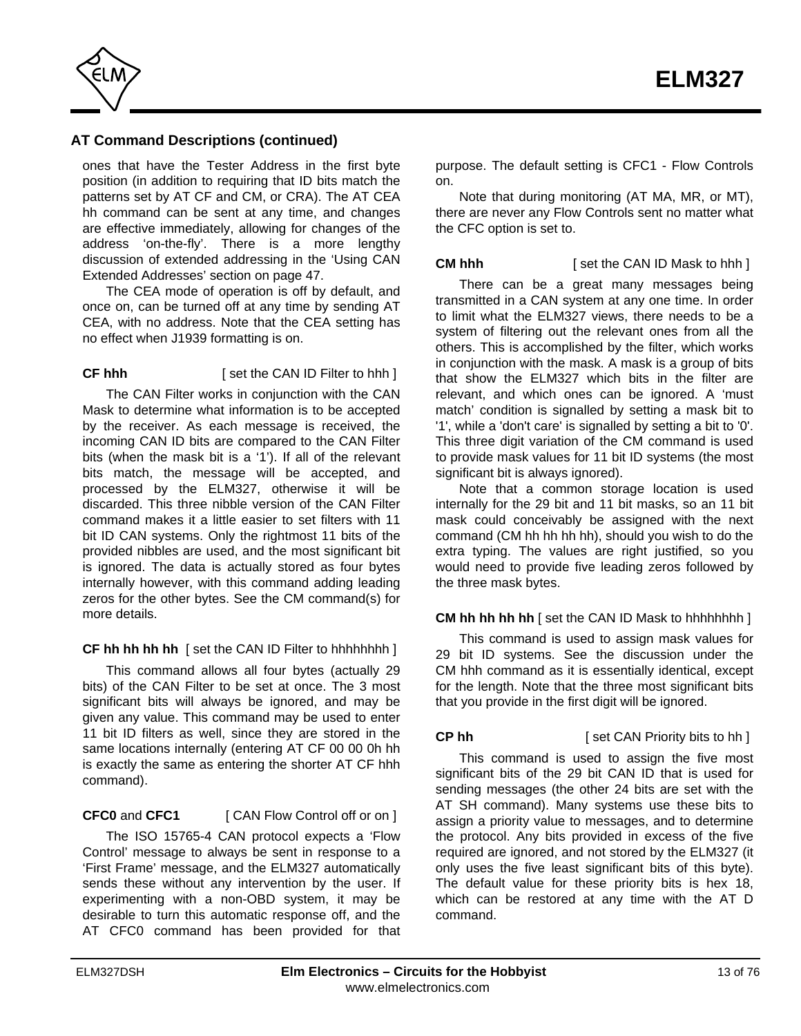

ones that have the Tester Address in the first byte position (in addition to requiring that ID bits match the patterns set by AT CF and CM, or CRA). The AT CEA hh command can be sent at any time, and changes are effective immediately, allowing for changes of the address 'on-the-fly'. There is a more lengthy discussion of extended addressing in th[e 'Using CAN](#page-46-0) [Extended Addresses' section on page 47.](#page-46-0)

The CEA mode of operation is off by default, and once on, can be turned off at any time by sending AT CEA, with no address. Note that the CEA setting has no effect when J1939 formatting is on.

## **CF hhh** [ set the CAN ID Filter to hhh ]

The CAN Filter works in conjunction with the CAN Mask to determine what information is to be accepted by the receiver. As each message is received, the incoming CAN ID bits are compared to the CAN Filter bits (when the mask bit is a '1'). If all of the relevant bits match, the message will be accepted, and processed by the ELM327, otherwise it will be discarded. This three nibble version of the CAN Filter command makes it a little easier to set filters with 11 bit ID CAN systems. Only the rightmost 11 bits of the provided nibbles are used, and the most significant bit is ignored. The data is actually stored as four bytes internally however, with this command adding leading zeros for the other bytes. See the CM command(s) for more details.

## **CF hh hh hh hh** [ set the CAN ID Filter to hhhhhhhh ]

This command allows all four bytes (actually 29 bits) of the CAN Filter to be set at once. The 3 most significant bits will always be ignored, and may be given any value. This command may be used to enter 11 bit ID filters as well, since they are stored in the same locations internally (entering AT CF 00 00 0h hh is exactly the same as entering the shorter AT CF hhh command).

## **CFC0** and **CFC1** [ CAN Flow Control off or on ]

The ISO 15765-4 CAN protocol expects a 'Flow Control' message to always be sent in response to a 'First Frame' message, and the ELM327 automatically sends these without any intervention by the user. If experimenting with a non-OBD system, it may be desirable to turn this automatic response off, and the AT CFC0 command has been provided for that purpose. The default setting is CFC1 - Flow Controls on.

Note that during monitoring (AT MA, MR, or MT), there are never any Flow Controls sent no matter what the CFC option is set to.

## **CM hhh** [ set the CAN ID Mask to hhh ]

There can be a great many messages being transmitted in a CAN system at any one time. In order to limit what the ELM327 views, there needs to be a system of filtering out the relevant ones from all the others. This is accomplished by the filter, which works in conjunction with the mask. A mask is a group of bits that show the ELM327 which bits in the filter are relevant, and which ones can be ignored. A 'must match' condition is signalled by setting a mask bit to '1', while a 'don't care' is signalled by setting a bit to '0'. This three digit variation of the CM command is used to provide mask values for 11 bit ID systems (the most significant bit is always ignored).

Note that a common storage location is used internally for the 29 bit and 11 bit masks, so an 11 bit mask could conceivably be assigned with the next command (CM hh hh hh hh), should you wish to do the extra typing. The values are right justified, so you would need to provide five leading zeros followed by the three mask bytes.

## **CM hh hh hh hh** [ set the CAN ID Mask to hhhhhhhh ]

This command is used to assign mask values for 29 bit ID systems. See the discussion under the CM hhh command as it is essentially identical, except for the length. Note that the three most significant bits that you provide in the first digit will be ignored.

**CP hh** [ set CAN Priority bits to hh ]

This command is used to assign the five most significant bits of the 29 bit CAN ID that is used for sending messages (the other 24 bits are set with the AT SH command). Many systems use these bits to assign a priority value to messages, and to determine the protocol. Any bits provided in excess of the five required are ignored, and not stored by the ELM327 (it only uses the five least significant bits of this byte). The default value for these priority bits is hex 18, which can be restored at any time with the AT D command.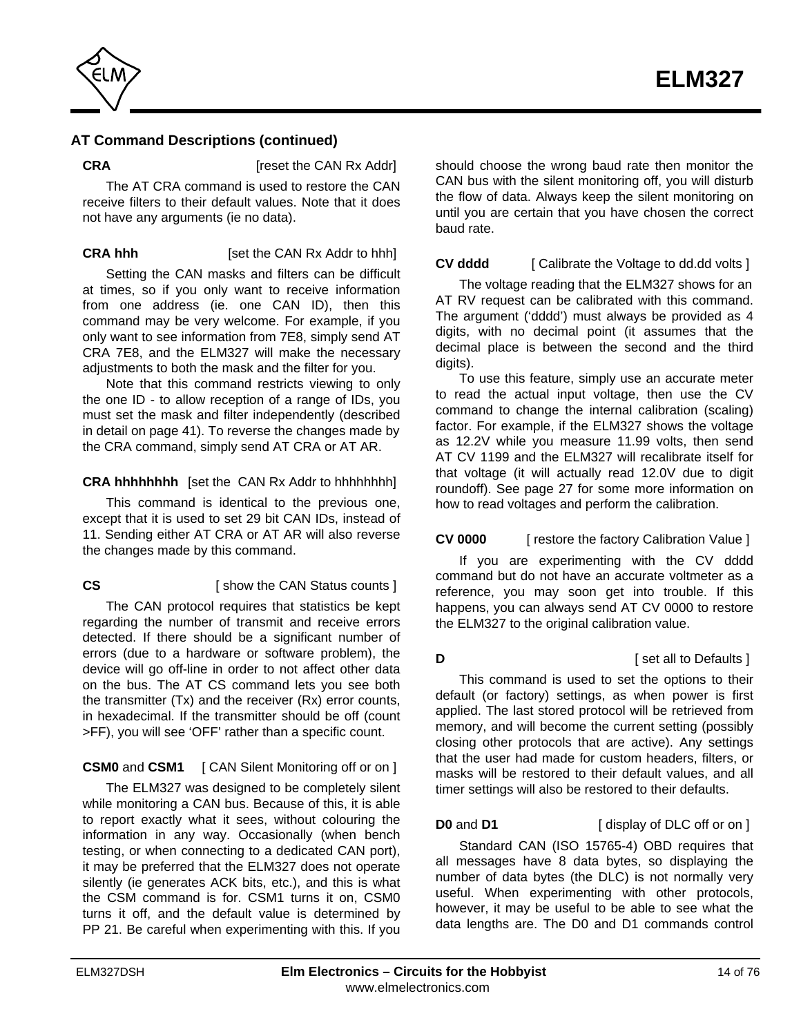

**CRA** [reset the CAN Rx Addr]

The AT CRA command is used to restore the CAN receive filters to their default values. Note that it does not have any arguments (ie no data).

## **CRA hhh** [set the CAN Rx Addr to hhh]

Setting the CAN masks and filters can be difficult at times, so if you only want to receive information from one address (ie. one CAN ID), then this command may be very welcome. For example, if you only want to see information from 7E8, simply send AT CRA 7E8, and the ELM327 will make the necessary adjustments to both the mask and the filter for you.

Note that this command restricts viewing to only the one ID - to allow reception of a range of IDs, you must set the mask and filter independently (described in [detail on page 41\).](#page-40-0) To reverse the changes made by the CRA command, simply send AT CRA or AT AR.

## **CRA hhhhhhhh** [set the CAN Rx Addr to hhhhhhhh]

This command is identical to the previous one, except that it is used to set 29 bit CAN IDs, instead of 11. Sending either AT CRA or AT AR will also reverse the changes made by this command.

## **CS** [ show the CAN Status counts ]

The CAN protocol requires that statistics be kept regarding the number of transmit and receive errors detected. If there should be a significant number of errors (due to a hardware or software problem), the device will go off-line in order to not affect other data on the bus. The AT CS command lets you see both the transmitter (Tx) and the receiver (Rx) error counts, in hexadecimal. If the transmitter should be off (count >FF), you will see 'OFF' rather than a specific count.

## **CSM0** and **CSM1** [ CAN Silent Monitoring off or on ]

The ELM327 was designed to be completely silent while monitoring a CAN bus. Because of this, it is able to report exactly what it sees, without colouring the information in any way. Occasionally (when bench testing, or when connecting to a dedicated CAN port), it may be preferred that the ELM327 does not operate silently (ie generates ACK bits, etc.), and this is what the CSM command is for. CSM1 turns it on, CSM0 turns it off, and the default value is determined by PP 21. Be careful when experimenting with this. If you should choose the wrong baud rate then monitor the CAN bus with the silent monitoring off, you will disturb the flow of data. Always keep the silent monitoring on until you are certain that you have chosen the correct baud rate.

## **CV dddd** [ Calibrate the Voltage to dd.dd volts ]

The voltage reading that the ELM327 shows for an AT RV request can be calibrated with this command. The argument ('dddd') must always be provided as 4 digits, with no decimal point (it assumes that the decimal place is between the second and the third digits).

To use this feature, simply use an accurate meter to read the actual input voltage, then use the CV command to change the internal calibration (scaling) factor. For example, if the ELM327 shows the voltage as 12.2V while you measure 11.99 volts, then send AT CV 1199 and the ELM327 will recalibrate itself for that voltage (it will actually read 12.0V due to digit roundoff)[. See page 27 f](#page-26-0)or some more information on how to read voltages and perform the calibration.

## **CV 0000** [ restore the factory Calibration Value ]

If you are experimenting with the CV dddd command but do not have an accurate voltmeter as a reference, you may soon get into trouble. If this happens, you can always send AT CV 0000 to restore the ELM327 to the original calibration value.

## **D D Example 1** [ set all to Defaults ]

This command is used to set the options to their default (or factory) settings, as when power is first applied. The last stored protocol will be retrieved from memory, and will become the current setting (possibly closing other protocols that are active). Any settings that the user had made for custom headers, filters, or masks will be restored to their default values, and all timer settings will also be restored to their defaults.

**D0** and **D1** [ display of DLC off or on ]

Standard CAN (ISO 15765-4) OBD requires that all messages have 8 data bytes, so displaying the number of data bytes (the DLC) is not normally very useful. When experimenting with other protocols, however, it may be useful to be able to see what the data lengths are. The D0 and D1 commands control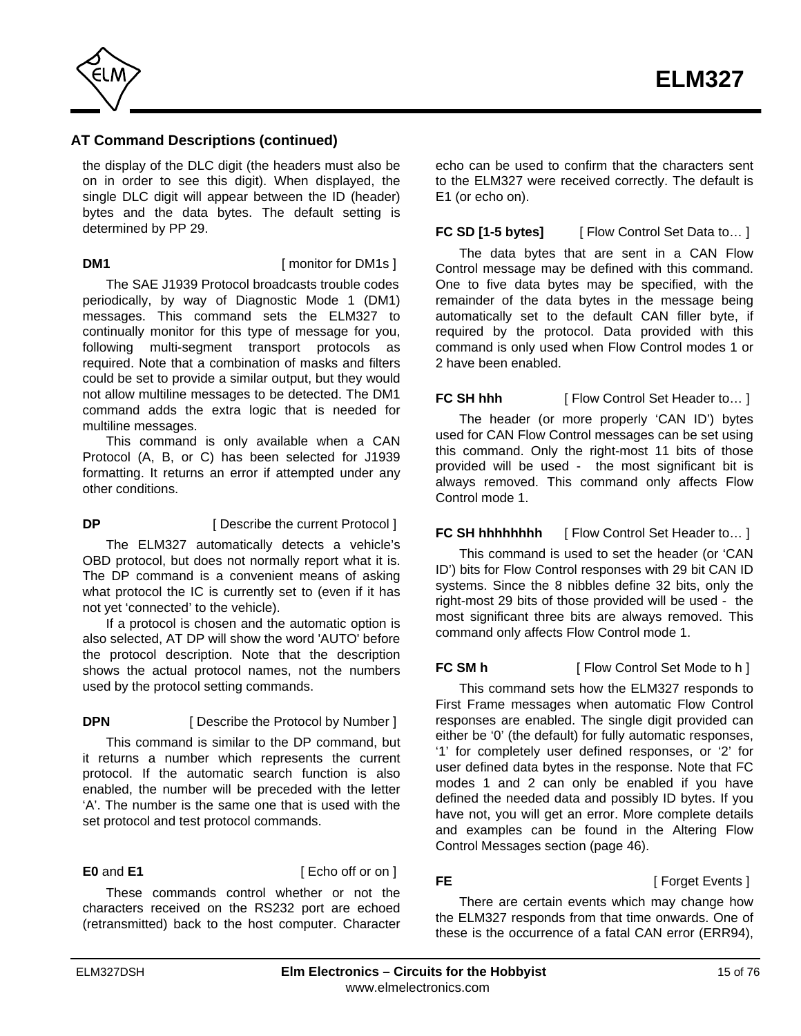

the display of the DLC digit (the headers must also be on in order to see this digit). When displayed, the single DLC digit will appear between the ID (header) bytes and the data bytes. The default setting is determined by PP 29.

**DM1 I** monitor for DM1s 1

The SAE J1939 Protocol broadcasts trouble codes periodically, by way of Diagnostic Mode 1 (DM1) messages. This command sets the ELM327 to continually monitor for this type of message for you, following multi-segment transport protocols as required. Note that a combination of masks and filters could be set to provide a similar output, but they would not allow multiline messages to be detected. The DM1 command adds the extra logic that is needed for multiline messages.

This command is only available when a CAN Protocol (A, B, or C) has been selected for J1939 formatting. It returns an error if attempted under any other conditions.

# **DP** [ Describe the current Protocol ]

The ELM327 automatically detects a vehicle's OBD protocol, but does not normally report what it is. The DP command is a convenient means of asking what protocol the IC is currently set to (even if it has not yet 'connected' to the vehicle).

If a protocol is chosen and the automatic option is also selected, AT DP will show the word 'AUTO' before the protocol description. Note that the description shows the actual protocol names, not the numbers used by the protocol setting commands.

## **DPN** [ Describe the Protocol by Number ]

This command is similar to the DP command, but it returns a number which represents the current protocol. If the automatic search function is also enabled, the number will be preceded with the letter 'A'. The number is the same one that is used with the set protocol and test protocol commands.

**E0** and **E1** [ Echo off or on ]

These commands control whether or not the characters received on the RS232 port are echoed (retransmitted) back to the host computer. Character echo can be used to confirm that the characters sent to the ELM327 were received correctly. The default is E1 (or echo on).

## **FC SD [1-5 bytes]** [ Flow Control Set Data to... ]

The data bytes that are sent in a CAN Flow Control message may be defined with this command. One to five data bytes may be specified, with the remainder of the data bytes in the message being automatically set to the default CAN filler byte, if required by the protocol. Data provided with this command is only used when Flow Control modes 1 or 2 have been enabled.

# **FC SH hhh** [ Flow Control Set Header to... ]

The header (or more properly 'CAN ID') bytes used for CAN Flow Control messages can be set using this command. Only the right-most 11 bits of those provided will be used - the most significant bit is always removed. This command only affects Flow Control mode 1.

## **FC SH hhhhhhhh** [ Flow Control Set Header to... ]

This command is used to set the header (or 'CAN ID') bits for Flow Control responses with 29 bit CAN ID systems. Since the 8 nibbles define 32 bits, only the right-most 29 bits of those provided will be used - the most significant three bits are always removed. This command only affects Flow Control mode 1.

**FC SM h** [ Flow Control Set Mode to h ]

This command sets how the ELM327 responds to First Frame messages when automatic Flow Control responses are enabled. The single digit provided can either be '0' (the default) for fully automatic responses, '1' for completely user defined responses, or '2' for user defined data bytes in the response. Note that FC modes 1 and 2 can only be enabled if you have defined the needed data and possibly ID bytes. If you have not, you will get an error. More complete details and examples can be found in [the Altering Flow](#page-45-0) [Control Messages section \(page 46\).](#page-45-0)

**FE** [ Forget Events ]

There are certain events which may change how the ELM327 responds from that time onwards. One of these is the occurrence of a fatal CAN error (ERR94),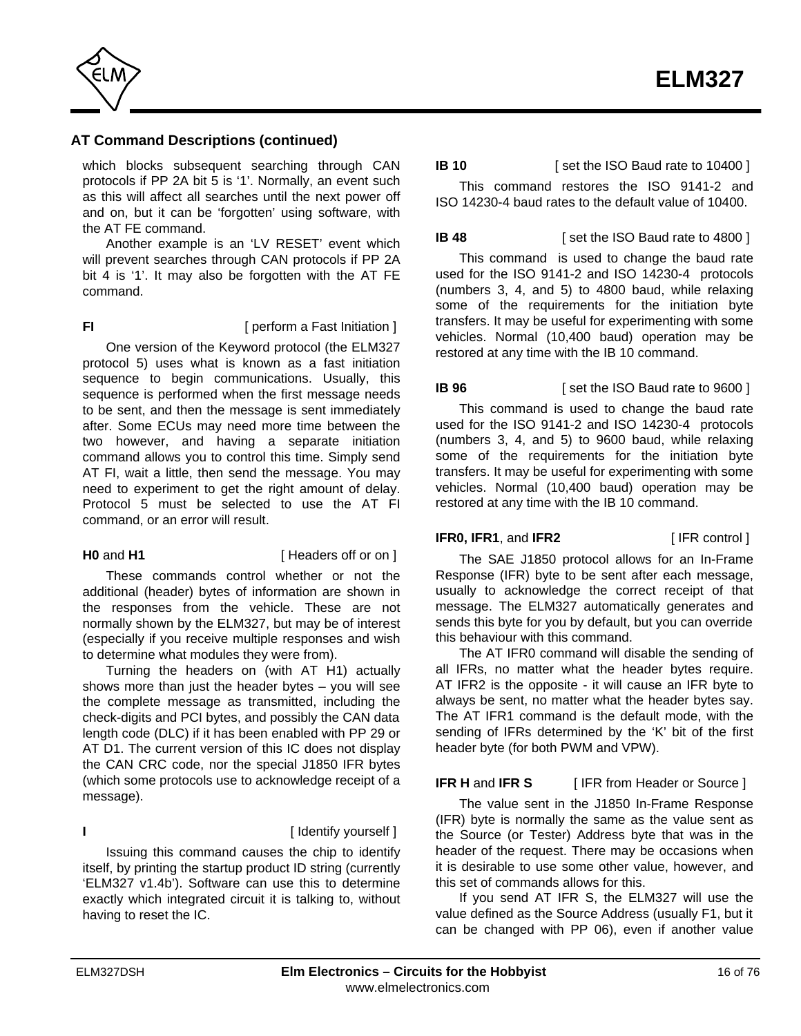

which blocks subsequent searching through CAN protocols if PP 2A bit 5 is '1'. Normally, an event such as this will affect all searches until the next power off and on, but it can be 'forgotten' using software, with the AT FE command.

Another example is an 'LV RESET' event which will prevent searches through CAN protocols if PP 2A bit 4 is '1'. It may also be forgotten with the AT FE command.

**FI FI EXECUTE: FI EXECUTE: FI EXECUTE:**  $\left[$  perform a Fast Initiation 1

One version of the Keyword protocol (the ELM327 protocol 5) uses what is known as a fast initiation sequence to begin communications. Usually, this sequence is performed when the first message needs to be sent, and then the message is sent immediately after. Some ECUs may need more time between the two however, and having a separate initiation command allows you to control this time. Simply send AT FI, wait a little, then send the message. You may need to experiment to get the right amount of delay. Protocol 5 must be selected to use the AT FI command, or an error will result.

### **H0** and **H1** [ Headers off or on ]

These commands control whether or not the additional (header) bytes of information are shown in the responses from the vehicle. These are not normally shown by the ELM327, but may be of interest (especially if you receive multiple responses and wish to determine what modules they were from).

Turning the headers on (with AT H1) actually shows more than just the header bytes – you will see the complete message as transmitted, including the check-digits and PCI bytes, and possibly the CAN data length code (DLC) if it has been enabled with PP 29 or AT D1. The current version of this IC does not display the CAN CRC code, nor the special J1850 IFR bytes (which some protocols use to acknowledge receipt of a message).

### **I** [ Identify yourself ]

Issuing this command causes the chip to identify itself, by printing the startup product ID string (currently 'ELM327 v1.4b'). Software can use this to determine exactly which integrated circuit it is talking to, without having to reset the IC.

## **IB 10** [ set the ISO Baud rate to 10400 ]

This command restores the ISO 9141-2 and ISO 14230-4 baud rates to the default value of 10400.

**IB 48** [ set the ISO Baud rate to 4800 ]

This command is used to change the baud rate used for the ISO 9141-2 and ISO 14230-4 protocols (numbers 3, 4, and 5) to 4800 baud, while relaxing some of the requirements for the initiation byte transfers. It may be useful for experimenting with some vehicles. Normal (10,400 baud) operation may be restored at any time with the IB 10 command.

## **IB 96** [ set the ISO Baud rate to 9600 ]

This command is used to change the baud rate used for the ISO 9141-2 and ISO 14230-4 protocols (numbers 3, 4, and 5) to 9600 baud, while relaxing some of the requirements for the initiation byte transfers. It may be useful for experimenting with some vehicles. Normal (10,400 baud) operation may be restored at any time with the IB 10 command.

### **IFR0, IFR1**, and IFR2 [IFR control ]

The SAE J1850 protocol allows for an In-Frame Response (IFR) byte to be sent after each message, usually to acknowledge the correct receipt of that message. The ELM327 automatically generates and sends this byte for you by default, but you can override this behaviour with this command.

The AT IFR0 command will disable the sending of all IFRs, no matter what the header bytes require. AT IFR2 is the opposite - it will cause an IFR byte to always be sent, no matter what the header bytes say. The AT IFR1 command is the default mode, with the sending of IFRs determined by the 'K' bit of the first header byte (for both PWM and VPW).

## **IFR H** and **IFR S** [ IFR from Header or Source ]

The value sent in the J1850 In-Frame Response (IFR) byte is normally the same as the value sent as the Source (or Tester) Address byte that was in the header of the request. There may be occasions when it is desirable to use some other value, however, and this set of commands allows for this.

If you send AT IFR S, the ELM327 will use the value defined as the Source Address (usually F1, but it can be changed with PP 06), even if another value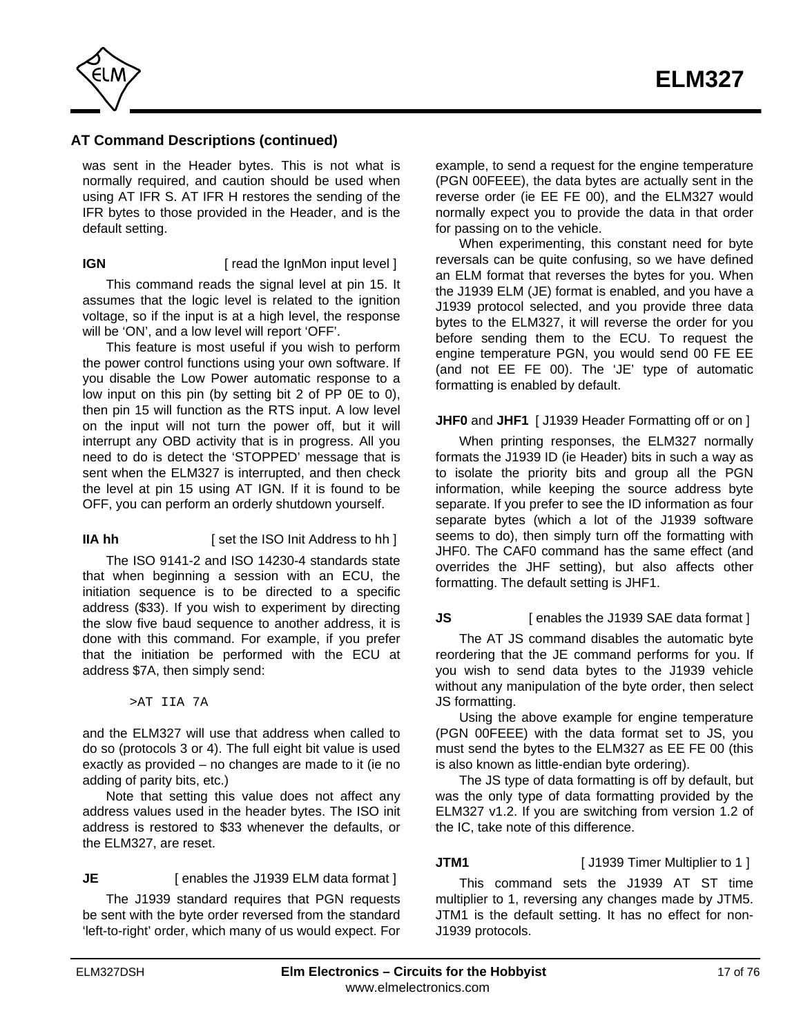

was sent in the Header bytes. This is not what is normally required, and caution should be used when using AT IFR S. AT IFR H restores the sending of the IFR bytes to those provided in the Header, and is the default setting.

### **IGN** [ read the IgnMon input level ]

This command reads the signal level at pin 15. It assumes that the logic level is related to the ignition voltage, so if the input is at a high level, the response will be 'ON', and a low level will report 'OFF'.

This feature is most useful if you wish to perform the power control functions using your own software. If you disable the Low Power automatic response to a low input on this pin (by setting bit 2 of PP 0E to 0), then pin 15 will function as the RTS input. A low level on the input will not turn the power off, but it will interrupt any OBD activity that is in progress. All you need to do is detect the 'STOPPED' message that is sent when the ELM327 is interrupted, and then check the level at pin 15 using AT IGN. If it is found to be OFF, you can perform an orderly shutdown yourself.

## **IIA hh** [ set the ISO Init Address to hh ]

The ISO 9141-2 and ISO 14230-4 standards state that when beginning a session with an ECU, the initiation sequence is to be directed to a specific address (\$33). If you wish to experiment by directing the slow five baud sequence to another address, it is done with this command. For example, if you prefer that the initiation be performed with the ECU at address \$7A, then simply send:

>AT IIA 7A

and the ELM327 will use that address when called to do so (protocols 3 or 4). The full eight bit value is used exactly as provided – no changes are made to it (ie no adding of parity bits, etc.)

Note that setting this value does not affect any address values used in the header bytes. The ISO init address is restored to \$33 whenever the defaults, or the ELM327, are reset.

### **JE** [ enables the J1939 ELM data format ]

The J1939 standard requires that PGN requests be sent with the byte order reversed from the standard 'left-to-right' order, which many of us would expect. For

example, to send a request for the engine temperature (PGN 00FEEE), the data bytes are actually sent in the reverse order (ie EE FE 00), and the ELM327 would normally expect you to provide the data in that order for passing on to the vehicle.

When experimenting, this constant need for byte reversals can be quite confusing, so we have defined an ELM format that reverses the bytes for you. When the J1939 ELM (JE) format is enabled, and you have a J1939 protocol selected, and you provide three data bytes to the ELM327, it will reverse the order for you before sending them to the ECU. To request the engine temperature PGN, you would send 00 FE EE (and not EE FE 00). The 'JE' type of automatic formatting is enabled by default.

### **JHF0** and **JHF1** [ J1939 Header Formatting off or on ]

When printing responses, the ELM327 normally formats the J1939 ID (ie Header) bits in such a way as to isolate the priority bits and group all the PGN information, while keeping the source address byte separate. If you prefer to see the ID information as four separate bytes (which a lot of the J1939 software seems to do), then simply turn off the formatting with JHF0. The CAF0 command has the same effect (and overrides the JHF setting), but also affects other formatting. The default setting is JHF1.

## **JS** [ enables the J1939 SAE data format ]

The AT JS command disables the automatic byte reordering that the JE command performs for you. If you wish to send data bytes to the J1939 vehicle without any manipulation of the byte order, then select JS formatting.

Using the above example for engine temperature (PGN 00FEEE) with the data format set to JS, you must send the bytes to the ELM327 as EE FE 00 (this is also known as little-endian byte ordering).

The JS type of data formatting is off by default, but was the only type of data formatting provided by the ELM327 v1.2. If you are switching from version 1.2 of the IC, take note of this difference.

**JTM1** [ J1939 Timer Multiplier to 1 ]

This command sets the J1939 AT ST time multiplier to 1, reversing any changes made by JTM5. JTM1 is the default setting. It has no effect for non-J1939 protocols.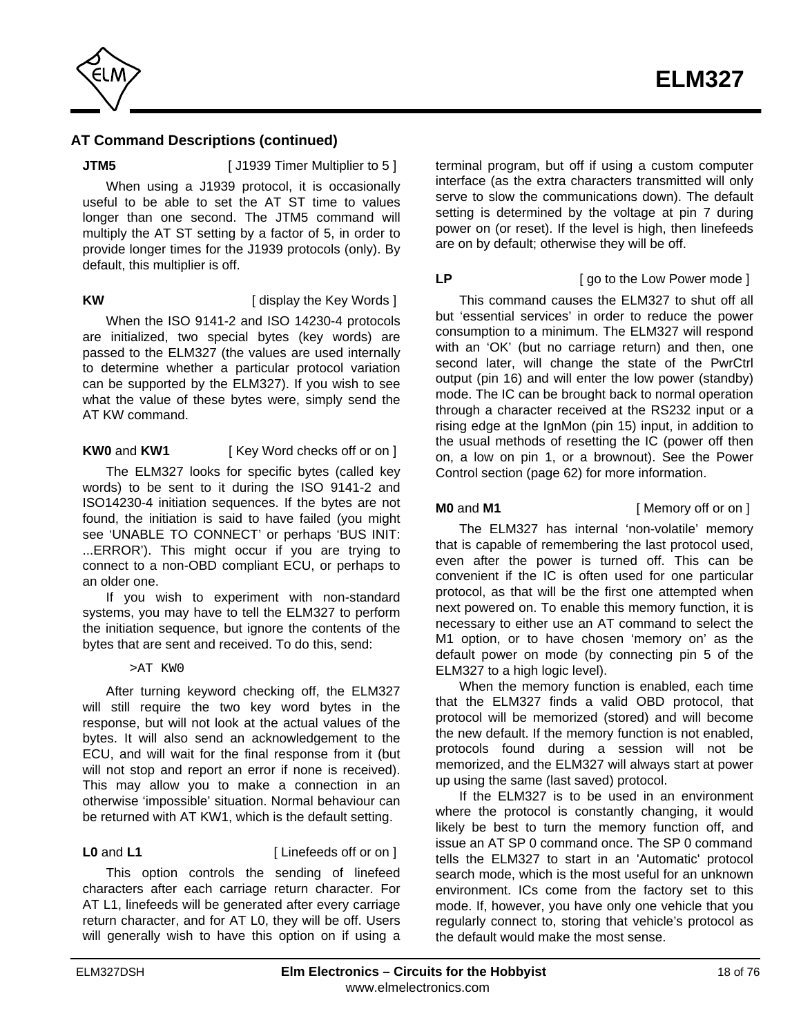

**JTM5** [ J1939 Timer Multiplier to 5 ]

When using a J1939 protocol, it is occasionally useful to be able to set the AT ST time to values longer than one second. The JTM5 command will multiply the AT ST setting by a factor of 5, in order to provide longer times for the J1939 protocols (only). By default, this multiplier is off.

**KW** [ display the Key Words ]

When the ISO 9141-2 and ISO 14230-4 protocols are initialized, two special bytes (key words) are passed to the ELM327 (the values are used internally to determine whether a particular protocol variation can be supported by the ELM327). If you wish to see what the value of these bytes were, simply send the AT KW command.

## **KW0** and **KW1** [ Key Word checks off or on ]

The ELM327 looks for specific bytes (called key words) to be sent to it during the ISO 9141-2 and ISO14230-4 initiation sequences. If the bytes are not found, the initiation is said to have failed (you might see 'UNABLE TO CONNECT' or perhaps 'BUS INIT: ...ERROR'). This might occur if you are trying to connect to a non-OBD compliant ECU, or perhaps to an older one.

If you wish to experiment with non-standard systems, you may have to tell the ELM327 to perform the initiation sequence, but ignore the contents of the bytes that are sent and received. To do this, send:

### >AT KW0

After turning keyword checking off, the ELM327 will still require the two key word bytes in the response, but will not look at the actual values of the bytes. It will also send an acknowledgement to the ECU, and will wait for the final response from it (but will not stop and report an error if none is received). This may allow you to make a connection in an otherwise 'impossible' situation. Normal behaviour can be returned with AT KW1, which is the default setting.

**L0** and **L1** [ Linefeeds off or on ]

This option controls the sending of linefeed characters after each carriage return character. For AT L1, linefeeds will be generated after every carriage return character, and for AT L0, they will be off. Users will generally wish to have this option on if using a terminal program, but off if using a custom computer interface (as the extra characters transmitted will only serve to slow the communications down). The default setting is determined by the voltage at pin 7 during power on (or reset). If the level is high, then linefeeds are on by default; otherwise they will be off.

### **LP** [ go to the Low Power mode ]

This command causes the ELM327 to shut off all but 'essential services' in order to reduce the power consumption to a minimum. The ELM327 will respond with an 'OK' (but no carriage return) and then, one second later, will change the state of the PwrCtrl output (pin 16) and will enter the low power (standby) mode. The IC can be brought back to normal operation through a character received at the RS232 input or a rising edge at the IgnMon (pin 15) input, in addition to the usual methods of resetting the IC (power off then on, a low on pin 1, or a brownout). Se[e the Power](#page-61-0) [Control section \(page 62\) f](#page-61-0)or more information.

**M0** and **M1 i** [ Memory off or on ]

The ELM327 has internal 'non-volatile' memory that is capable of remembering the last protocol used, even after the power is turned off. This can be convenient if the IC is often used for one particular protocol, as that will be the first one attempted when next powered on. To enable this memory function, it is necessary to either use an AT command to select the M1 option, or to have chosen 'memory on' as the default power on mode (by connecting pin 5 of the ELM327 to a high logic level).

When the memory function is enabled, each time that the ELM327 finds a valid OBD protocol, that protocol will be memorized (stored) and will become the new default. If the memory function is not enabled, protocols found during a session will not be memorized, and the ELM327 will always start at power up using the same (last saved) protocol.

If the ELM327 is to be used in an environment where the protocol is constantly changing, it would likely be best to turn the memory function off, and issue an AT SP 0 command once. The SP 0 command tells the ELM327 to start in an 'Automatic' protocol search mode, which is the most useful for an unknown environment. ICs come from the factory set to this mode. If, however, you have only one vehicle that you regularly connect to, storing that vehicle's protocol as the default would make the most sense.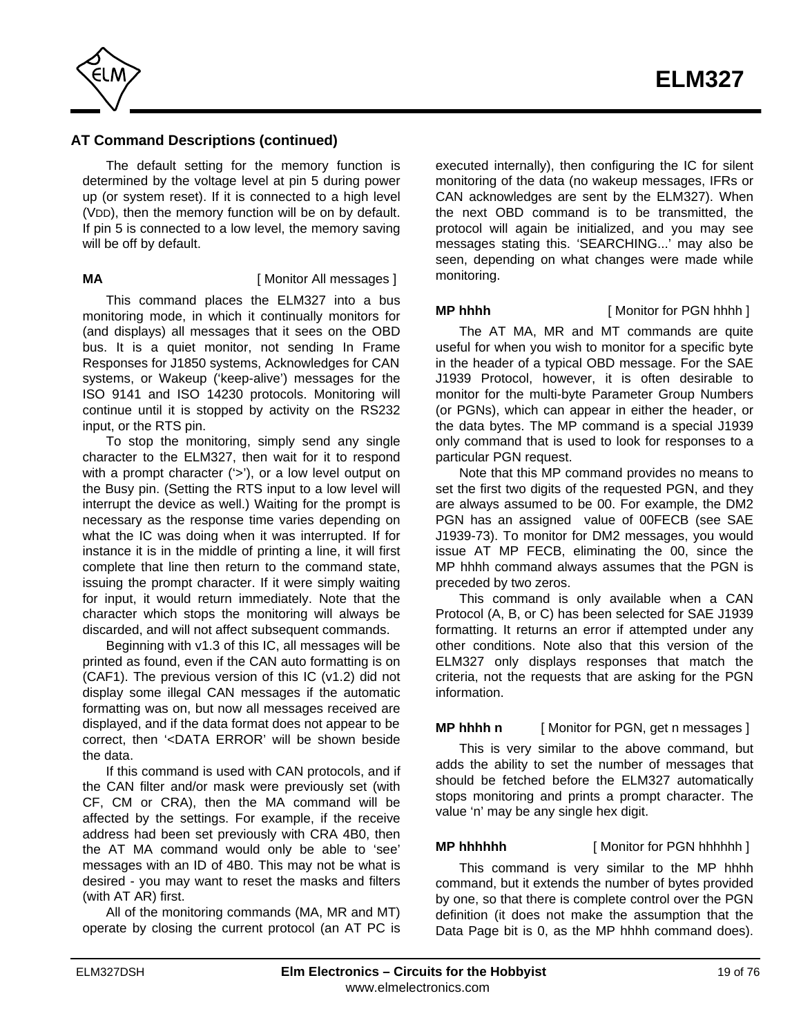

The default setting for the memory function is determined by the voltage level at pin 5 during power up (or system reset). If it is connected to a high level (VDD), then the memory function will be on by default. If pin 5 is connected to a low level, the memory saving will be off by default.

### **MA** [ Monitor All messages ]

This command places the ELM327 into a bus monitoring mode, in which it continually monitors for (and displays) all messages that it sees on the OBD bus. It is a quiet monitor, not sending In Frame Responses for J1850 systems, Acknowledges for CAN systems, or Wakeup ('keep-alive') messages for the ISO 9141 and ISO 14230 protocols. Monitoring will continue until it is stopped by activity on the RS232 input, or the RTS pin.

To stop the monitoring, simply send any single character to the ELM327, then wait for it to respond with a prompt character ('>'), or a low level output on the Busy pin. (Setting the RTS input to a low level will interrupt the device as well.) Waiting for the prompt is necessary as the response time varies depending on what the IC was doing when it was interrupted. If for instance it is in the middle of printing a line, it will first complete that line then return to the command state, issuing the prompt character. If it were simply waiting for input, it would return immediately. Note that the character which stops the monitoring will always be discarded, and will not affect subsequent commands.

Beginning with v1.3 of this IC, all messages will be printed as found, even if the CAN auto formatting is on (CAF1). The previous version of this IC (v1.2) did not display some illegal CAN messages if the automatic formatting was on, but now all messages received are displayed, and if the data format does not appear to be correct, then '<DATA ERROR' will be shown beside the data.

If this command is used with CAN protocols, and if the CAN filter and/or mask were previously set (with CF, CM or CRA), then the MA command will be affected by the settings. For example, if the receive address had been set previously with CRA 4B0, then the AT MA command would only be able to 'see' messages with an ID of 4B0. This may not be what is desired - you may want to reset the masks and filters (with AT AR) first.

All of the monitoring commands (MA, MR and MT) operate by closing the current protocol (an AT PC is

executed internally), then configuring the IC for silent monitoring of the data (no wakeup messages, IFRs or CAN acknowledges are sent by the ELM327). When the next OBD command is to be transmitted, the protocol will again be initialized, and you may see messages stating this. 'SEARCHING...' may also be seen, depending on what changes were made while monitoring.

**MP hhhh** [ Monitor for PGN hhhh ]

The AT MA, MR and MT commands are quite useful for when you wish to monitor for a specific byte in the header of a typical OBD message. For the SAE J1939 Protocol, however, it is often desirable to monitor for the multi-byte Parameter Group Numbers (or PGNs), which can appear in either the header, or the data bytes. The MP command is a special J1939 only command that is used to look for responses to a particular PGN request.

Note that this MP command provides no means to set the first two digits of the requested PGN, and they are always assumed to be 00. For example, the DM2 PGN has an assigned value of 00FECB (see SAE J1939-73). To monitor for DM2 messages, you would issue AT MP FECB, eliminating the 00, since the MP hhhh command always assumes that the PGN is preceded by two zeros.

This command is only available when a CAN Protocol (A, B, or C) has been selected for SAE J1939 formatting. It returns an error if attempted under any other conditions. Note also that this version of the ELM327 only displays responses that match the criteria, not the requests that are asking for the PGN information.

## **MP hhhh n** [ Monitor for PGN, get n messages ]

This is very similar to the above command, but adds the ability to set the number of messages that should be fetched before the ELM327 automatically stops monitoring and prints a prompt character. The value 'n' may be any single hex digit.

**MP hhhhhh** [ Monitor for PGN hhhhhh ]

This command is very similar to the MP hhhh command, but it extends the number of bytes provided by one, so that there is complete control over the PGN definition (it does not make the assumption that the Data Page bit is 0, as the MP hhhh command does).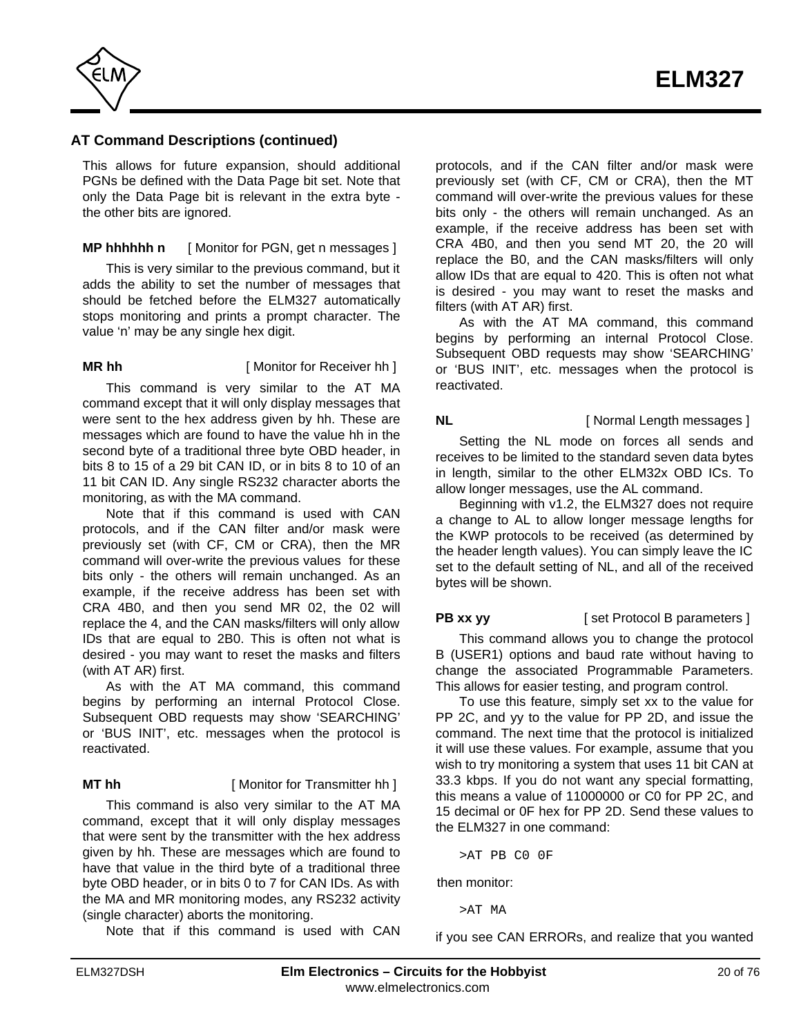

This allows for future expansion, should additional PGNs be defined with the Data Page bit set. Note that only the Data Page bit is relevant in the extra byte the other bits are ignored.

**MP hhhhhh n** [ Monitor for PGN, get n messages ]

This is very similar to the previous command, but it adds the ability to set the number of messages that should be fetched before the ELM327 automatically stops monitoring and prints a prompt character. The value 'n' may be any single hex digit.

**MR hh** [ Monitor for Receiver hh ]

This command is very similar to the AT MA command except that it will only display messages that were sent to the hex address given by hh. These are messages which are found to have the value hh in the second byte of a traditional three byte OBD header, in bits 8 to 15 of a 29 bit CAN ID, or in bits 8 to 10 of an 11 bit CAN ID. Any single RS232 character aborts the monitoring, as with the MA command.

Note that if this command is used with CAN protocols, and if the CAN filter and/or mask were previously set (with CF, CM or CRA), then the MR command will over-write the previous values for these bits only - the others will remain unchanged. As an example, if the receive address has been set with CRA 4B0, and then you send MR 02, the 02 will replace the 4, and the CAN masks/filters will only allow IDs that are equal to 2B0. This is often not what is desired - you may want to reset the masks and filters (with AT AR) first.

As with the AT MA command, this command begins by performing an internal Protocol Close. Subsequent OBD requests may show 'SEARCHING' or 'BUS INIT', etc. messages when the protocol is reactivated.

## **MT hh** [ Monitor for Transmitter hh ]

This command is also very similar to the AT MA command, except that it will only display messages that were sent by the transmitter with the hex address given by hh. These are messages which are found to have that value in the third byte of a traditional three byte OBD header, or in bits 0 to 7 for CAN IDs. As with the MA and MR monitoring modes, any RS232 activity (single character) aborts the monitoring.

Note that if this command is used with CAN

protocols, and if the CAN filter and/or mask were previously set (with CF, CM or CRA), then the MT command will over-write the previous values for these bits only - the others will remain unchanged. As an example, if the receive address has been set with CRA 4B0, and then you send MT 20, the 20 will replace the B0, and the CAN masks/filters will only allow IDs that are equal to 420. This is often not what is desired - you may want to reset the masks and filters (with AT AR) first.

As with the AT MA command, this command begins by performing an internal Protocol Close. Subsequent OBD requests may show 'SEARCHING' or 'BUS INIT', etc. messages when the protocol is reactivated.

## **NL** [ Normal Length messages ]

Setting the NL mode on forces all sends and receives to be limited to the standard seven data bytes in length, similar to the other ELM32x OBD ICs. To allow longer messages, use the AL command.

Beginning with v1.2, the ELM327 does not require a change to AL to allow longer message lengths for the KWP protocols to be received (as determined by the header length values). You can simply leave the IC set to the default setting of NL, and all of the received bytes will be shown.

**PB xx yy** [ set Protocol B parameters ]

This command allows you to change the protocol B (USER1) options and baud rate without having to change the associated Programmable Parameters. This allows for easier testing, and program control.

To use this feature, simply set xx to the value for PP 2C, and yy to the value for PP 2D, and issue the command. The next time that the protocol is initialized it will use these values. For example, assume that you wish to try monitoring a system that uses 11 bit CAN at 33.3 kbps. If you do not want any special formatting, this means a value of 11000000 or C0 for PP 2C, and 15 decimal or 0F hex for PP 2D. Send these values to the ELM327 in one command:

>AT PB C0 0F

then monitor:

>AT MA

if you see CAN ERRORs, and realize that you wanted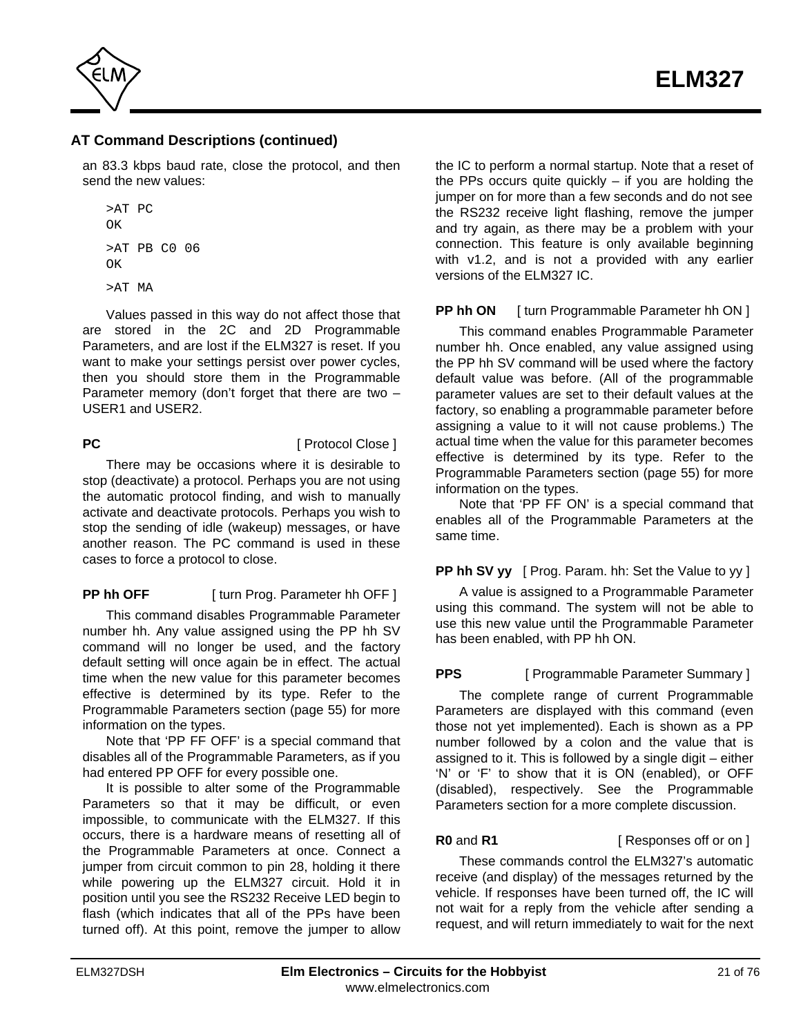

an 83.3 kbps baud rate, close the protocol, and then send the new values:

```
>AT PC
OK
>AT PB C0 06
OK
>AT MA
```
Values passed in this way do not affect those that are stored in the 2C and 2D Programmable Parameters, and are lost if the ELM327 is reset. If you want to make your settings persist over power cycles, then you should store them in the Programmable Parameter memory (don't forget that there are two – USER1 and USER2.

**PC** [ Protocol Close ]

There may be occasions where it is desirable to stop (deactivate) a protocol. Perhaps you are not using the automatic protocol finding, and wish to manually activate and deactivate protocols. Perhaps you wish to stop the sending of idle (wakeup) messages, or have another reason. The PC command is used in these cases to force a protocol to close.

**PP hh OFF** [ turn Prog. Parameter hh OFF ]

This command disables Programmable Parameter number hh. Any value assigned using the PP hh SV command will no longer be used, and the factory default setting will once again be in effect. The actual time when the new value for this parameter becomes effective is determined by its type. Refer to the [Programmable Parameters section \(page 55\) f](#page-54-0)or more information on the types.

Note that 'PP FF OFF' is a special command that disables all of the Programmable Parameters, as if you had entered PP OFF for every possible one.

It is possible to alter some of the Programmable Parameters so that it may be difficult, or even impossible, to communicate with the ELM327. If this occurs, there is a hardware means of resetting all of the Programmable Parameters at once. Connect a jumper from circuit common to pin 28, holding it there while powering up the ELM327 circuit. Hold it in position until you see the RS232 Receive LED begin to flash (which indicates that all of the PPs have been turned off). At this point, remove the jumper to allow

the IC to perform a normal startup. Note that a reset of the PPs occurs quite quickly  $-$  if you are holding the jumper on for more than a few seconds and do not see the RS232 receive light flashing, remove the jumper and try again, as there may be a problem with your connection. This feature is only available beginning with v1.2, and is not a provided with any earlier versions of the ELM327 IC.

## **PP hh ON** [ turn Programmable Parameter hh ON ]

This command enables Programmable Parameter number hh. Once enabled, any value assigned using the PP hh SV command will be used where the factory default value was before. (All of the programmable parameter values are set to their default values at the factory, so enabling a programmable parameter before assigning a value to it will not cause problems.) The actual time when the value for this parameter becomes effective is determined by its type. Refer to the [Programmable Parameters section \(page 55\) f](#page-54-0)or more information on the types.

Note that 'PP FF ON' is a special command that enables all of the Programmable Parameters at the same time.

## **PP hh SV yy** [ Prog. Param. hh: Set the Value to yy ]

A value is assigned to a Programmable Parameter using this command. The system will not be able to use this new value until the Programmable Parameter has been enabled, with PP hh ON.

## **PPS** [ Programmable Parameter Summary ]

The complete range of current Programmable Parameters are displayed with this command (even those not yet implemented). Each is shown as a PP number followed by a colon and the value that is assigned to it. This is followed by a single digit – either 'N' or 'F' to show that it is ON (enabled), or OFF (disabled), respectively. See [the Programmable](#page-54-0) [Parameters section fo](#page-54-0)r a more complete discussion.

**R0** and **R1** [ Responses off or on ]

These commands control the ELM327's automatic receive (and display) of the messages returned by the vehicle. If responses have been turned off, the IC will not wait for a reply from the vehicle after sending a request, and will return immediately to wait for the next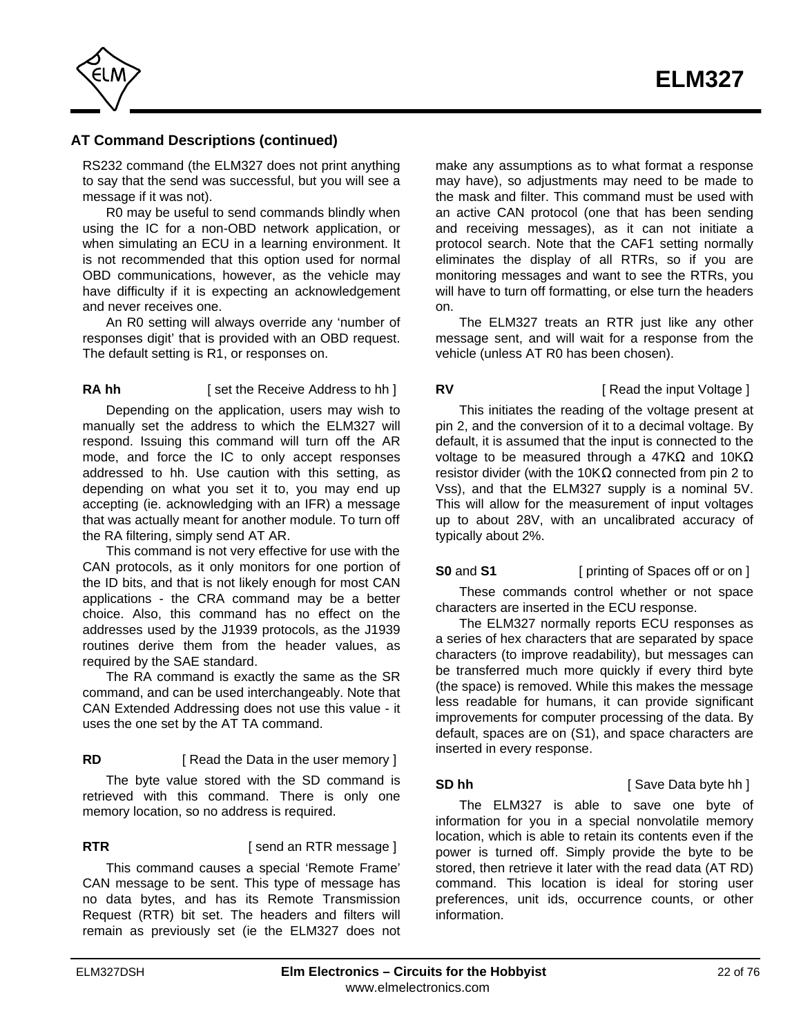

RS232 command (the ELM327 does not print anything to say that the send was successful, but you will see a message if it was not).

R0 may be useful to send commands blindly when using the IC for a non-OBD network application, or when simulating an ECU in a learning environment. It is not recommended that this option used for normal OBD communications, however, as the vehicle may have difficulty if it is expecting an acknowledgement and never receives one.

An R0 setting will always override any 'number of responses digit' that is provided with an OBD request. The default setting is R1, or responses on.

### **RA hh** [ set the Receive Address to hh ]

Depending on the application, users may wish to manually set the address to which the ELM327 will respond. Issuing this command will turn off the AR mode, and force the IC to only accept responses addressed to hh. Use caution with this setting, as depending on what you set it to, you may end up accepting (ie. acknowledging with an IFR) a message that was actually meant for another module. To turn off the RA filtering, simply send AT AR.

This command is not very effective for use with the CAN protocols, as it only monitors for one portion of the ID bits, and that is not likely enough for most CAN applications - the CRA command may be a better choice. Also, this command has no effect on the addresses used by the J1939 protocols, as the J1939 routines derive them from the header values, as required by the SAE standard.

The RA command is exactly the same as the SR command, and can be used interchangeably. Note that CAN Extended Addressing does not use this value - it uses the one set by the AT TA command.

# **RD** [ Read the Data in the user memory ]

The byte value stored with the SD command is retrieved with this command. There is only one memory location, so no address is required.

**RTR EXECUTE:** [ send an RTR message ]

This command causes a special 'Remote Frame' CAN message to be sent. This type of message has no data bytes, and has its Remote Transmission Request (RTR) bit set. The headers and filters will remain as previously set (ie the ELM327 does not make any assumptions as to what format a response may have), so adjustments may need to be made to the mask and filter. This command must be used with an active CAN protocol (one that has been sending and receiving messages), as it can not initiate a protocol search. Note that the CAF1 setting normally eliminates the display of all RTRs, so if you are monitoring messages and want to see the RTRs, you will have to turn off formatting, or else turn the headers on.

The ELM327 treats an RTR just like any other message sent, and will wait for a response from the vehicle (unless AT R0 has been chosen).

## **RV** [ Read the input Voltage ]

This initiates the reading of the voltage present at pin 2, and the conversion of it to a decimal voltage. By default, it is assumed that the input is connected to the voltage to be measured through a 47K and 10K resistor divider (with the 10K connected from pin 2 to Vss), and that the ELM327 supply is a nominal 5V. This will allow for the measurement of input voltages up to about 28V, with an uncalibrated accuracy of typically about 2%.

**S0** and **S1** [ printing of Spaces off or on ]

These commands control whether or not space characters are inserted in the ECU response.

The ELM327 normally reports ECU responses as a series of hex characters that are separated by space characters (to improve readability), but messages can be transferred much more quickly if every third byte (the space) is removed. While this makes the message less readable for humans, it can provide significant improvements for computer processing of the data. By default, spaces are on (S1), and space characters are inserted in every response.

### **SD hh** [ Save Data byte hh ]

The ELM327 is able to save one byte of information for you in a special nonvolatile memory location, which is able to retain its contents even if the power is turned off. Simply provide the byte to be stored, then retrieve it later with the read data (AT RD) command. This location is ideal for storing user preferences, unit ids, occurrence counts, or other information.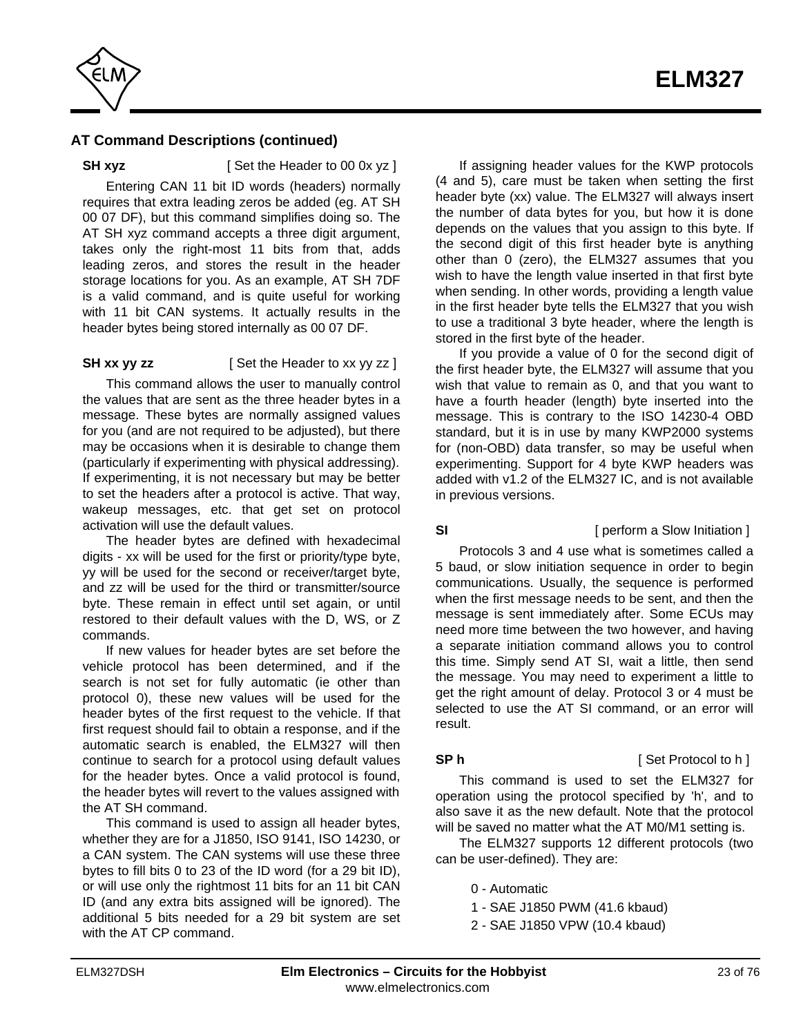

**SH xyz** [ Set the Header to 00 0x yz ]

Entering CAN 11 bit ID words (headers) normally requires that extra leading zeros be added (eg. AT SH 00 07 DF), but this command simplifies doing so. The AT SH xyz command accepts a three digit argument, takes only the right-most 11 bits from that, adds leading zeros, and stores the result in the header storage locations for you. As an example, AT SH 7DF is a valid command, and is quite useful for working with 11 bit CAN systems. It actually results in the header bytes being stored internally as 00 07 DF.

## **SH xx yy zz** [ Set the Header to xx yy zz ]

This command allows the user to manually control the values that are sent as the three header bytes in a message. These bytes are normally assigned values for you (and are not required to be adjusted), but there may be occasions when it is desirable to change them (particularly if experimenting with physical addressing). If experimenting, it is not necessary but may be better to set the headers after a protocol is active. That way, wakeup messages, etc. that get set on protocol activation will use the default values.

The header bytes are defined with hexadecimal digits - xx will be used for the first or priority/type byte, yy will be used for the second or receiver/target byte, and zz will be used for the third or transmitter/source byte. These remain in effect until set again, or until restored to their default values with the D, WS, or Z commands.

If new values for header bytes are set before the vehicle protocol has been determined, and if the search is not set for fully automatic (ie other than protocol 0), these new values will be used for the header bytes of the first request to the vehicle. If that first request should fail to obtain a response, and if the automatic search is enabled, the ELM327 will then continue to search for a protocol using default values for the header bytes. Once a valid protocol is found, the header bytes will revert to the values assigned with the AT SH command.

This command is used to assign all header bytes, whether they are for a J1850, ISO 9141, ISO 14230, or a CAN system. The CAN systems will use these three bytes to fill bits 0 to 23 of the ID word (for a 29 bit ID), or will use only the rightmost 11 bits for an 11 bit CAN ID (and any extra bits assigned will be ignored). The additional 5 bits needed for a 29 bit system are set with the AT CP command.

If assigning header values for the KWP protocols (4 and 5), care must be taken when setting the first header byte (xx) value. The ELM327 will always insert the number of data bytes for you, but how it is done depends on the values that you assign to this byte. If the second digit of this first header byte is anything other than 0 (zero), the ELM327 assumes that you wish to have the length value inserted in that first byte when sending. In other words, providing a length value in the first header byte tells the ELM327 that you wish to use a traditional 3 byte header, where the length is stored in the first byte of the header.

If you provide a value of 0 for the second digit of the first header byte, the ELM327 will assume that you wish that value to remain as 0, and that you want to have a fourth header (length) byte inserted into the message. This is contrary to the ISO 14230-4 OBD standard, but it is in use by many KWP2000 systems for (non-OBD) data transfer, so may be useful when experimenting. Support for 4 byte KWP headers was added with v1.2 of the ELM327 IC, and is not available in previous versions.

## Protocols 3 and 4 use what is sometimes called a 5 baud, or slow initiation sequence in order to begin communications. Usually, the sequence is performed when the first message needs to be sent, and then the message is sent immediately after. Some ECUs may need more time between the two however, and having a separate initiation command allows you to control this time. Simply send AT SI, wait a little, then send the message. You may need to experiment a little to get the right amount of delay. Protocol 3 or 4 must be selected to use the AT SI command, or an error will result.

**SI** [ perform a Slow Initiation ]

# **SP h** [ Set Protocol to h ]

This command is used to set the ELM327 for operation using the protocol specified by 'h', and to also save it as the new default. Note that the protocol will be saved no matter what the AT M0/M1 setting is.

The ELM327 supports 12 different protocols (two can be user-defined). They are:

- 0 Automatic
- 1 SAE J1850 PWM (41.6 kbaud)
- 2 SAE J1850 VPW (10.4 kbaud)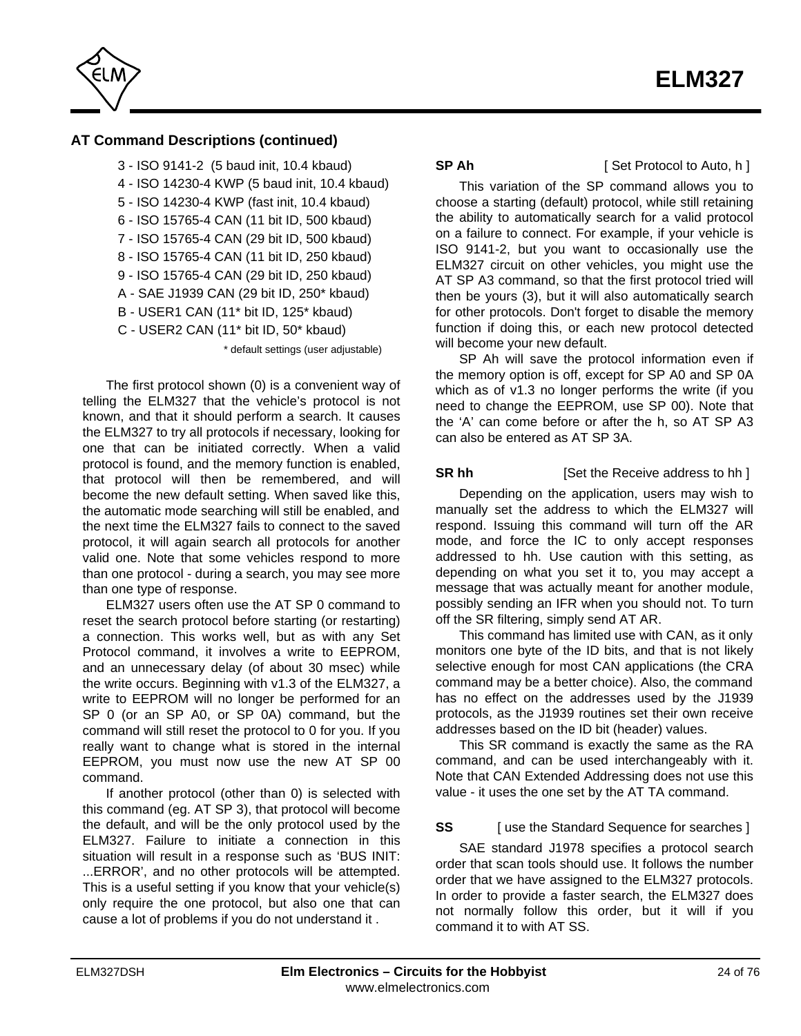

3 - ISO 9141-2 (5 baud init, 10.4 kbaud) 4 - ISO 14230-4 KWP (5 baud init, 10.4 kbaud) 5 - ISO 14230-4 KWP (fast init, 10.4 kbaud) 6 - ISO 15765-4 CAN (11 bit ID, 500 kbaud) 7 - ISO 15765-4 CAN (29 bit ID, 500 kbaud) 8 - ISO 15765-4 CAN (11 bit ID, 250 kbaud) 9 - ISO 15765-4 CAN (29 bit ID, 250 kbaud) A - SAE J1939 CAN (29 bit ID, 250\* kbaud) B - USER1 CAN (11\* bit ID, 125\* kbaud) C - USER2 CAN (11\* bit ID, 50\* kbaud)

\* default settings (user adjustable)

The first protocol shown (0) is a convenient way of telling the ELM327 that the vehicle's protocol is not known, and that it should perform a search. It causes the ELM327 to try all protocols if necessary, looking for one that can be initiated correctly. When a valid protocol is found, and the memory function is enabled, that protocol will then be remembered, and will become the new default setting. When saved like this, the automatic mode searching will still be enabled, and the next time the ELM327 fails to connect to the saved protocol, it will again search all protocols for another valid one. Note that some vehicles respond to more than one protocol - during a search, you may see more than one type of response.

ELM327 users often use the AT SP 0 command to reset the search protocol before starting (or restarting) a connection. This works well, but as with any Set Protocol command, it involves a write to EEPROM, and an unnecessary delay (of about 30 msec) while the write occurs. Beginning with v1.3 of the ELM327, a write to EEPROM will no longer be performed for an SP 0 (or an SP A0, or SP 0A) command, but the command will still reset the protocol to 0 for you. If you really want to change what is stored in the internal EEPROM, you must now use the new AT SP 00 command.

If another protocol (other than 0) is selected with this command (eg. AT SP 3), that protocol will become the default, and will be the only protocol used by the ELM327. Failure to initiate a connection in this situation will result in a response such as 'BUS INIT: ...ERROR', and no other protocols will be attempted. This is a useful setting if you know that your vehicle(s) only require the one protocol, but also one that can cause a lot of problems if you do not understand it .

**SP Ah** [ Set Protocol to Auto, h ]

This variation of the SP command allows you to choose a starting (default) protocol, while still retaining the ability to automatically search for a valid protocol on a failure to connect. For example, if your vehicle is ISO 9141-2, but you want to occasionally use the ELM327 circuit on other vehicles, you might use the AT SP A3 command, so that the first protocol tried will then be yours (3), but it will also automatically search for other protocols. Don't forget to disable the memory function if doing this, or each new protocol detected will become your new default.

SP Ah will save the protocol information even if the memory option is off, except for SP A0 and SP 0A which as of v1.3 no longer performs the write (if you need to change the EEPROM, use SP 00). Note that the 'A' can come before or after the h, so AT SP A3 can also be entered as AT SP 3A.

**SR hh** [Set the Receive address to hh ]

Depending on the application, users may wish to manually set the address to which the ELM327 will respond. Issuing this command will turn off the AR mode, and force the IC to only accept responses addressed to hh. Use caution with this setting, as depending on what you set it to, you may accept a message that was actually meant for another module, possibly sending an IFR when you should not. To turn off the SR filtering, simply send AT AR.

This command has limited use with CAN, as it only monitors one byte of the ID bits, and that is not likely selective enough for most CAN applications (the CRA command may be a better choice). Also, the command has no effect on the addresses used by the J1939 protocols, as the J1939 routines set their own receive addresses based on the ID bit (header) values.

This SR command is exactly the same as the RA command, and can be used interchangeably with it. Note that CAN Extended Addressing does not use this value - it uses the one set by the AT TA command.

# **SS** [ use the Standard Sequence for searches ]

SAE standard J1978 specifies a protocol search order that scan tools should use. It follows the number order that we have assigned to the ELM327 protocols. In order to provide a faster search, the ELM327 does not normally follow this order, but it will if you command it to with AT SS.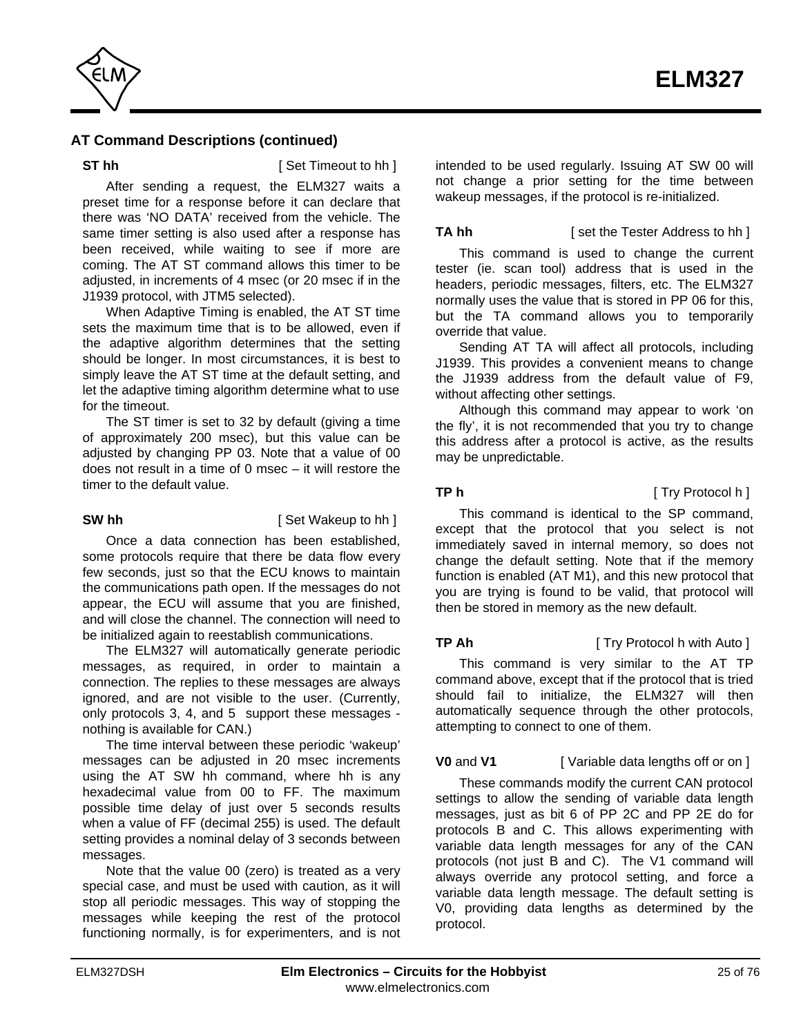

**ST hh** [ Set Timeout to hh ]

After sending a request, the ELM327 waits a preset time for a response before it can declare that there was 'NO DATA' received from the vehicle. The same timer setting is also used after a response has been received, while waiting to see if more are coming. The AT ST command allows this timer to be adjusted, in increments of 4 msec (or 20 msec if in the J1939 protocol, with JTM5 selected).

When Adaptive Timing is enabled, the AT ST time sets the maximum time that is to be allowed, even if the adaptive algorithm determines that the setting should be longer. In most circumstances, it is best to simply leave the AT ST time at the default setting, and let the adaptive timing algorithm determine what to use for the timeout.

The ST timer is set to 32 by default (giving a time of approximately 200 msec), but this value can be adjusted by changing PP 03. Note that a value of 00 does not result in a time of 0 msec – it will restore the timer to the default value.

**SW hh** [ Set Wakeup to hh ]

Once a data connection has been established, some protocols require that there be data flow every few seconds, just so that the ECU knows to maintain the communications path open. If the messages do not appear, the ECU will assume that you are finished, and will close the channel. The connection will need to be initialized again to reestablish communications.

The ELM327 will automatically generate periodic messages, as required, in order to maintain a connection. The replies to these messages are always ignored, and are not visible to the user. (Currently, only protocols 3, 4, and 5 support these messages nothing is available for CAN.)

The time interval between these periodic 'wakeup' messages can be adjusted in 20 msec increments using the AT SW hh command, where hh is any hexadecimal value from 00 to FF. The maximum possible time delay of just over 5 seconds results when a value of FF (decimal 255) is used. The default setting provides a nominal delay of 3 seconds between messages.

Note that the value 00 (zero) is treated as a very special case, and must be used with caution, as it will stop all periodic messages. This way of stopping the messages while keeping the rest of the protocol functioning normally, is for experimenters, and is not intended to be used regularly. Issuing AT SW 00 will not change a prior setting for the time between wakeup messages, if the protocol is re-initialized.

**TA hh** [ set the Tester Address to hh ]

This command is used to change the current tester (ie. scan tool) address that is used in the headers, periodic messages, filters, etc. The ELM327 normally uses the value that is stored in PP 06 for this, but the TA command allows you to temporarily override that value.

Sending AT TA will affect all protocols, including J1939. This provides a convenient means to change the J1939 address from the default value of F9, without affecting other settings.

Although this command may appear to work 'on the fly', it is not recommended that you try to change this address after a protocol is active, as the results may be unpredictable.

**TP h** [ Try Protocol h ]

This command is identical to the SP command, except that the protocol that you select is not immediately saved in internal memory, so does not change the default setting. Note that if the memory function is enabled (AT M1), and this new protocol that you are trying is found to be valid, that protocol will then be stored in memory as the new default.

**TP Ah** [ Try Protocol h with Auto ]

This command is very similar to the AT TP command above, except that if the protocol that is tried should fail to initialize, the ELM327 will then automatically sequence through the other protocols, attempting to connect to one of them.

# **V0** and **V1** [ Variable data lengths off or on ]

These commands modify the current CAN protocol settings to allow the sending of variable data length messages, just as bit 6 of PP 2C and PP 2E do for protocols B and C. This allows experimenting with variable data length messages for any of the CAN protocols (not just B and C). The V1 command will always override any protocol setting, and force a variable data length message. The default setting is V0, providing data lengths as determined by the protocol.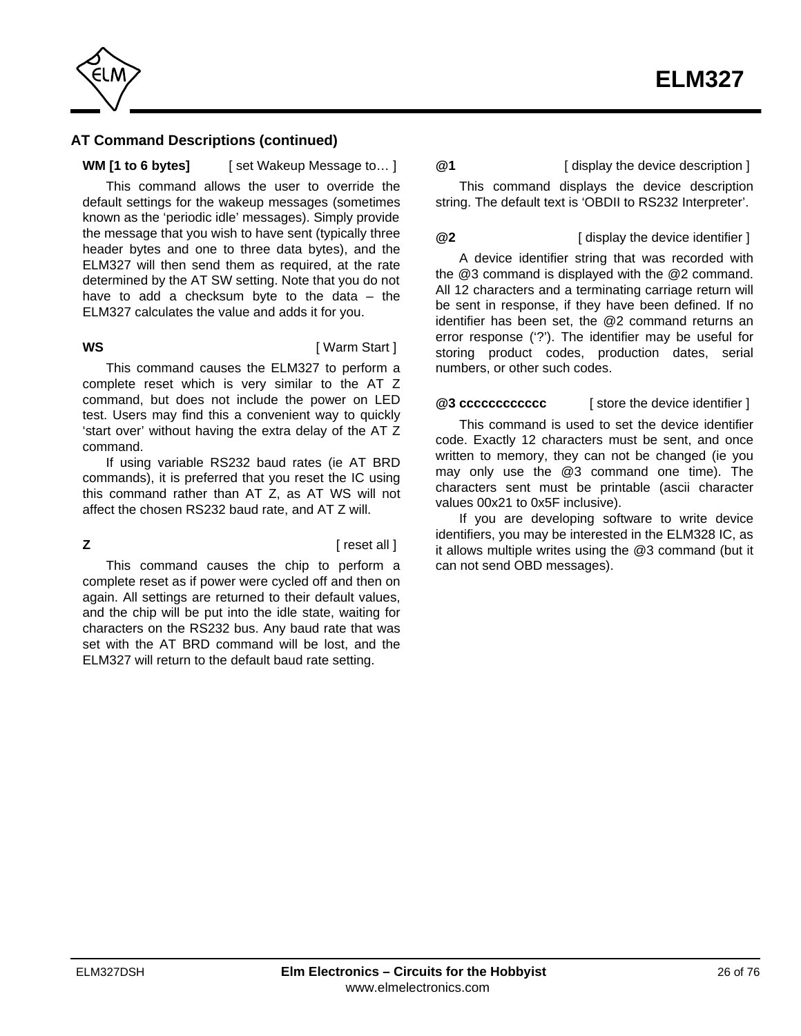

## **WM [1 to 6 bytes]** [ set Wakeup Message to… ]

This command allows the user to override the default settings for the wakeup messages (sometimes known as the 'periodic idle' messages). Simply provide the message that you wish to have sent (typically three header bytes and one to three data bytes), and the ELM327 will then send them as required, at the rate determined by the AT SW setting. Note that you do not have to add a checksum byte to the data  $-$  the ELM327 calculates the value and adds it for you.

**WS** [ Warm Start ]

This command causes the ELM327 to perform a complete reset which is very similar to the AT Z command, but does not include the power on LED test. Users may find this a convenient way to quickly 'start over' without having the extra delay of the AT Z command.

If using variable RS232 baud rates (ie AT BRD commands), it is preferred that you reset the IC using this command rather than AT Z, as AT WS will not affect the chosen RS232 baud rate, and AT Z will.

**Z** *Z C C C C C C C C C C C C C C C C C C* 

This command causes the chip to perform a complete reset as if power were cycled off and then on again. All settings are returned to their default values, and the chip will be put into the idle state, waiting for characters on the RS232 bus. Any baud rate that was set with the AT BRD command will be lost, and the ELM327 will return to the default baud rate setting.

## **@1** [ display the device description ]

This command displays the device description string. The default text is 'OBDII to RS232 Interpreter'.

### **@2** [ display the device identifier ]

A device identifier string that was recorded with the @3 command is displayed with the @2 command. All 12 characters and a terminating carriage return will be sent in response, if they have been defined. If no identifier has been set, the @2 command returns an error response ('?'). The identifier may be useful for storing product codes, production dates, serial

## **@3 cccccccccccc** [ store the device identifier ]

numbers, or other such codes.

This command is used to set the device identifier code. Exactly 12 characters must be sent, and once written to memory, they can not be changed (ie you may only use the @3 command one time). The characters sent must be printable (ascii character values 00x21 to 0x5F inclusive).

If you are developing software to write device identifiers, you may be interested in the ELM328 IC, as it allows multiple writes using the @3 command (but it can not send OBD messages).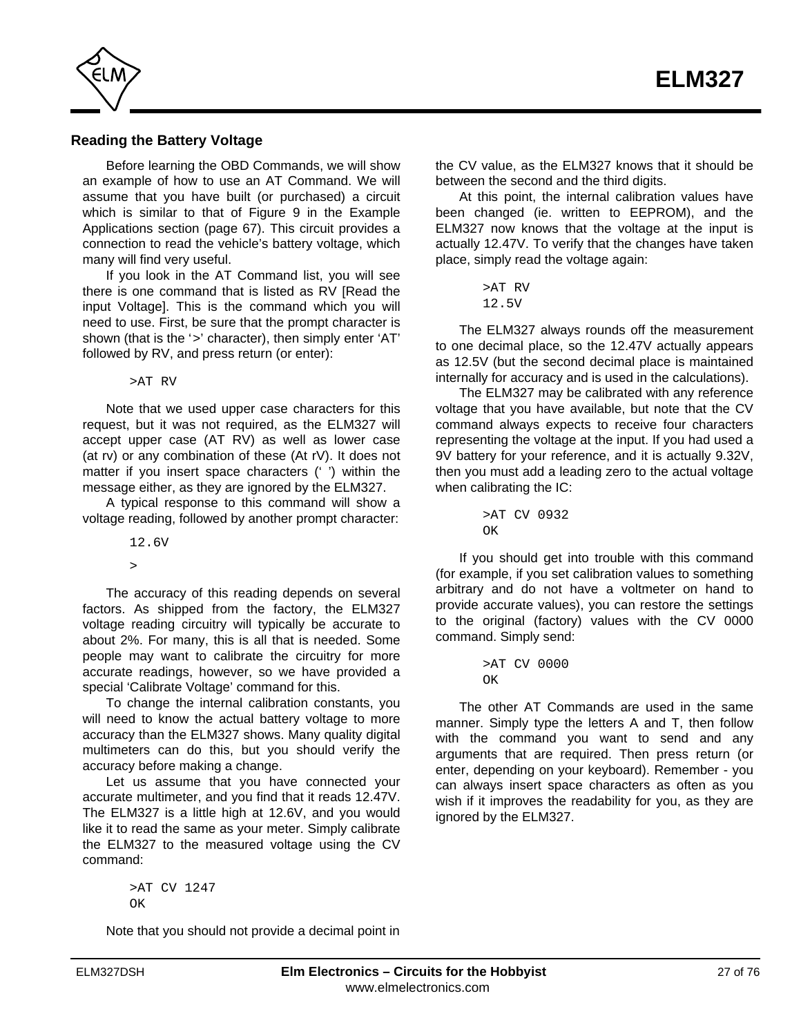<span id="page-26-0"></span>

### **Reading the Battery Voltage**

Before learning the OBD Commands, we will show an example of how to use an AT Command. We will assume that you have built (or purchased) a circuit which is similar to that of [Figure 9 in the Example](#page-66-0) [Applications section \(page 67\). T](#page-66-0)his circuit provides a connection to read the vehicle's battery voltage, which many will find very useful.

If you look in the AT Command list, you will see there is one command that is listed as RV [Read the input Voltage]. This is the command which you will need to use. First, be sure that the prompt character is shown (that is the '>' character), then simply enter 'AT' followed by RV, and press return (or enter):

>AT RV

Note that we used upper case characters for this request, but it was not required, as the ELM327 will accept upper case (AT RV) as well as lower case (at rv) or any combination of these (At rV). It does not matter if you insert space characters (' ') within the message either, as they are ignored by the ELM327.

A typical response to this command will show a voltage reading, followed by another prompt character:

12.6V

 $\overline{\phantom{a}}$ 

The accuracy of this reading depends on several factors. As shipped from the factory, the ELM327 voltage reading circuitry will typically be accurate to about 2%. For many, this is all that is needed. Some people may want to calibrate the circuitry for more accurate readings, however, so we have provided a special 'Calibrate Voltage' command for this.

To change the internal calibration constants, you will need to know the actual battery voltage to more accuracy than the ELM327 shows. Many quality digital multimeters can do this, but you should verify the accuracy before making a change.

Let us assume that you have connected your accurate multimeter, and you find that it reads 12.47V. The ELM327 is a little high at 12.6V, and you would like it to read the same as your meter. Simply calibrate the ELM327 to the measured voltage using the CV command:

> >AT CV 1247  $\cap$ K

Note that you should not provide a decimal point in

the CV value, as the ELM327 knows that it should be between the second and the third digits.

At this point, the internal calibration values have been changed (ie. written to EEPROM), and the ELM327 now knows that the voltage at the input is actually 12.47V. To verify that the changes have taken place, simply read the voltage again:

```
>AT RV
12.5V
```
The ELM327 always rounds off the measurement to one decimal place, so the 12.47V actually appears as 12.5V (but the second decimal place is maintained internally for accuracy and is used in the calculations).

The ELM327 may be calibrated with any reference voltage that you have available, but note that the CV command always expects to receive four characters representing the voltage at the input. If you had used a 9V battery for your reference, and it is actually 9.32V, then you must add a leading zero to the actual voltage when calibrating the IC:

```
>AT CV 0932
\capK
```
If you should get into trouble with this command (for example, if you set calibration values to something arbitrary and do not have a voltmeter on hand to provide accurate values), you can restore the settings to the original (factory) values with the CV 0000 command. Simply send:

```
>AT CV 0000
\capK
```
The other AT Commands are used in the same manner. Simply type the letters A and T, then follow with the command you want to send and any arguments that are required. Then press return (or enter, depending on your keyboard). Remember - you can always insert space characters as often as you wish if it improves the readability for you, as they are ignored by the ELM327.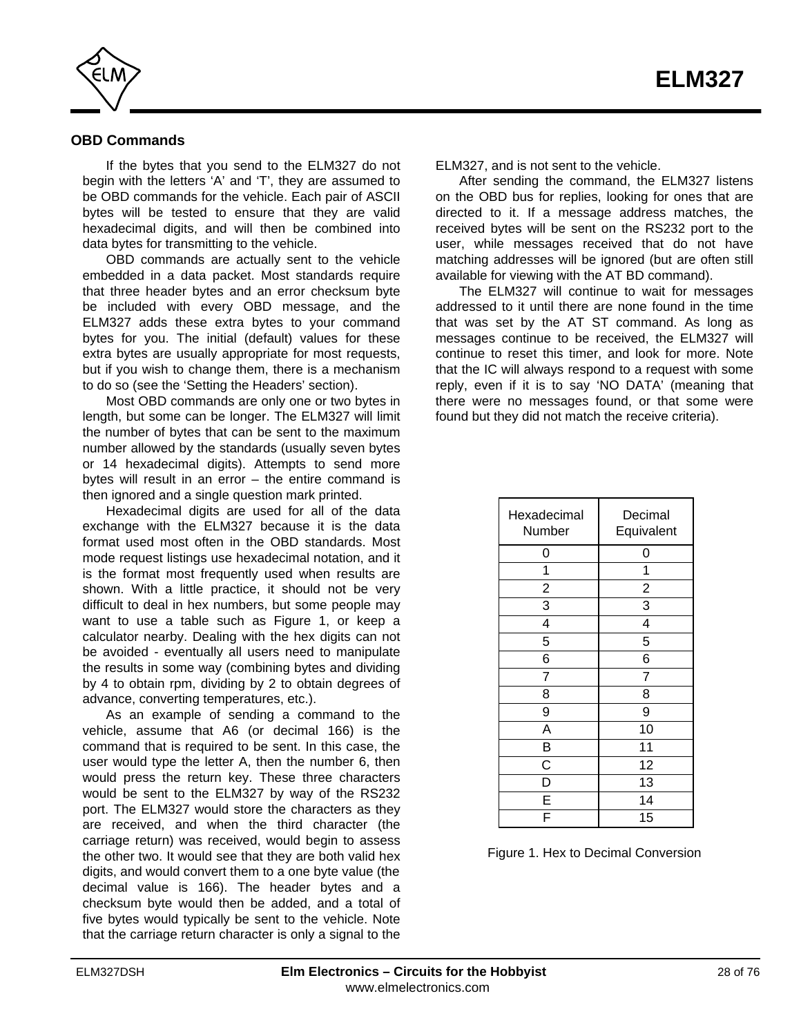<span id="page-27-0"></span>

## **OBD Commands**

If the bytes that you send to the ELM327 do not begin with the letters 'A' and 'T', they are assumed to be OBD commands for the vehicle. Each pair of ASCII bytes will be tested to ensure that they are valid hexadecimal digits, and will then be combined into data bytes for transmitting to the vehicle.

OBD commands are actually sent to the vehicle embedded in a data packet. Most standards require that three header bytes and an error checksum byte be included with every OBD message, and the ELM327 adds these extra bytes to your command bytes for you. The initial (default) values for these extra bytes are usually appropriate for most requests, but if you wish to change them, there is a mechanism to do so (see [the 'Setting the Headers' section\)](#page-36-0).

Most OBD commands are only one or two bytes in length, but some can be longer. The ELM327 will limit the number of bytes that can be sent to the maximum number allowed by the standards (usually seven bytes or 14 hexadecimal digits). Attempts to send more bytes will result in an error – the entire command is then ignored and a single question mark printed.

Hexadecimal digits are used for all of the data exchange with the ELM327 because it is the data format used most often in the OBD standards. Most mode request listings use hexadecimal notation, and it is the format most frequently used when results are shown. With a little practice, it should not be very difficult to deal in hex numbers, but some people may want to use a table such as Figure 1, or keep a calculator nearby. Dealing with the hex digits can not be avoided - eventually all users need to manipulate the results in some way (combining bytes and dividing by 4 to obtain rpm, dividing by 2 to obtain degrees of advance, converting temperatures, etc.).

As an example of sending a command to the vehicle, assume that A6 (or decimal 166) is the command that is required to be sent. In this case, the user would type the letter A, then the number 6, then would press the return key. These three characters would be sent to the ELM327 by way of the RS232 port. The ELM327 would store the characters as they are received, and when the third character (the carriage return) was received, would begin to assess the other two. It would see that they are both valid hex digits, and would convert them to a one byte value (the decimal value is 166). The header bytes and a checksum byte would then be added, and a total of five bytes would typically be sent to the vehicle. Note that the carriage return character is only a signal to the

ELM327, and is not sent to the vehicle.

After sending the command, the ELM327 listens on the OBD bus for replies, looking for ones that are directed to it. If a message address matches, the received bytes will be sent on the RS232 port to the user, while messages received that do not have matching addresses will be ignored (but are often still available for viewing with the AT BD command).

The ELM327 will continue to wait for messages addressed to it until there are none found in the time that was set by the AT ST command. As long as messages continue to be received, the ELM327 will continue to reset this timer, and look for more. Note that the IC will always respond to a request with some reply, even if it is to say 'NO DATA' (meaning that there were no messages found, or that some were found but they did not match the receive criteria).

| Hexadecimal<br>Number   | Decimal<br>Equivalent |
|-------------------------|-----------------------|
| 0                       | 0                     |
| 1                       | 1                     |
| $\overline{c}$          | $\overline{c}$        |
| 3                       | 3                     |
| $\overline{\mathbf{4}}$ | 4                     |
| 5                       | 5                     |
| 6                       | 6                     |
| 7                       | 7                     |
| 8                       | 8                     |
| 9                       | 9                     |
| A                       | 10                    |
| B                       | 11                    |
| C                       | 12                    |
| D                       | 13                    |
| E                       | 14                    |
|                         | 15                    |

Figure 1. Hex to Decimal Conversion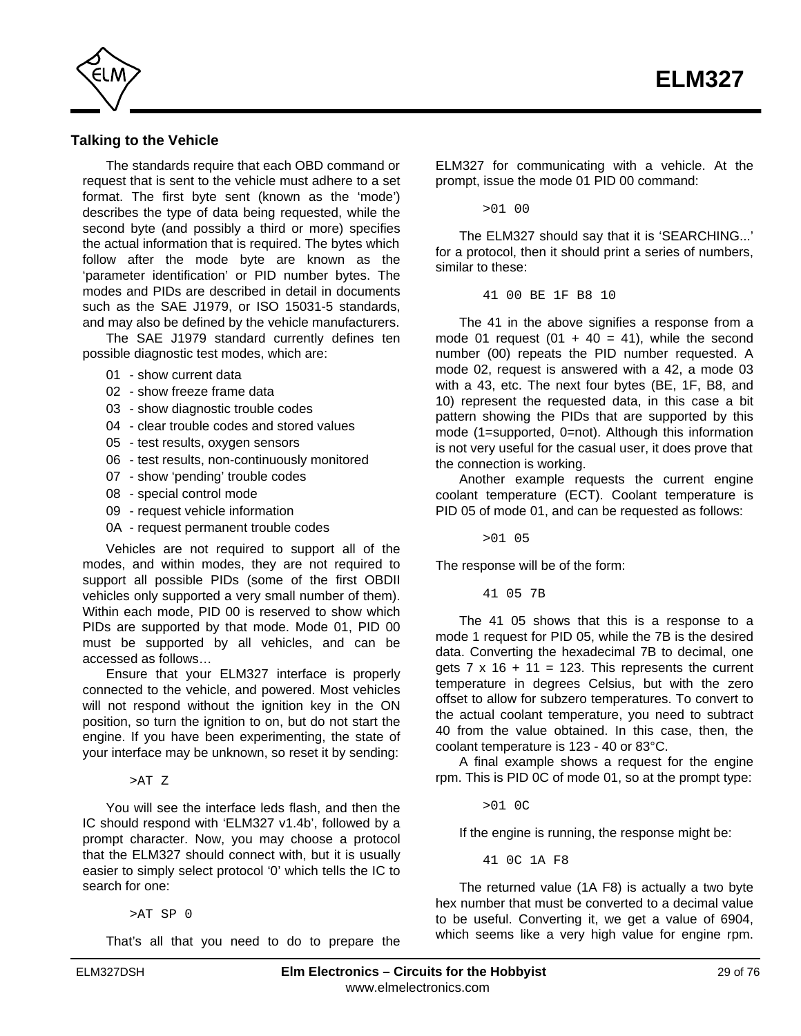<span id="page-28-0"></span>

## **Talking to the Vehicle**

The standards require that each OBD command or request that is sent to the vehicle must adhere to a set format. The first byte sent (known as the 'mode') describes the type of data being requested, while the second byte (and possibly a third or more) specifies the actual information that is required. The bytes which follow after the mode byte are known as the 'parameter identification' or PID number bytes. The modes and PIDs are described in detail in documents such as the SAE J1979, or ISO 15031-5 standards, and may also be defined by the vehicle manufacturers.

The SAE J1979 standard currently defines ten possible diagnostic test modes, which are:

- 01 show current data
- 02 show freeze frame data
- 03 show diagnostic trouble codes
- 04 clear trouble codes and stored values
- 05 test results, oxygen sensors
- 06 test results, non-continuously monitored
- 07 show 'pending' trouble codes
- 08 special control mode
- 09 request vehicle information
- 0A request permanent trouble codes

Vehicles are not required to support all of the modes, and within modes, they are not required to support all possible PIDs (some of the first OBDII vehicles only supported a very small number of them). Within each mode, PID 00 is reserved to show which PIDs are supported by that mode. Mode 01, PID 00 must be supported by all vehicles, and can be accessed as follows…

Ensure that your ELM327 interface is properly connected to the vehicle, and powered. Most vehicles will not respond without the ignition key in the ON position, so turn the ignition to on, but do not start the engine. If you have been experimenting, the state of your interface may be unknown, so reset it by sending:

>AT Z

You will see the interface leds flash, and then the IC should respond with 'ELM327 v1.4b', followed by a prompt character. Now, you may choose a protocol that the ELM327 should connect with, but it is usually easier to simply select protocol '0' which tells the IC to search for one:

>AT SP 0

That's all that you need to do to prepare the

ELM327 for communicating with a vehicle. At the prompt, issue the mode 01 PID 00 command:

>01 00

The ELM327 should say that it is 'SEARCHING...' for a protocol, then it should print a series of numbers, similar to these:

41 00 BE 1F B8 10

The 41 in the above signifies a response from a mode 01 request (01 + 40 = 41), while the second number (00) repeats the PID number requested. A mode 02, request is answered with a 42, a mode 03 with a 43, etc. The next four bytes (BE, 1F, B8, and 10) represent the requested data, in this case a bit pattern showing the PIDs that are supported by this mode (1=supported, 0=not). Although this information is not very useful for the casual user, it does prove that the connection is working.

Another example requests the current engine coolant temperature (ECT). Coolant temperature is PID 05 of mode 01, and can be requested as follows:

>01 05

The response will be of the form:

41 05 7B

The 41 05 shows that this is a response to a mode 1 request for PID 05, while the 7B is the desired data. Converting the hexadecimal 7B to decimal, one gets  $7 \times 16 + 11 = 123$ . This represents the current temperature in degrees Celsius, but with the zero offset to allow for subzero temperatures. To convert to the actual coolant temperature, you need to subtract 40 from the value obtained. In this case, then, the coolant temperature is 123 - 40 or 83°C.

A final example shows a request for the engine rpm. This is PID 0C of mode 01, so at the prompt type:

>01 0C

If the engine is running, the response might be:

41 0C 1A F8

The returned value (1A F8) is actually a two byte hex number that must be converted to a decimal value to be useful. Converting it, we get a value of 6904, which seems like a very high value for engine rpm.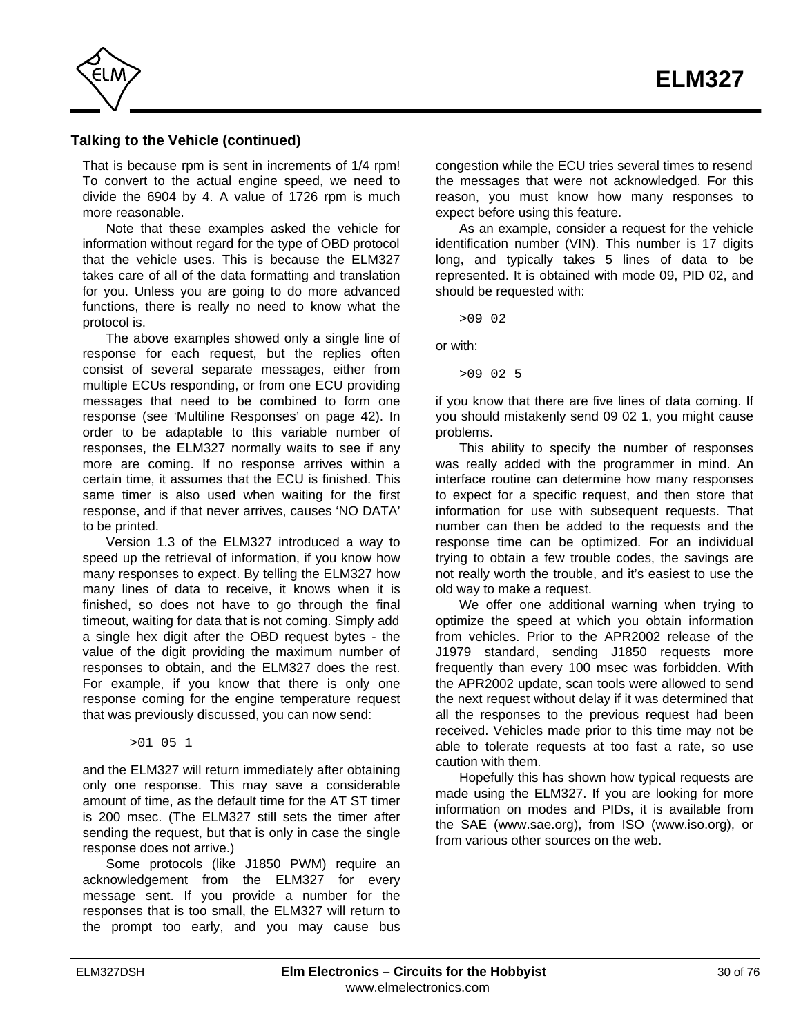

## **Talking to the Vehicle (continued)**

That is because rpm is sent in increments of 1/4 rpm! To convert to the actual engine speed, we need to divide the 6904 by 4. A value of 1726 rpm is much more reasonable.

Note that these examples asked the vehicle for information without regard for the type of OBD protocol that the vehicle uses. This is because the ELM327 takes care of all of the data formatting and translation for you. Unless you are going to do more advanced functions, there is really no need to know what the protocol is.

The above examples showed only a single line of response for each request, but the replies often consist of several separate messages, either from multiple ECUs responding, or from one ECU providing messages that need to be combined to form one response (se[e 'Multiline Responses' on page 42\).](#page-41-0) In order to be adaptable to this variable number of responses, the ELM327 normally waits to see if any more are coming. If no response arrives within a certain time, it assumes that the ECU is finished. This same timer is also used when waiting for the first response, and if that never arrives, causes 'NO DATA' to be printed.

Version 1.3 of the ELM327 introduced a way to speed up the retrieval of information, if you know how many responses to expect. By telling the ELM327 how many lines of data to receive, it knows when it is finished, so does not have to go through the final timeout, waiting for data that is not coming. Simply add a single hex digit after the OBD request bytes - the value of the digit providing the maximum number of responses to obtain, and the ELM327 does the rest. For example, if you know that there is only one response coming for the engine temperature request that was previously discussed, you can now send:

>01 05 1

and the ELM327 will return immediately after obtaining only one response. This may save a considerable amount of time, as the default time for the AT ST timer is 200 msec. (The ELM327 still sets the timer after sending the request, but that is only in case the single response does not arrive.)

Some protocols (like J1850 PWM) require an acknowledgement from the ELM327 for every message sent. If you provide a number for the responses that is too small, the ELM327 will return to the prompt too early, and you may cause bus

congestion while the ECU tries several times to resend the messages that were not acknowledged. For this reason, you must know how many responses to expect before using this feature.

As an example, consider a request for the vehicle identification number (VIN). This number is 17 digits long, and typically takes 5 lines of data to be represented. It is obtained with mode 09, PID 02, and should be requested with:

>09 02

or with:

>09 02 5

if you know that there are five lines of data coming. If you should mistakenly send 09 02 1, you might cause problems.

This ability to specify the number of responses was really added with the programmer in mind. An interface routine can determine how many responses to expect for a specific request, and then store that information for use with subsequent requests. That number can then be added to the requests and the response time can be optimized. For an individual trying to obtain a few trouble codes, the savings are not really worth the trouble, and it's easiest to use the old way to make a request.

We offer one additional warning when trying to optimize the speed at which you obtain information from vehicles. Prior to the APR2002 release of the J1979 standard, sending J1850 requests more frequently than every 100 msec was forbidden. With the APR2002 update, scan tools were allowed to send the next request without delay if it was determined that all the responses to the previous request had been received. Vehicles made prior to this time may not be able to tolerate requests at too fast a rate, so use caution with them.

Hopefully this has shown how typical requests are made using the ELM327. If you are looking for more information on modes and PIDs, it is available from the SAE (www.sae.org), from ISO (www.iso.org), or from various other sources on the web.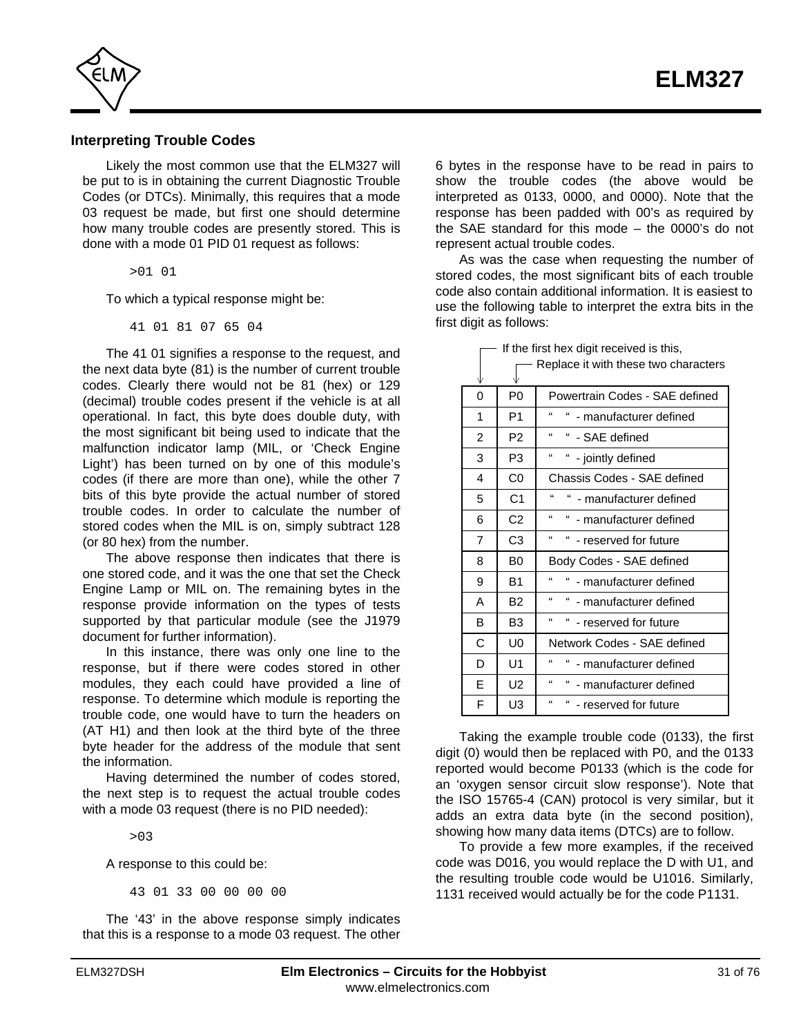<span id="page-30-0"></span>

### **Interpreting Trouble Codes**

Likely the most common use that the ELM327 will be put to is in obtaining the current Diagnostic Trouble Codes (or DTCs). Minimally, this requires that a mode 03 request be made, but first one should determine how many trouble codes are presently stored. This is done with a mode 01 PID 01 request as follows:

>01 01

To which a typical response might be:

41 01 81 07 65 04

The 41 01 signifies a response to the request, and the next data byte (81) is the number of current trouble codes. Clearly there would not be 81 (hex) or 129 (decimal) trouble codes present if the vehicle is at all operational. In fact, this byte does double duty, with the most significant bit being used to indicate that the malfunction indicator lamp (MIL, or 'Check Engine Light') has been turned on by one of this module's codes (if there are more than one), while the other 7 bits of this byte provide the actual number of stored trouble codes. In order to calculate the number of stored codes when the MIL is on, simply subtract 128 (or 80 hex) from the number.

The above response then indicates that there is one stored code, and it was the one that set the Check Engine Lamp or MIL on. The remaining bytes in the response provide information on the types of tests supported by that particular module (see the J1979 document for further information).

In this instance, there was only one line to the response, but if there were codes stored in other modules, they each could have provided a line of response. To determine which module is reporting the trouble code, one would have to turn the headers on (AT H1) and then look at the third byte of the three byte header for the address of the module that sent the information.

Having determined the number of codes stored, the next step is to request the actual trouble codes with a mode 03 request (there is no PID needed):

>03

A response to this could be:

43 01 33 00 00 00 00

The '43' in the above response simply indicates that this is a response to a mode 03 request. The other 6 bytes in the response have to be read in pairs to show the trouble codes (the above would be interpreted as 0133, 0000, and 0000). Note that the response has been padded with 00's as required by the SAE standard for this mode – the 0000's do not represent actual trouble codes.

As was the case when requesting the number of stored codes, the most significant bits of each trouble code also contain additional information. It is easiest to use the following table to interpret the extra bits in the first digit as follows:

| V | Replace it with these two characters |                                                     |  |  |  |  |  |
|---|--------------------------------------|-----------------------------------------------------|--|--|--|--|--|
| 0 | P0                                   | Powertrain Codes - SAE defined                      |  |  |  |  |  |
| 1 | P <sub>1</sub>                       | $\epsilon$<br>"<br>- manufacturer defined           |  |  |  |  |  |
| 2 | P <sub>2</sub>                       | $\mathbf{G}$<br>" - SAE defined                     |  |  |  |  |  |
| 3 | P <sub>3</sub>                       | $\epsilon$<br>"<br>- jointly defined                |  |  |  |  |  |
| 4 | C <sub>0</sub>                       | Chassis Codes - SAE defined                         |  |  |  |  |  |
| 5 | C1                                   | $\epsilon$<br>" - manufacturer defined              |  |  |  |  |  |
| 6 | C <sub>2</sub>                       | $\epsilon$<br>" - manufacturer defined              |  |  |  |  |  |
| 7 | C3                                   | $\mathbf{g}$<br>"<br>- reserved for future          |  |  |  |  |  |
| 8 | B <sub>0</sub>                       | Body Codes - SAE defined                            |  |  |  |  |  |
| 9 | B <sub>1</sub>                       | $\epsilon$<br>" - manufacturer defined              |  |  |  |  |  |
| А | <b>B2</b>                            | $\mathbf{f}$<br>" - manufacturer defined            |  |  |  |  |  |
| В | B <sub>3</sub>                       | $\epsilon$<br>$\mathbf{f}$<br>- reserved for future |  |  |  |  |  |
| C | U <sub>0</sub>                       | Network Codes - SAE defined                         |  |  |  |  |  |
| D | U1                                   | $\mathbf{G}$<br>"<br>- manufacturer defined         |  |  |  |  |  |
| E | U <sub>2</sub>                       | $\mathbf{f}$<br>"<br>- manufacturer defined         |  |  |  |  |  |
| F | U3                                   | "<br>" - reserved for future                        |  |  |  |  |  |

 $\Box$  If the first hex digit received is this,

Taking the example trouble code (0133), the first digit (0) would then be replaced with P0, and the 0133 reported would become P0133 (which is the code for an 'oxygen sensor circuit slow response'). Note that the ISO 15765-4 (CAN) protocol is very similar, but it adds an extra data byte (in the second position), showing how many data items (DTCs) are to follow.

To provide a few more examples, if the received code was D016, you would replace the D with U1, and the resulting trouble code would be U1016. Similarly, 1131 received would actually be for the code P1131.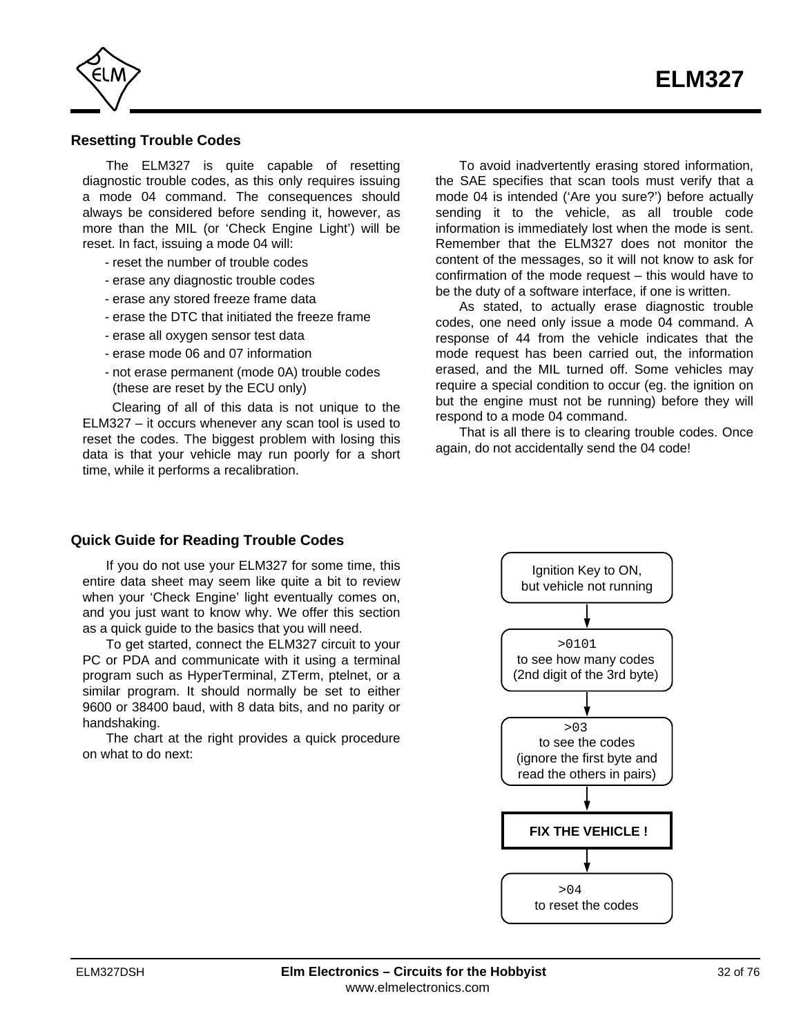<span id="page-31-0"></span>

## **Resetting Trouble Codes**

The ELM327 is quite capable of resetting diagnostic trouble codes, as this only requires issuing a mode 04 command. The consequences should always be considered before sending it, however, as more than the MIL (or 'Check Engine Light') will be reset. In fact, issuing a mode 04 will:

- reset the number of trouble codes
- erase any diagnostic trouble codes
- erase any stored freeze frame data
- erase the DTC that initiated the freeze frame
- erase all oxygen sensor test data
- erase mode 06 and 07 information
- not erase permanent (mode 0A) trouble codes (these are reset by the ECU only)

 Clearing of all of this data is not unique to the ELM327 – it occurs whenever any scan tool is used to reset the codes. The biggest problem with losing this data is that your vehicle may run poorly for a short time, while it performs a recalibration.

To avoid inadvertently erasing stored information, the SAE specifies that scan tools must verify that a mode 04 is intended ('Are you sure?') before actually sending it to the vehicle, as all trouble code information is immediately lost when the mode is sent. Remember that the ELM327 does not monitor the content of the messages, so it will not know to ask for confirmation of the mode request – this would have to be the duty of a software interface, if one is written.

As stated, to actually erase diagnostic trouble codes, one need only issue a mode 04 command. A response of 44 from the vehicle indicates that the mode request has been carried out, the information erased, and the MIL turned off. Some vehicles may require a special condition to occur (eg. the ignition on but the engine must not be running) before they will respond to a mode 04 command.

That is all there is to clearing trouble codes. Once again, do not accidentally send the 04 code!

### **Quick Guide for Reading Trouble Codes**

If you do not use your ELM327 for some time, this entire data sheet may seem like quite a bit to review when your 'Check Engine' light eventually comes on, and you just want to know why. We offer this section as a quick guide to the basics that you will need.

To get started, connect the ELM327 circuit to your PC or PDA and communicate with it using a terminal program such as HyperTerminal, ZTerm, ptelnet, or a similar program. It should normally be set to either 9600 or 38400 baud, with 8 data bits, and no parity or handshaking.

The chart at the right provides a quick procedure on what to do next:

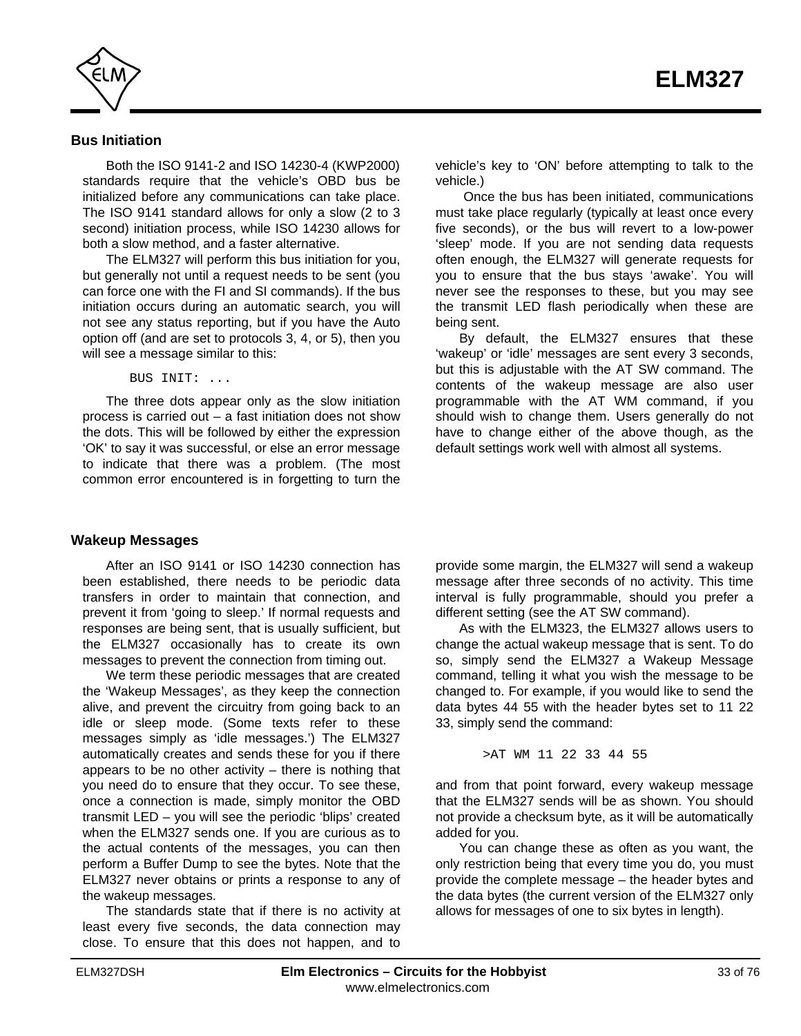<span id="page-32-0"></span>

## **Bus Initiation**

Both the ISO 9141-2 and ISO 14230-4 (KWP2000) standards require that the vehicle's OBD bus be initialized before any communications can take place. The ISO 9141 standard allows for only a slow (2 to 3 second) initiation process, while ISO 14230 allows for both a slow method, and a faster alternative.

The ELM327 will perform this bus initiation for you, but generally not until a request needs to be sent (you can force one with the FI and SI commands). If the bus initiation occurs during an automatic search, you will not see any status reporting, but if you have the Auto option off (and are set to protocols 3, 4, or 5), then you will see a message similar to this:

BUS INIT: ...

The three dots appear only as the slow initiation process is carried out – a fast initiation does not show the dots. This will be followed by either the expression 'OK' to say it was successful, or else an error message to indicate that there was a problem. (The most common error encountered is in forgetting to turn the

### **Wakeup Messages**

After an ISO 9141 or ISO 14230 connection has been established, there needs to be periodic data transfers in order to maintain that connection, and prevent it from 'going to sleep.' If normal requests and responses are being sent, that is usually sufficient, but the ELM327 occasionally has to create its own messages to prevent the connection from timing out.

We term these periodic messages that are created the 'Wakeup Messages', as they keep the connection alive, and prevent the circuitry from going back to an idle or sleep mode. (Some texts refer to these messages simply as 'idle messages.') The ELM327 automatically creates and sends these for you if there appears to be no other activity  $-$  there is nothing that you need do to ensure that they occur. To see these, once a connection is made, simply monitor the OBD transmit LED – you will see the periodic 'blips' created when the ELM327 sends one. If you are curious as to the actual contents of the messages, you can then perform a Buffer Dump to see the bytes. Note that the ELM327 never obtains or prints a response to any of the wakeup messages.

The standards state that if there is no activity at least every five seconds, the data connection may close. To ensure that this does not happen, and to

vehicle's key to 'ON' before attempting to talk to the vehicle.)

 Once the bus has been initiated, communications must take place regularly (typically at least once every five seconds), or the bus will revert to a low-power 'sleep' mode. If you are not sending data requests often enough, the ELM327 will generate requests for you to ensure that the bus stays 'awake'. You will never see the responses to these, but you may see the transmit LED flash periodically when these are being sent.

By default, the ELM327 ensures that these 'wakeup' or 'idle' messages are sent every 3 seconds, but this is adjustable with the AT SW command. The contents of the wakeup message are also user programmable with the AT WM command, if you should wish to change them. Users generally do not have to change either of the above though, as the default settings work well with almost all systems.

provide some margin, the ELM327 will send a wakeup message after three seconds of no activity. This time interval is fully programmable, should you prefer a different setting (see the AT SW command).

As with the ELM323, the ELM327 allows users to change the actual wakeup message that is sent. To do so, simply send the ELM327 a Wakeup Message command, telling it what you wish the message to be changed to. For example, if you would like to send the data bytes 44 55 with the header bytes set to 11 22 33, simply send the command:

>AT WM 11 22 33 44 55

and from that point forward, every wakeup message that the ELM327 sends will be as shown. You should not provide a checksum byte, as it will be automatically added for you.

You can change these as often as you want, the only restriction being that every time you do, you must provide the complete message – the header bytes and the data bytes (the current version of the ELM327 only allows for messages of one to six bytes in length).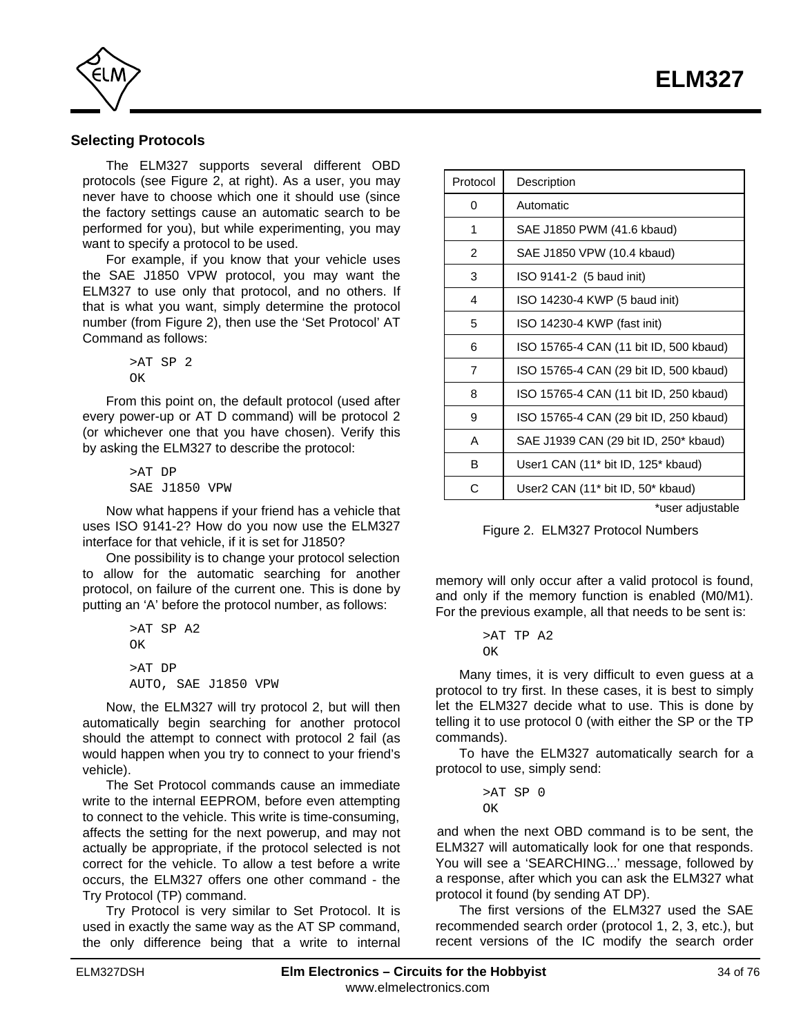<span id="page-33-0"></span>

## **Selecting Protocols**

The ELM327 supports several different OBD protocols (see Figure 2, at right). As a user, you may never have to choose which one it should use (since the factory settings cause an automatic search to be performed for you), but while experimenting, you may want to specify a protocol to be used.

For example, if you know that your vehicle uses the SAE J1850 VPW protocol, you may want the ELM327 to use only that protocol, and no others. If that is what you want, simply determine the protocol number (from Figure 2), then use the 'Set Protocol' AT Command as follows:

> >AT SP 2 OK

From this point on, the default protocol (used after every power-up or AT D command) will be protocol 2 (or whichever one that you have chosen). Verify this by asking the ELM327 to describe the protocol:

> >AT DP SAE J1850 VPW

Now what happens if your friend has a vehicle that uses ISO 9141-2? How do you now use the ELM327 interface for that vehicle, if it is set for J1850?

One possibility is to change your protocol selection to allow for the automatic searching for another protocol, on failure of the current one. This is done by putting an 'A' before the protocol number, as follows:

```
>AT SP A2
OK
>AT DP
AUTO, SAE J1850 VPW
```
Now, the ELM327 will try protocol 2, but will then automatically begin searching for another protocol should the attempt to connect with protocol 2 fail (as would happen when you try to connect to your friend's vehicle).

The Set Protocol commands cause an immediate write to the internal EEPROM, before even attempting to connect to the vehicle. This write is time-consuming, affects the setting for the next powerup, and may not actually be appropriate, if the protocol selected is not correct for the vehicle. To allow a test before a write occurs, the ELM327 offers one other command - the Try Protocol (TP) command.

Try Protocol is very similar to Set Protocol. It is used in exactly the same way as the AT SP command, the only difference being that a write to internal

| Protocol                           | Description                                                |  |  |  |  |
|------------------------------------|------------------------------------------------------------|--|--|--|--|
| 0                                  | Automatic                                                  |  |  |  |  |
| 1                                  | SAE J1850 PWM (41.6 kbaud)                                 |  |  |  |  |
| $\overline{2}$                     | SAE J1850 VPW (10.4 kbaud)                                 |  |  |  |  |
| 3                                  | ISO 9141-2 (5 baud init)                                   |  |  |  |  |
| 4<br>ISO 14230-4 KWP (5 baud init) |                                                            |  |  |  |  |
| 5<br>ISO 14230-4 KWP (fast init)   |                                                            |  |  |  |  |
| 6                                  | ISO 15765-4 CAN (11 bit ID, 500 kbaud)                     |  |  |  |  |
| $\overline{7}$                     | ISO 15765-4 CAN (29 bit ID, 500 kbaud)                     |  |  |  |  |
| 8                                  | ISO 15765-4 CAN (11 bit ID, 250 kbaud)                     |  |  |  |  |
| 9                                  | ISO 15765-4 CAN (29 bit ID, 250 kbaud)                     |  |  |  |  |
| A                                  | SAE J1939 CAN (29 bit ID, 250* kbaud)                      |  |  |  |  |
| B                                  | User1 CAN (11 <sup>*</sup> bit ID, 125 <sup>*</sup> kbaud) |  |  |  |  |
| С                                  | User2 CAN (11 <sup>*</sup> bit ID, 50 <sup>*</sup> kbaud)  |  |  |  |  |
| *user adjustable                   |                                                            |  |  |  |  |

Figure 2. ELM327 Protocol Numbers

memory will only occur after a valid protocol is found, and only if the memory function is enabled (M0/M1). For the previous example, all that needs to be sent is:

> >AT TP A2 OK

Many times, it is very difficult to even guess at a protocol to try first. In these cases, it is best to simply let the ELM327 decide what to use. This is done by telling it to use protocol 0 (with either the SP or the TP commands).

To have the ELM327 automatically search for a protocol to use, simply send:

> >AT SP 0 OK

and when the next OBD command is to be sent, the ELM327 will automatically look for one that responds. You will see a 'SEARCHING...' message, followed by a response, after which you can ask the ELM327 what protocol it found (by sending AT DP).

The first versions of the ELM327 used the SAE recommended search order (protocol 1, 2, 3, etc.), but recent versions of the IC modify the search order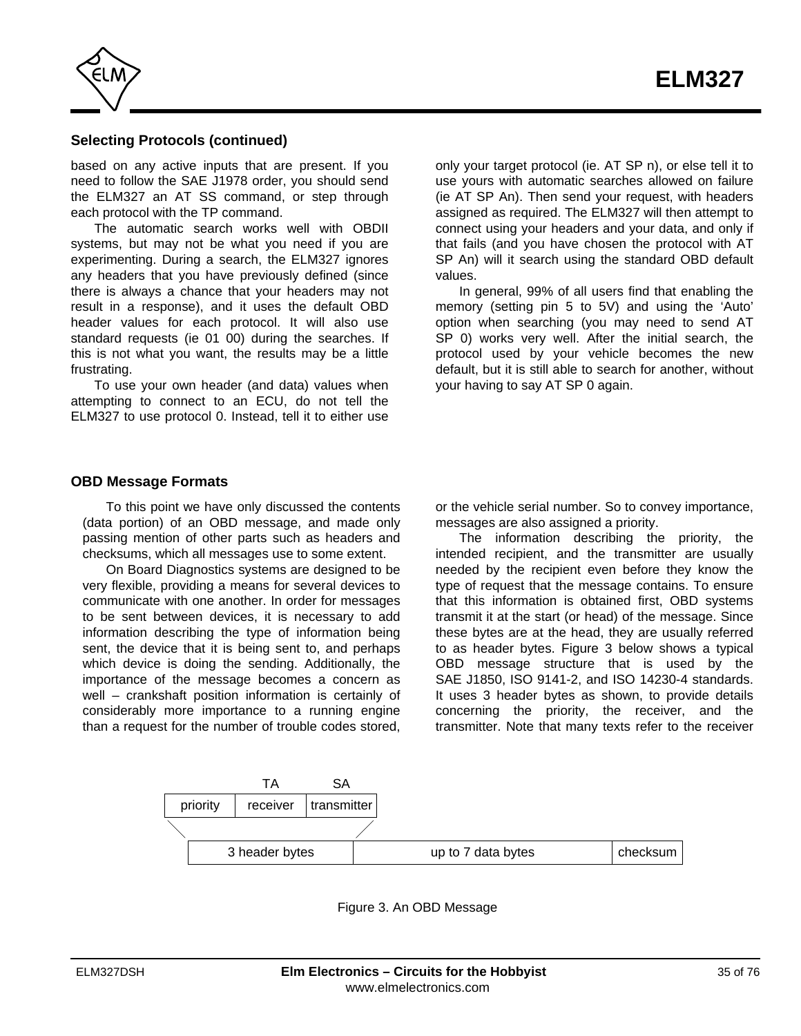<span id="page-34-0"></span>

## **Selecting Protocols (continued)**

based on any active inputs that are present. If you need to follow the SAE J1978 order, you should send the ELM327 an AT SS command, or step through each protocol with the TP command.

The automatic search works well with OBDII systems, but may not be what you need if you are experimenting. During a search, the ELM327 ignores any headers that you have previously defined (since there is always a chance that your headers may not result in a response), and it uses the default OBD header values for each protocol. It will also use standard requests (ie 01 00) during the searches. If this is not what you want, the results may be a little frustrating.

To use your own header (and data) values when attempting to connect to an ECU, do not tell the ELM327 to use protocol 0. Instead, tell it to either use

only your target protocol (ie. AT SP n), or else tell it to use yours with automatic searches allowed on failure (ie AT SP An). Then send your request, with headers assigned as required. The ELM327 will then attempt to connect using your headers and your data, and only if that fails (and you have chosen the protocol with AT SP An) will it search using the standard OBD default values.

In general, 99% of all users find that enabling the memory (setting pin 5 to 5V) and using the 'Auto' option when searching (you may need to send AT SP 0) works very well. After the initial search, the protocol used by your vehicle becomes the new default, but it is still able to search for another, without your having to say AT SP 0 again.

## **OBD Message Formats**

To this point we have only discussed the contents (data portion) of an OBD message, and made only passing mention of other parts such as headers and checksums, which all messages use to some extent.

On Board Diagnostics systems are designed to be very flexible, providing a means for several devices to communicate with one another. In order for messages to be sent between devices, it is necessary to add information describing the type of information being sent, the device that it is being sent to, and perhaps which device is doing the sending. Additionally, the importance of the message becomes a concern as well – crankshaft position information is certainly of considerably more importance to a running engine than a request for the number of trouble codes stored,

or the vehicle serial number. So to convey importance, messages are also assigned a priority.

The information describing the priority, the intended recipient, and the transmitter are usually needed by the recipient even before they know the type of request that the message contains. To ensure that this information is obtained first, OBD systems transmit it at the start (or head) of the message. Since these bytes are at the head, they are usually referred to as header bytes. Figure 3 below shows a typical OBD message structure that is used by the SAE J1850, ISO 9141-2, and ISO 14230-4 standards. It uses 3 header bytes as shown, to provide details concerning the priority, the receiver, and the transmitter. Note that many texts refer to the receiver



Figure 3. An OBD Message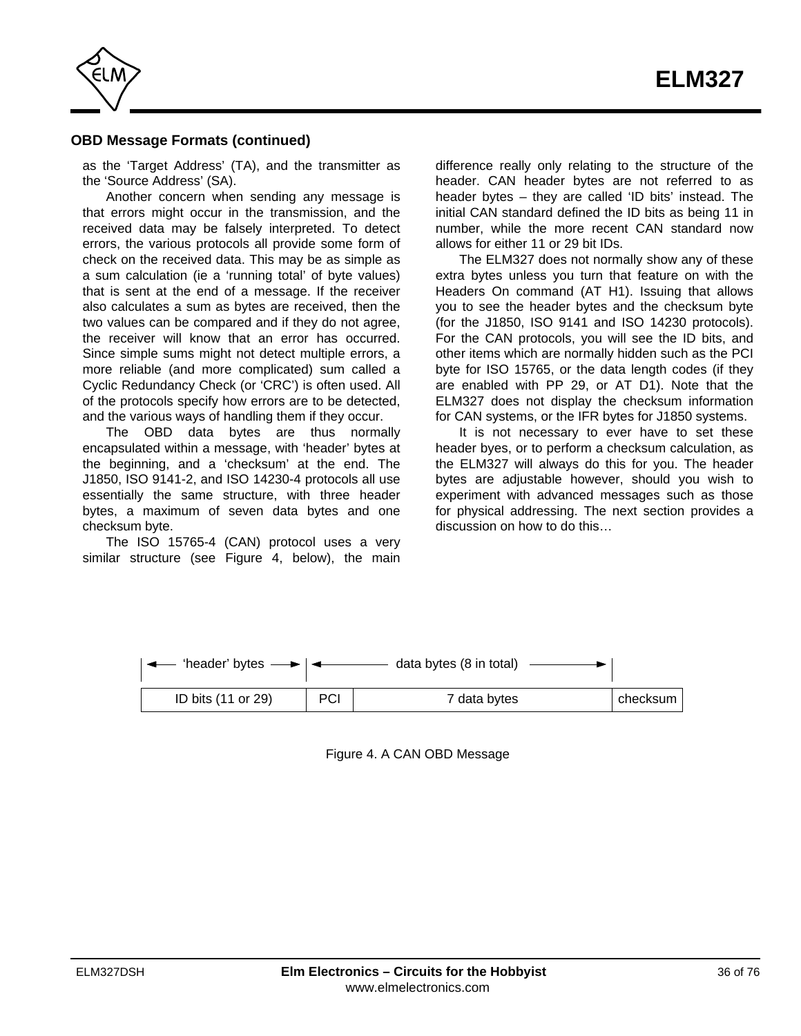

## **OBD Message Formats (continued)**

as the 'Target Address' (TA), and the transmitter as the 'Source Address' (SA).

Another concern when sending any message is that errors might occur in the transmission, and the received data may be falsely interpreted. To detect errors, the various protocols all provide some form of check on the received data. This may be as simple as a sum calculation (ie a 'running total' of byte values) that is sent at the end of a message. If the receiver also calculates a sum as bytes are received, then the two values can be compared and if they do not agree, the receiver will know that an error has occurred. Since simple sums might not detect multiple errors, a more reliable (and more complicated) sum called a Cyclic Redundancy Check (or 'CRC') is often used. All of the protocols specify how errors are to be detected, and the various ways of handling them if they occur.

The OBD data bytes are thus normally encapsulated within a message, with 'header' bytes at the beginning, and a 'checksum' at the end. The J1850, ISO 9141-2, and ISO 14230-4 protocols all use essentially the same structure, with three header bytes, a maximum of seven data bytes and one checksum byte.

The ISO 15765-4 (CAN) protocol uses a very similar structure (see Figure 4, below), the main difference really only relating to the structure of the header. CAN header bytes are not referred to as header bytes – they are called 'ID bits' instead. The initial CAN standard defined the ID bits as being 11 in number, while the more recent CAN standard now allows for either 11 or 29 bit IDs.

The ELM327 does not normally show any of these extra bytes unless you turn that feature on with the Headers On command (AT H1). Issuing that allows you to see the header bytes and the checksum byte (for the J1850, ISO 9141 and ISO 14230 protocols). For the CAN protocols, you will see the ID bits, and other items which are normally hidden such as the PCI byte for ISO 15765, or the data length codes (if they are enabled with PP 29, or AT D1). Note that the ELM327 does not display the checksum information for CAN systems, or the IFR bytes for J1850 systems.

It is not necessary to ever have to set these header byes, or to perform a checksum calculation, as the ELM327 will always do this for you. The header bytes are adjustable however, should you wish to experiment with advanced messages such as those for physical addressing. The next section provides a discussion on how to do this…

| $\left  \right. \leftarrow$ 'header' bytes |            | data bytes (8 in total) |          |
|--------------------------------------------|------------|-------------------------|----------|
| ID bits (11 or 29)                         | <b>PCI</b> | 7 data bytes            | checksum |

Figure 4. A CAN OBD Message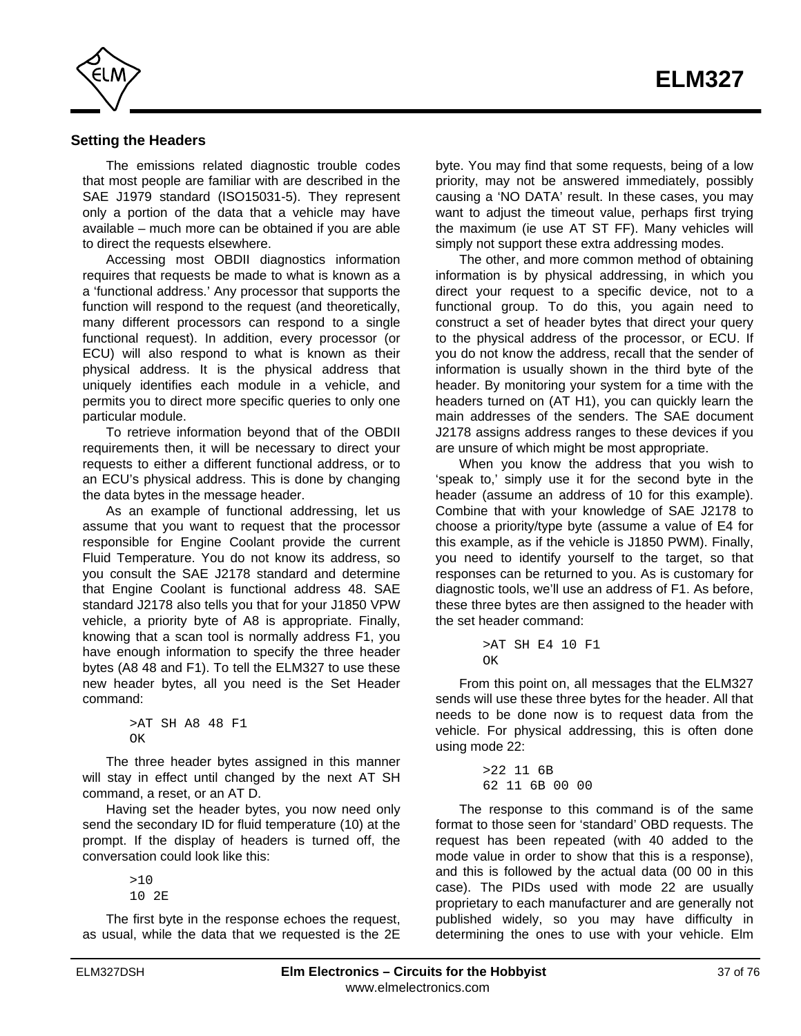

## **Setting the Headers**

The emissions related diagnostic trouble codes that most people are familiar with are described in the SAE J1979 standard (ISO15031-5). They represent only a portion of the data that a vehicle may have available – much more can be obtained if you are able to direct the requests elsewhere.

Accessing most OBDII diagnostics information requires that requests be made to what is known as a a 'functional address.' Any processor that supports the function will respond to the request (and theoretically, many different processors can respond to a single functional request). In addition, every processor (or ECU) will also respond to what is known as their physical address. It is the physical address that uniquely identifies each module in a vehicle, and permits you to direct more specific queries to only one particular module.

To retrieve information beyond that of the OBDII requirements then, it will be necessary to direct your requests to either a different functional address, or to an ECU's physical address. This is done by changing the data bytes in the message header.

As an example of functional addressing, let us assume that you want to request that the processor responsible for Engine Coolant provide the current Fluid Temperature. You do not know its address, so you consult the SAE J2178 standard and determine that Engine Coolant is functional address 48. SAE standard J2178 also tells you that for your J1850 VPW vehicle, a priority byte of A8 is appropriate. Finally, knowing that a scan tool is normally address F1, you have enough information to specify the three header bytes (A8 48 and F1). To tell the ELM327 to use these new header bytes, all you need is the Set Header command:

```
>AT SH A8 48 F1
\capK
```
The three header bytes assigned in this manner will stay in effect until changed by the next AT SH command, a reset, or an AT D.

Having set the header bytes, you now need only send the secondary ID for fluid temperature (10) at the prompt. If the display of headers is turned off, the conversation could look like this:

> $510$ 10 2E

The first byte in the response echoes the request, as usual, while the data that we requested is the 2E byte. You may find that some requests, being of a low priority, may not be answered immediately, possibly causing a 'NO DATA' result. In these cases, you may want to adjust the timeout value, perhaps first trying the maximum (ie use AT ST FF). Many vehicles will simply not support these extra addressing modes.

The other, and more common method of obtaining information is by physical addressing, in which you direct your request to a specific device, not to a functional group. To do this, you again need to construct a set of header bytes that direct your query to the physical address of the processor, or ECU. If you do not know the address, recall that the sender of information is usually shown in the third byte of the header. By monitoring your system for a time with the headers turned on (AT H1), you can quickly learn the main addresses of the senders. The SAE document J2178 assigns address ranges to these devices if you are unsure of which might be most appropriate.

When you know the address that you wish to 'speak to,' simply use it for the second byte in the header (assume an address of 10 for this example). Combine that with your knowledge of SAE J2178 to choose a priority/type byte (assume a value of E4 for this example, as if the vehicle is J1850 PWM). Finally, you need to identify yourself to the target, so that responses can be returned to you. As is customary for diagnostic tools, we'll use an address of F1. As before, these three bytes are then assigned to the header with the set header command:

```
>AT SH E4 10 F1
\capK
```
From this point on, all messages that the ELM327 sends will use these three bytes for the header. All that needs to be done now is to request data from the vehicle. For physical addressing, this is often done using mode 22:

> >22 11 6B 62 11 6B 00 00

The response to this command is of the same format to those seen for 'standard' OBD requests. The request has been repeated (with 40 added to the mode value in order to show that this is a response), and this is followed by the actual data (00 00 in this case). The PIDs used with mode 22 are usually proprietary to each manufacturer and are generally not published widely, so you may have difficulty in determining the ones to use with your vehicle. Elm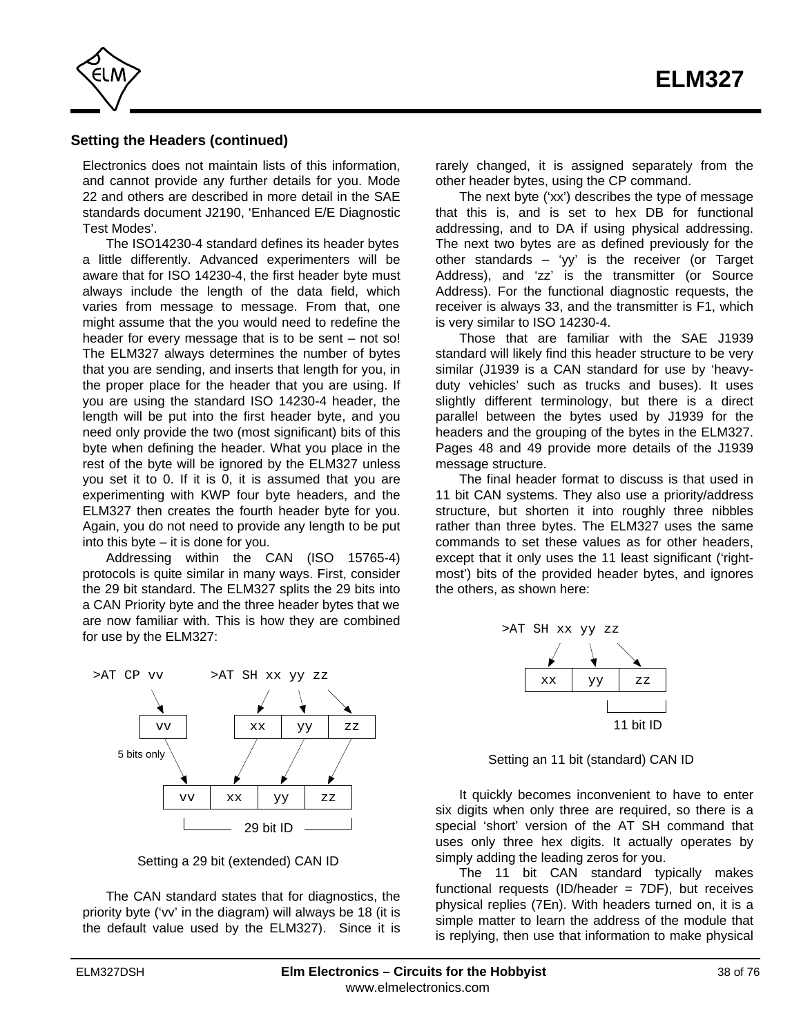

## **Setting the Headers (continued)**

Electronics does not maintain lists of this information, and cannot provide any further details for you. Mode 22 and others are described in more detail in the SAE standards document J2190, 'Enhanced E/E Diagnostic Test Modes'.

The ISO14230-4 standard defines its header bytes a little differently. Advanced experimenters will be aware that for ISO 14230-4, the first header byte must always include the length of the data field, which varies from message to message. From that, one might assume that the you would need to redefine the header for every message that is to be sent – not so! The ELM327 always determines the number of bytes that you are sending, and inserts that length for you, in the proper place for the header that you are using. If you are using the standard ISO 14230-4 header, the length will be put into the first header byte, and you need only provide the two (most significant) bits of this byte when defining the header. What you place in the rest of the byte will be ignored by the ELM327 unless you set it to 0. If it is 0, it is assumed that you are experimenting with KWP four byte headers, and the ELM327 then creates the fourth header byte for you. Again, you do not need to provide any length to be put into this byte – it is done for you.

Addressing within the CAN (ISO 15765-4) protocols is quite similar in many ways. First, consider the 29 bit standard. The ELM327 splits the 29 bits into a CAN Priority byte and the three header bytes that we are now familiar with. This is how they are combined for use by the ELM327:



Setting a 29 bit (extended) CAN ID

The CAN standard states that for diagnostics, the priority byte ('vv' in the diagram) will always be 18 (it is the default value used by the ELM327). Since it is

rarely changed, it is assigned separately from the other header bytes, using the CP command.

The next byte ('xx') describes the type of message that this is, and is set to hex DB for functional addressing, and to DA if using physical addressing. The next two bytes are as defined previously for the other standards – 'yy' is the receiver (or Target Address), and 'zz' is the transmitter (or Source Address). For the functional diagnostic requests, the receiver is always 33, and the transmitter is F1, which is very similar to ISO 14230-4.

Those that are familiar with the SAE J1939 standard will likely find this header structure to be very similar (J1939 is a CAN standard for use by 'heavyduty vehicles' such as trucks and buses). It uses slightly different terminology, but there is a direct parallel between the bytes used by J1939 for the headers and the grouping of the bytes in the ELM327. [Pages 48 and 49 p](#page-47-0)rovide more details of the J1939 message structure.

The final header format to discuss is that used in 11 bit CAN systems. They also use a priority/address structure, but shorten it into roughly three nibbles rather than three bytes. The ELM327 uses the same commands to set these values as for other headers, except that it only uses the 11 least significant ('rightmost') bits of the provided header bytes, and ignores the others, as shown here:



Setting an 11 bit (standard) CAN ID

It quickly becomes inconvenient to have to enter six digits when only three are required, so there is a special 'short' version of the AT SH command that uses only three hex digits. It actually operates by simply adding the leading zeros for you.

The 11 bit CAN standard typically makes functional requests (ID/header =  $7DF$ ), but receives physical replies (7En). With headers turned on, it is a simple matter to learn the address of the module that is replying, then use that information to make physical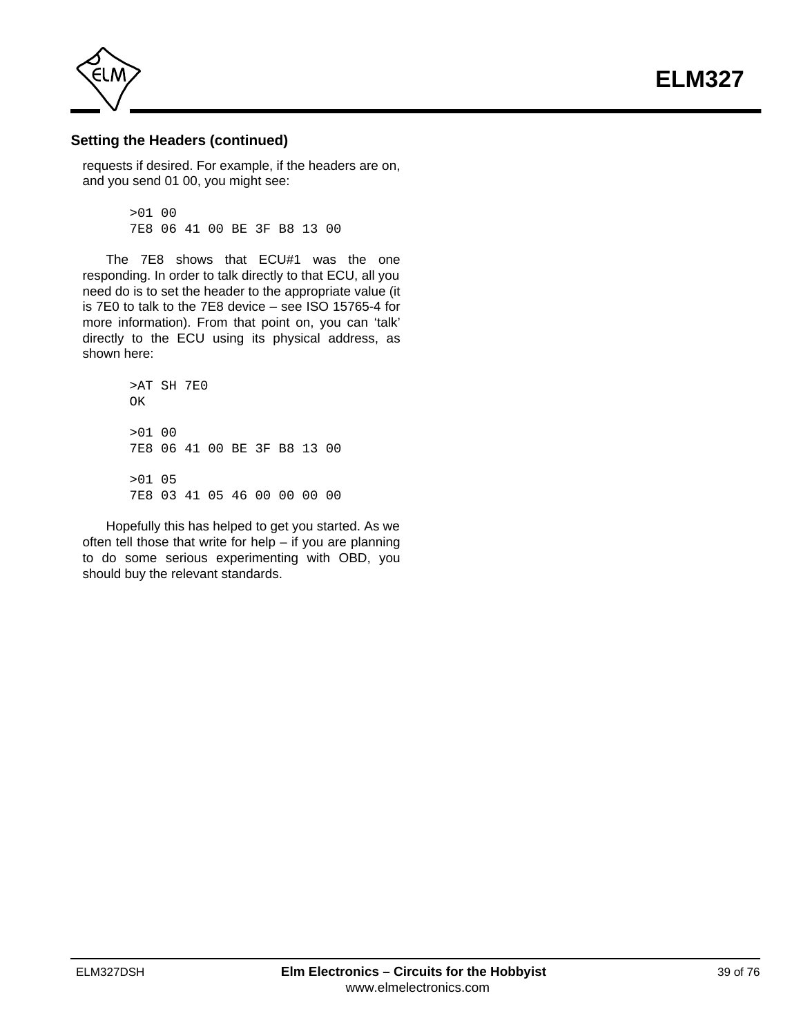**ELM327**



#### **Setting the Headers (continued)**

requests if desired. For example, if the headers are on, and you send 01 00, you might see:

> >01 00 7E8 06 41 00 BE 3F B8 13 00

The 7E8 shows that ECU#1 was the one responding. In order to talk directly to that ECU, all you need do is to set the header to the appropriate value (it is 7E0 to talk to the 7E8 device – see ISO 15765-4 for more information). From that point on, you can 'talk' directly to the ECU using its physical address, as shown here:

> >AT SH 7E0 OK >01 00 7E8 06 41 00 BE 3F B8 13 00 >01 05 7E8 03 41 05 46 00 00 00 00

Hopefully this has helped to get you started. As we often tell those that write for help – if you are planning to do some serious experimenting with OBD, you should buy the relevant standards.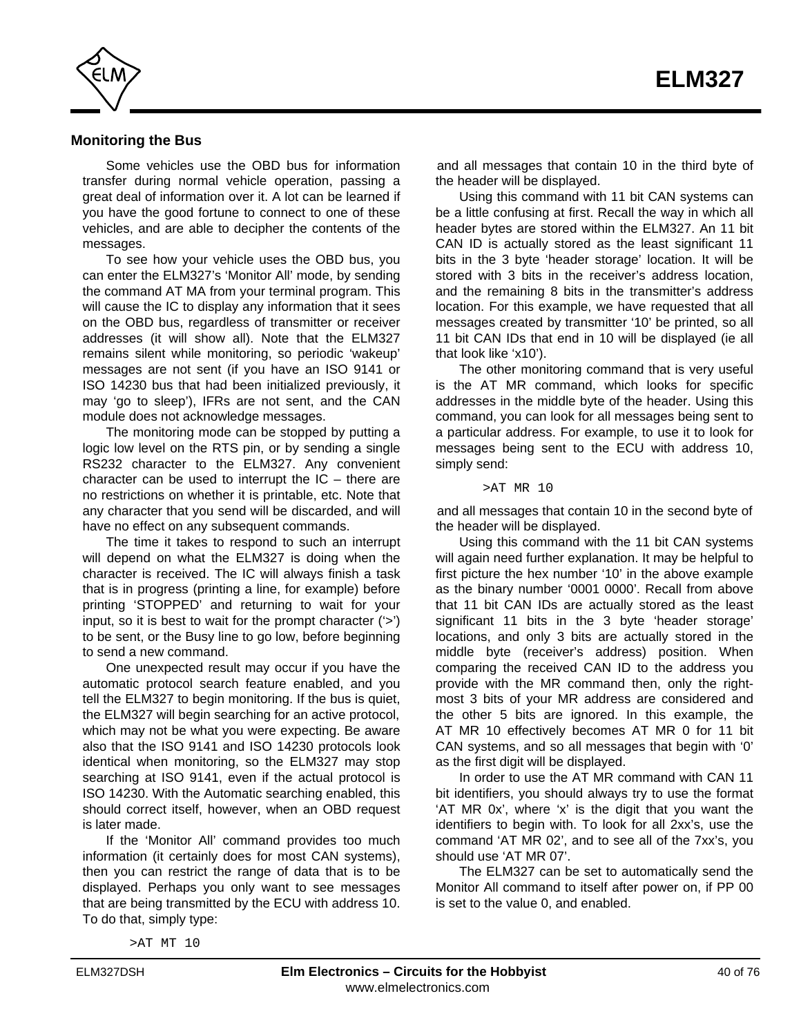

#### **Monitoring the Bus**

Some vehicles use the OBD bus for information transfer during normal vehicle operation, passing a great deal of information over it. A lot can be learned if you have the good fortune to connect to one of these vehicles, and are able to decipher the contents of the messages.

To see how your vehicle uses the OBD bus, you can enter the ELM327's 'Monitor All' mode, by sending the command AT MA from your terminal program. This will cause the IC to display any information that it sees on the OBD bus, regardless of transmitter or receiver addresses (it will show all). Note that the ELM327 remains silent while monitoring, so periodic 'wakeup' messages are not sent (if you have an ISO 9141 or ISO 14230 bus that had been initialized previously, it may 'go to sleep'), IFRs are not sent, and the CAN module does not acknowledge messages.

The monitoring mode can be stopped by putting a logic low level on the RTS pin, or by sending a single RS232 character to the ELM327. Any convenient character can be used to interrupt the  $IC$  – there are no restrictions on whether it is printable, etc. Note that any character that you send will be discarded, and will have no effect on any subsequent commands.

The time it takes to respond to such an interrupt will depend on what the ELM327 is doing when the character is received. The IC will always finish a task that is in progress (printing a line, for example) before printing 'STOPPED' and returning to wait for your input, so it is best to wait for the prompt character ('>') to be sent, or the Busy line to go low, before beginning to send a new command.

One unexpected result may occur if you have the automatic protocol search feature enabled, and you tell the ELM327 to begin monitoring. If the bus is quiet, the ELM327 will begin searching for an active protocol, which may not be what you were expecting. Be aware also that the ISO 9141 and ISO 14230 protocols look identical when monitoring, so the ELM327 may stop searching at ISO 9141, even if the actual protocol is ISO 14230. With the Automatic searching enabled, this should correct itself, however, when an OBD request is later made.

If the 'Monitor All' command provides too much information (it certainly does for most CAN systems), then you can restrict the range of data that is to be displayed. Perhaps you only want to see messages that are being transmitted by the ECU with address 10. To do that, simply type:

and all messages that contain 10 in the third byte of the header will be displayed.

Using this command with 11 bit CAN systems can be a little confusing at first. Recall the way in which all header bytes are stored within the ELM327. An 11 bit CAN ID is actually stored as the least significant 11 bits in the 3 byte 'header storage' location. It will be stored with 3 bits in the receiver's address location, and the remaining 8 bits in the transmitter's address location. For this example, we have requested that all messages created by transmitter '10' be printed, so all 11 bit CAN IDs that end in 10 will be displayed (ie all that look like 'x10').

The other monitoring command that is very useful is the AT MR command, which looks for specific addresses in the middle byte of the header. Using this command, you can look for all messages being sent to a particular address. For example, to use it to look for messages being sent to the ECU with address 10, simply send:

>AT MR 10

and all messages that contain 10 in the second byte of the header will be displayed.

Using this command with the 11 bit CAN systems will again need further explanation. It may be helpful to first picture the hex number '10' in the above example as the binary number '0001 0000'. Recall from above that 11 bit CAN IDs are actually stored as the least significant 11 bits in the 3 byte 'header storage' locations, and only 3 bits are actually stored in the middle byte (receiver's address) position. When comparing the received CAN ID to the address you provide with the MR command then, only the rightmost 3 bits of your MR address are considered and the other 5 bits are ignored. In this example, the AT MR 10 effectively becomes AT MR 0 for 11 bit CAN systems, and so all messages that begin with '0' as the first digit will be displayed.

In order to use the AT MR command with CAN 11 bit identifiers, you should always try to use the format 'AT MR 0x', where 'x' is the digit that you want the identifiers to begin with. To look for all 2xx's, use the command 'AT MR 02', and to see all of the 7xx's, you should use 'AT MR 07'.

The ELM327 can be set to automatically send the Monitor All command to itself after power on, if PP 00 is set to the value 0, and enabled.

>AT MT 10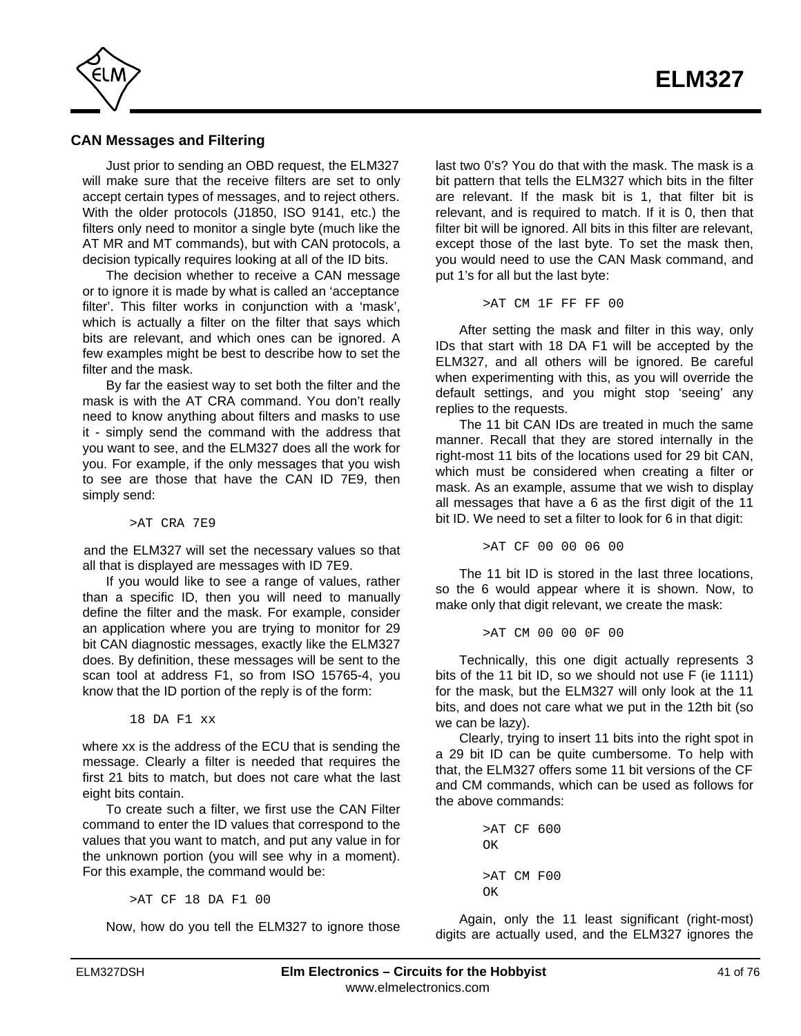

## **CAN Messages and Filtering**

Just prior to sending an OBD request, the ELM327 will make sure that the receive filters are set to only accept certain types of messages, and to reject others. With the older protocols (J1850, ISO 9141, etc.) the filters only need to monitor a single byte (much like the AT MR and MT commands), but with CAN protocols, a decision typically requires looking at all of the ID bits.

The decision whether to receive a CAN message or to ignore it is made by what is called an 'acceptance filter'. This filter works in conjunction with a 'mask', which is actually a filter on the filter that says which bits are relevant, and which ones can be ignored. A few examples might be best to describe how to set the filter and the mask.

By far the easiest way to set both the filter and the mask is with the AT CRA command. You don't really need to know anything about filters and masks to use it - simply send the command with the address that you want to see, and the ELM327 does all the work for you. For example, if the only messages that you wish to see are those that have the CAN ID 7E9, then simply send:

>AT CRA 7E9

and the ELM327 will set the necessary values so that all that is displayed are messages with ID 7E9.

If you would like to see a range of values, rather than a specific ID, then you will need to manually define the filter and the mask. For example, consider an application where you are trying to monitor for 29 bit CAN diagnostic messages, exactly like the ELM327 does. By definition, these messages will be sent to the scan tool at address F1, so from ISO 15765-4, you know that the ID portion of the reply is of the form:

18 DA F1 xx

where xx is the address of the ECU that is sending the message. Clearly a filter is needed that requires the first 21 bits to match, but does not care what the last eight bits contain.

To create such a filter, we first use the CAN Filter command to enter the ID values that correspond to the values that you want to match, and put any value in for the unknown portion (you will see why in a moment). For this example, the command would be:

>AT CF 18 DA F1 00

Now, how do you tell the ELM327 to ignore those

last two 0's? You do that with the mask. The mask is a bit pattern that tells the ELM327 which bits in the filter are relevant. If the mask bit is 1, that filter bit is relevant, and is required to match. If it is 0, then that filter bit will be ignored. All bits in this filter are relevant, except those of the last byte. To set the mask then, you would need to use the CAN Mask command, and put 1's for all but the last byte:

>AT CM 1F FF FF 00

After setting the mask and filter in this way, only IDs that start with 18 DA F1 will be accepted by the ELM327, and all others will be ignored. Be careful when experimenting with this, as you will override the default settings, and you might stop 'seeing' any replies to the requests.

The 11 bit CAN IDs are treated in much the same manner. Recall that they are stored internally in the right-most 11 bits of the locations used for 29 bit CAN, which must be considered when creating a filter or mask. As an example, assume that we wish to display all messages that have a 6 as the first digit of the 11 bit ID. We need to set a filter to look for 6 in that digit:

>AT CF 00 00 06 00

The 11 bit ID is stored in the last three locations, so the 6 would appear where it is shown. Now, to make only that digit relevant, we create the mask:

>AT CM 00 00 0F 00

Technically, this one digit actually represents 3 bits of the 11 bit ID, so we should not use F (ie 1111) for the mask, but the ELM327 will only look at the 11 bits, and does not care what we put in the 12th bit (so we can be lazy).

Clearly, trying to insert 11 bits into the right spot in a 29 bit ID can be quite cumbersome. To help with that, the ELM327 offers some 11 bit versions of the CF and CM commands, which can be used as follows for the above commands:

```
>AT CF 600
\capK
>AT CM F00
OK
```
Again, only the 11 least significant (right-most) digits are actually used, and the ELM327 ignores the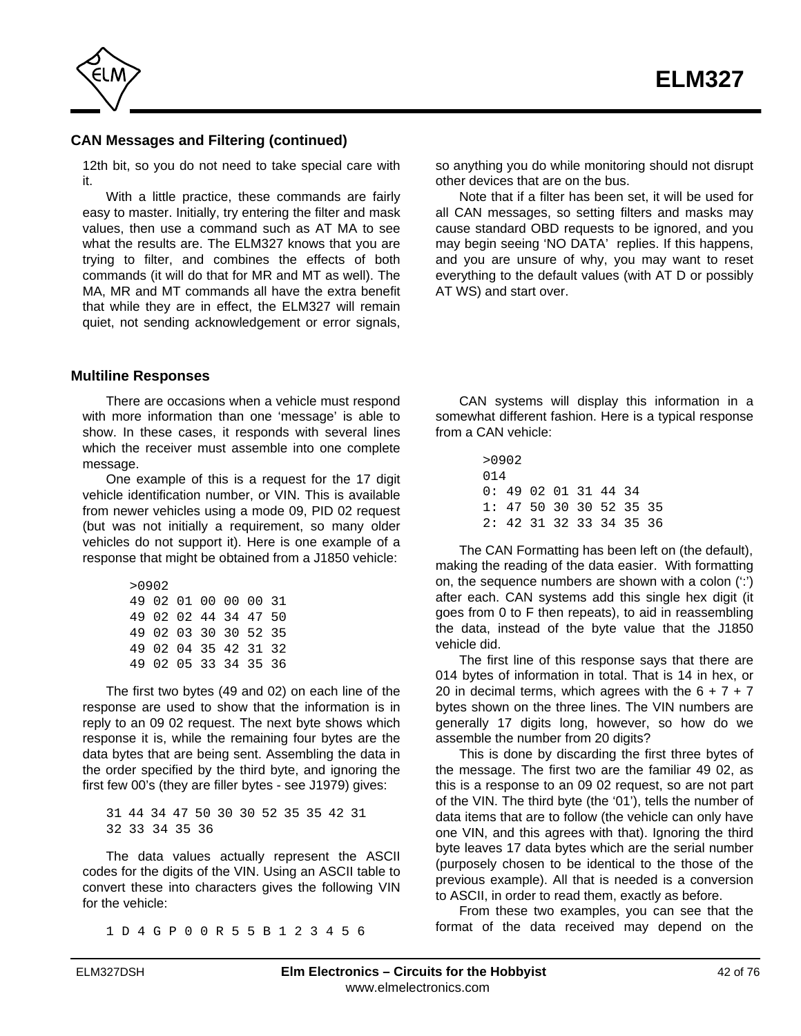

## **CAN Messages and Filtering (continued)**

12th bit, so you do not need to take special care with it.

With a little practice, these commands are fairly easy to master. Initially, try entering the filter and mask values, then use a command such as AT MA to see what the results are. The ELM327 knows that you are trying to filter, and combines the effects of both commands (it will do that for MR and MT as well). The MA, MR and MT commands all have the extra benefit that while they are in effect, the ELM327 will remain quiet, not sending acknowledgement or error signals,

**Multiline Responses**

There are occasions when a vehicle must respond with more information than one 'message' is able to show. In these cases, it responds with several lines which the receiver must assemble into one complete message.

One example of this is a request for the 17 digit vehicle identification number, or VIN. This is available from newer vehicles using a mode 09, PID 02 request (but was not initially a requirement, so many older vehicles do not support it). Here is one example of a response that might be obtained from a J1850 vehicle:

| >0902                |  |  |  |
|----------------------|--|--|--|
| 49 02 01 00 00 00 31 |  |  |  |
| 49 02 02 44 34 47 50 |  |  |  |
| 49 02 03 30 30 52 35 |  |  |  |
| 49 02 04 35 42 31 32 |  |  |  |
| 49 02 05 33 34 35 36 |  |  |  |

The first two bytes (49 and 02) on each line of the response are used to show that the information is in reply to an 09 02 request. The next byte shows which response it is, while the remaining four bytes are the data bytes that are being sent. Assembling the data in the order specified by the third byte, and ignoring the first few 00's (they are filler bytes - see J1979) gives:

31 44 34 47 50 30 30 52 35 35 42 31 32 33 34 35 36

The data values actually represent the ASCII codes for the digits of the VIN. Using an ASCII table to convert these into characters gives the following VIN for the vehicle:

1 D 4 G P 0 0 R 5 5 B 1 2 3 4 5 6

so anything you do while monitoring should not disrupt other devices that are on the bus.

Note that if a filter has been set, it will be used for all CAN messages, so setting filters and masks may cause standard OBD requests to be ignored, and you may begin seeing 'NO DATA' replies. If this happens, and you are unsure of why, you may want to reset everything to the default values (with AT D or possibly AT WS) and start over.

CAN systems will display this information in a somewhat different fashion. Here is a typical response from a CAN vehicle:

|     | >0902                           |  |  |  |
|-----|---------------------------------|--|--|--|
| 014 |                                 |  |  |  |
|     | $0:49$ $02$ $01$ $31$ $44$ $34$ |  |  |  |
|     | 1: 47 50 30 30 52 35 35         |  |  |  |
|     | 2: 42 31 32 33 34 35 36         |  |  |  |

The CAN Formatting has been left on (the default), making the reading of the data easier. With formatting on, the sequence numbers are shown with a colon (':') after each. CAN systems add this single hex digit (it goes from 0 to F then repeats), to aid in reassembling the data, instead of the byte value that the J1850 vehicle did.

The first line of this response says that there are 014 bytes of information in total. That is 14 in hex, or 20 in decimal terms, which agrees with the  $6 + 7 + 7$ bytes shown on the three lines. The VIN numbers are generally 17 digits long, however, so how do we assemble the number from 20 digits?

This is done by discarding the first three bytes of the message. The first two are the familiar 49 02, as this is a response to an 09 02 request, so are not part of the VIN. The third byte (the '01'), tells the number of data items that are to follow (the vehicle can only have one VIN, and this agrees with that). Ignoring the third byte leaves 17 data bytes which are the serial number (purposely chosen to be identical to the those of the previous example). All that is needed is a conversion to ASCII, in order to read them, exactly as before.

From these two examples, you can see that the format of the data received may depend on the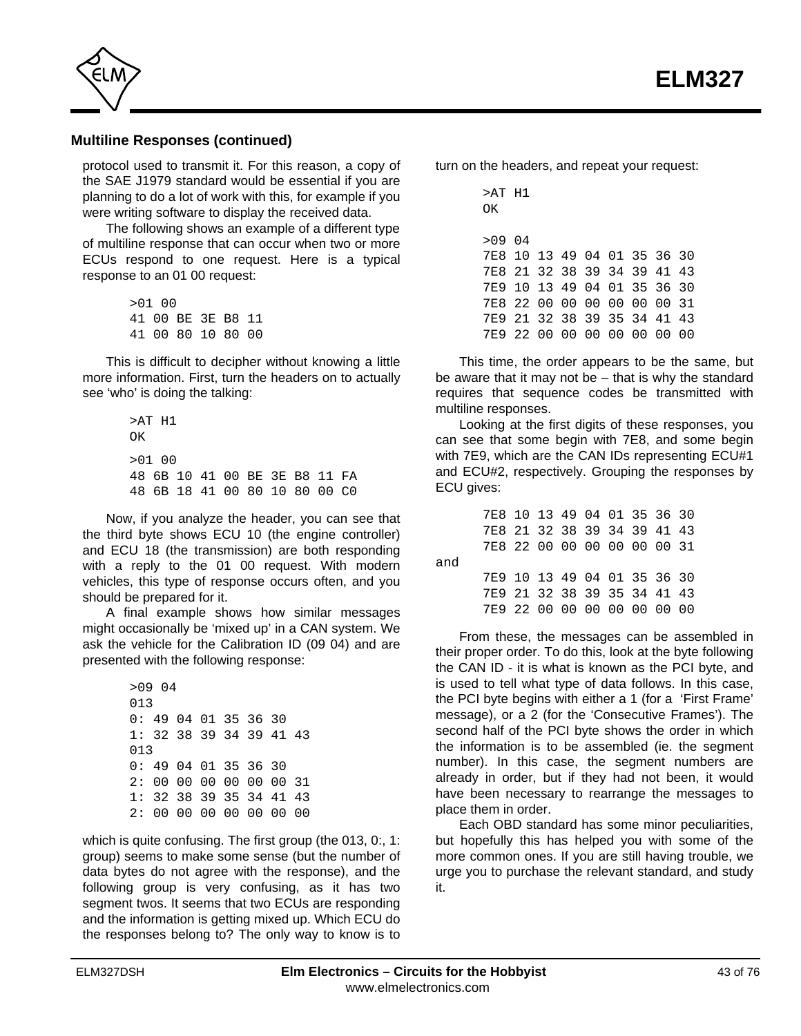

#### **Multiline Responses (continued)**

protocol used to transmit it. For this reason, a copy of the SAE J1979 standard would be essential if you are planning to do a lot of work with this, for example if you were writing software to display the received data.

The following shows an example of a different type of multiline response that can occur when two or more ECUs respond to one request. Here is a typical response to an 01 00 request:

> >01 00 41 00 BE 3E B8 11 41 00 80 10 80 00

This is difficult to decipher without knowing a little more information. First, turn the headers on to actually see 'who' is doing the talking:

> >AT H1 OK  $>01$  00 48 6B 10 41 00 BE 3E B8 11 FA 48 6B 18 41 00 80 10 80 00 C0

Now, if you analyze the header, you can see that the third byte shows ECU 10 (the engine controller) and ECU 18 (the transmission) are both responding with a reply to the 01 00 request. With modern vehicles, this type of response occurs often, and you should be prepared for it.

A final example shows how similar messages might occasionally be 'mixed up' in a CAN system. We ask the vehicle for the Calibration ID (09 04) and are presented with the following response:

> >09 04 013 0: 49 04 01 35 36 30 1: 32 38 39 34 39 41 43 013 0: 49 04 01 35 36 30 2: 00 00 00 00 00 00 31 1: 32 38 39 35 34 41 43 2: 00 00 00 00 00 00 00

which is quite confusing. The first group (the 013, 0., 1: group) seems to make some sense (but the number of data bytes do not agree with the response), and the following group is very confusing, as it has two segment twos. It seems that two ECUs are responding and the information is getting mixed up. Which ECU do the responses belong to? The only way to know is to turn on the headers, and repeat your request:

| >AT H1<br>OΚ                |  |  |  |      |     |
|-----------------------------|--|--|--|------|-----|
| >09 04                      |  |  |  |      |     |
| 7E8 10 13 49 04 01 35 36 30 |  |  |  |      |     |
| 7E8 21 32 38 39 34 39 41 43 |  |  |  |      |     |
| 7E9 10 13 49 04 01 35 36 30 |  |  |  |      |     |
| 7E8 22 00 00 00 00 00 00 31 |  |  |  |      |     |
| 7E9 21 32 38 39 35 34 41 43 |  |  |  |      |     |
|                             |  |  |  | - ററ | n n |

This time, the order appears to be the same, but be aware that it may not be – that is why the standard requires that sequence codes be transmitted with multiline responses.

Looking at the first digits of these responses, you can see that some begin with 7E8, and some begin with 7E9, which are the CAN IDs representing ECU#1 and ECU#2, respectively. Grouping the responses by ECU gives:

|     | 7E8 10 13 49 04 01 35 36 30 |  |  |  |  |
|-----|-----------------------------|--|--|--|--|
|     | 7E8 21 32 38 39 34 39 41 43 |  |  |  |  |
|     | 7E8 22 00 00 00 00 00 00 31 |  |  |  |  |
| and |                             |  |  |  |  |
|     | 7E9 10 13 49 04 01 35 36 30 |  |  |  |  |
|     | 7E9 21 32 38 39 35 34 41 43 |  |  |  |  |
|     | 7E9 22 00 00 00 00 00 00 00 |  |  |  |  |

From these, the messages can be assembled in their proper order. To do this, look at the byte following the CAN ID - it is what is known as the PCI byte, and is used to tell what type of data follows. In this case, the PCI byte begins with either a 1 (for a 'First Frame' message), or a 2 (for the 'Consecutive Frames'). The second half of the PCI byte shows the order in which the information is to be assembled (ie. the segment number). In this case, the segment numbers are already in order, but if they had not been, it would have been necessary to rearrange the messages to place them in order.

Each OBD standard has some minor peculiarities, but hopefully this has helped you with some of the more common ones. If you are still having trouble, we urge you to purchase the relevant standard, and study it.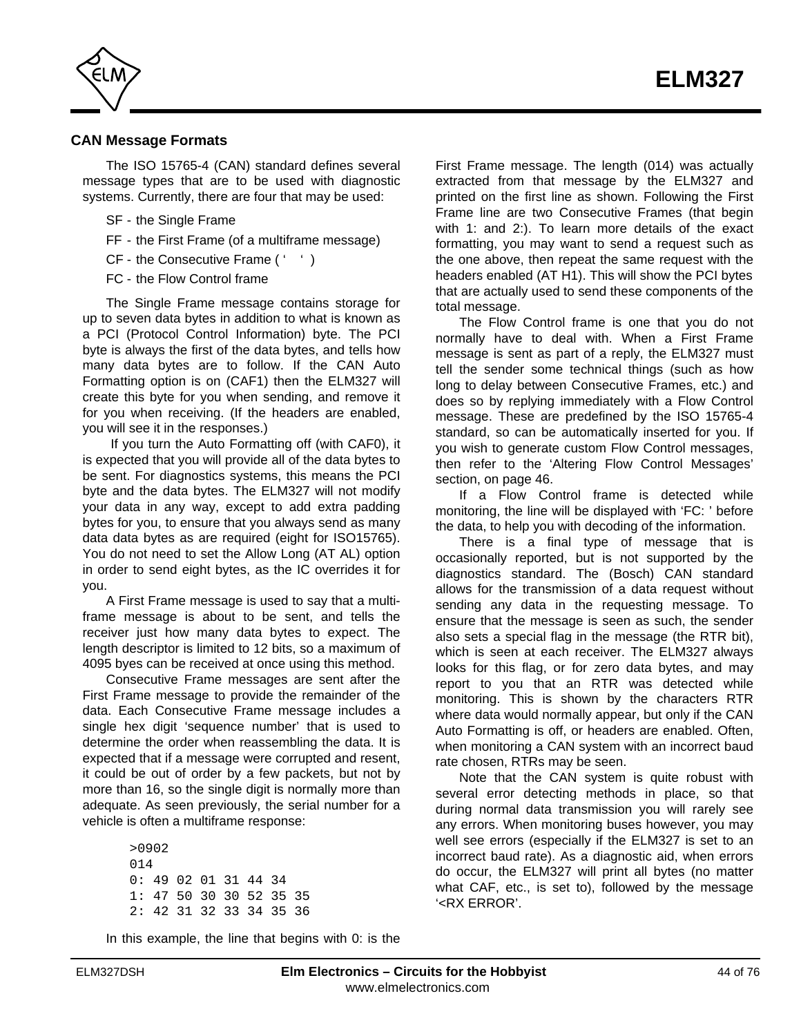

#### **CAN Message Formats**

The ISO 15765-4 (CAN) standard defines several message types that are to be used with diagnostic systems. Currently, there are four that may be used:

- SF the Single Frame
- FF the First Frame (of a multiframe message)
- CF the Consecutive Frame (' ')
- FC the Flow Control frame

The Single Frame message contains storage for up to seven data bytes in addition to what is known as a PCI (Protocol Control Information) byte. The PCI byte is always the first of the data bytes, and tells how many data bytes are to follow. If the CAN Auto Formatting option is on (CAF1) then the ELM327 will create this byte for you when sending, and remove it for you when receiving. (If the headers are enabled, you will see it in the responses.)

 If you turn the Auto Formatting off (with CAF0), it is expected that you will provide all of the data bytes to be sent. For diagnostics systems, this means the PCI byte and the data bytes. The ELM327 will not modify your data in any way, except to add extra padding bytes for you, to ensure that you always send as many data data bytes as are required (eight for ISO15765). You do not need to set the Allow Long (AT AL) option in order to send eight bytes, as the IC overrides it for you.

A First Frame message is used to say that a multiframe message is about to be sent, and tells the receiver just how many data bytes to expect. The length descriptor is limited to 12 bits, so a maximum of 4095 byes can be received at once using this method.

Consecutive Frame messages are sent after the First Frame message to provide the remainder of the data. Each Consecutive Frame message includes a single hex digit 'sequence number' that is used to determine the order when reassembling the data. It is expected that if a message were corrupted and resent, it could be out of order by a few packets, but not by more than 16, so the single digit is normally more than adequate. As seen previously, the serial number for a vehicle is often a multiframe response:

> >0902 014 0: 49 02 01 31 44 34 1: 47 50 30 30 52 35 35 2: 42 31 32 33 34 35 36

In this example, the line that begins with 0: is the

First Frame message. The length (014) was actually extracted from that message by the ELM327 and printed on the first line as shown. Following the First Frame line are two Consecutive Frames (that begin with 1: and 2:). To learn more details of the exact formatting, you may want to send a request such as the one above, then repeat the same request with the headers enabled (AT H1). This will show the PCI bytes that are actually used to send these components of the total message.

The Flow Control frame is one that you do not normally have to deal with. When a First Frame message is sent as part of a reply, the ELM327 must tell the sender some technical things (such as how long to delay between Consecutive Frames, etc.) and does so by replying immediately with a Flow Control message. These are predefined by the ISO 15765-4 standard, so can be automatically inserted for you. If you wish to generate custom Flow Control messages, then refer to the ['Altering Flow Control Messages'](#page-45-0) [section, on page 46.](#page-45-0)

If a Flow Control frame is detected while monitoring, the line will be displayed with 'FC: ' before the data, to help you with decoding of the information.

There is a final type of message that is occasionally reported, but is not supported by the diagnostics standard. The (Bosch) CAN standard allows for the transmission of a data request without sending any data in the requesting message. To ensure that the message is seen as such, the sender also sets a special flag in the message (the RTR bit), which is seen at each receiver. The ELM327 always looks for this flag, or for zero data bytes, and may report to you that an RTR was detected while monitoring. This is shown by the characters RTR where data would normally appear, but only if the CAN Auto Formatting is off, or headers are enabled. Often, when monitoring a CAN system with an incorrect baud rate chosen, RTRs may be seen.

Note that the CAN system is quite robust with several error detecting methods in place, so that during normal data transmission you will rarely see any errors. When monitoring buses however, you may well see errors (especially if the ELM327 is set to an incorrect baud rate). As a diagnostic aid, when errors do occur, the ELM327 will print all bytes (no matter what CAF, etc., is set to), followed by the message '<RX ERROR'.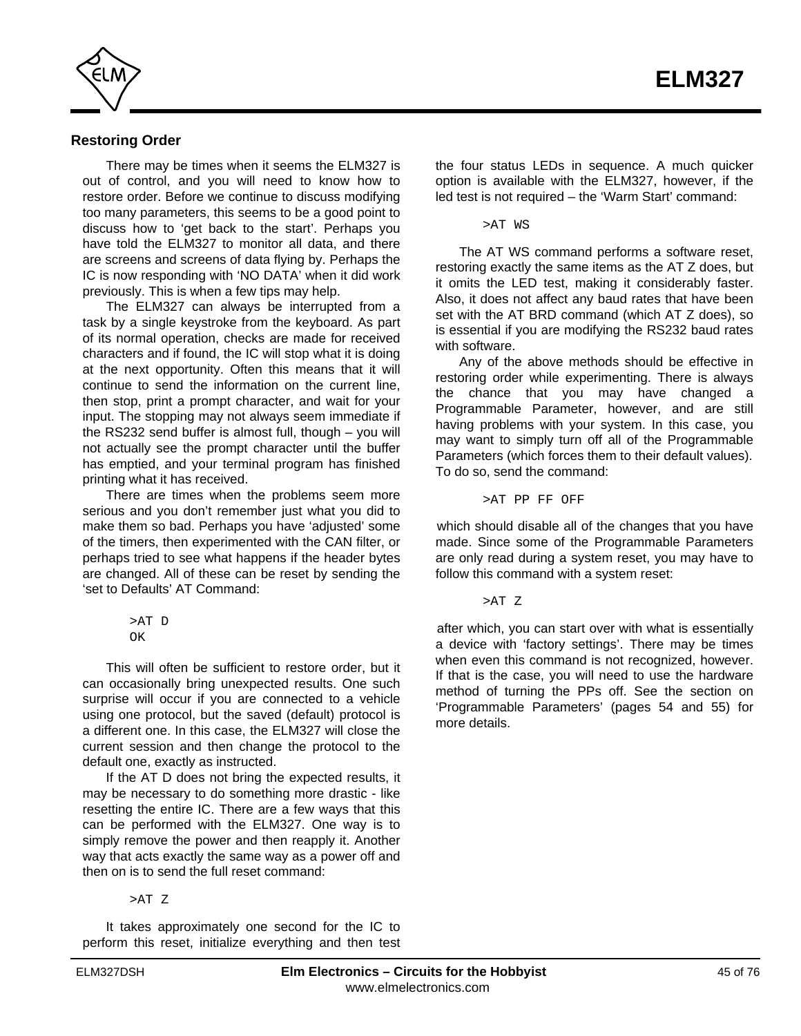

#### **Restoring Order**

There may be times when it seems the ELM327 is out of control, and you will need to know how to restore order. Before we continue to discuss modifying too many parameters, this seems to be a good point to discuss how to 'get back to the start'. Perhaps you have told the ELM327 to monitor all data, and there are screens and screens of data flying by. Perhaps the IC is now responding with 'NO DATA' when it did work previously. This is when a few tips may help.

The ELM327 can always be interrupted from a task by a single keystroke from the keyboard. As part of its normal operation, checks are made for received characters and if found, the IC will stop what it is doing at the next opportunity. Often this means that it will continue to send the information on the current line, then stop, print a prompt character, and wait for your input. The stopping may not always seem immediate if the RS232 send buffer is almost full, though – you will not actually see the prompt character until the buffer has emptied, and your terminal program has finished printing what it has received.

There are times when the problems seem more serious and you don't remember just what you did to make them so bad. Perhaps you have 'adjusted' some of the timers, then experimented with the CAN filter, or perhaps tried to see what happens if the header bytes are changed. All of these can be reset by sending the 'set to Defaults' AT Command:

> >AT D OK

This will often be sufficient to restore order, but it can occasionally bring unexpected results. One such surprise will occur if you are connected to a vehicle using one protocol, but the saved (default) protocol is a different one. In this case, the ELM327 will close the current session and then change the protocol to the default one, exactly as instructed.

If the AT D does not bring the expected results, it may be necessary to do something more drastic - like resetting the entire IC. There are a few ways that this can be performed with the ELM327. One way is to simply remove the power and then reapply it. Another way that acts exactly the same way as a power off and then on is to send the full reset command:

>AT Z

It takes approximately one second for the IC to perform this reset, initialize everything and then test the four status LEDs in sequence. A much quicker option is available with the ELM327, however, if the led test is not required – the 'Warm Start' command:

>AT WS

The AT WS command performs a software reset, restoring exactly the same items as the AT Z does, but it omits the LED test, making it considerably faster. Also, it does not affect any baud rates that have been set with the AT BRD command (which AT Z does), so is essential if you are modifying the RS232 baud rates with software.

Any of the above methods should be effective in restoring order while experimenting. There is always the chance that you may have changed a Programmable Parameter, however, and are still having problems with your system. In this case, you may want to simply turn off all of the Programmable Parameters (which forces them to their default values). To do so, send the command:

>AT PP FF OFF

which should disable all of the changes that you have made. Since some of the Programmable Parameters are only read during a system reset, you may have to follow this command with a system reset:

>AT Z

after which, you can start over with what is essentially a device with 'factory settings'. There may be times when even this command is not recognized, however. If that is the case, you will need to use the hardware method of turning the PPs off. See the section on ['Programmable Parameters' \(pages 54 and 55\)](#page-53-0) for more details.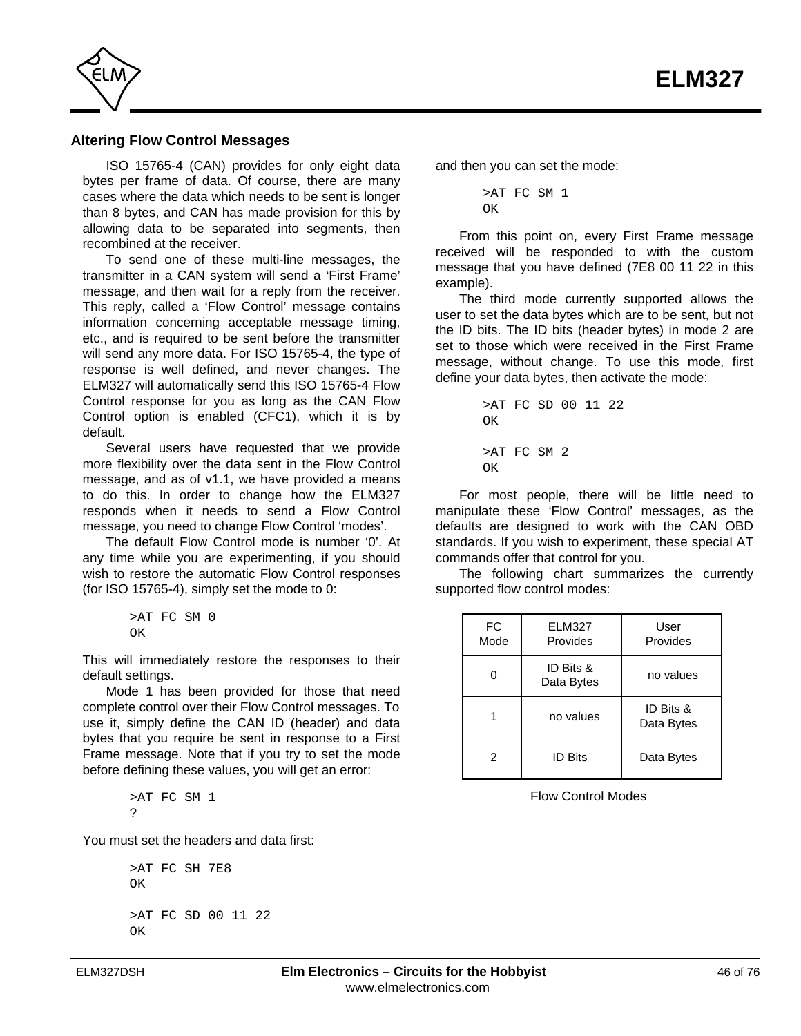<span id="page-45-0"></span>

#### **Altering Flow Control Messages**

ISO 15765-4 (CAN) provides for only eight data bytes per frame of data. Of course, there are many cases where the data which needs to be sent is longer than 8 bytes, and CAN has made provision for this by allowing data to be separated into segments, then recombined at the receiver.

To send one of these multi-line messages, the transmitter in a CAN system will send a 'First Frame' message, and then wait for a reply from the receiver. This reply, called a 'Flow Control' message contains information concerning acceptable message timing, etc., and is required to be sent before the transmitter will send any more data. For ISO 15765-4, the type of response is well defined, and never changes. The ELM327 will automatically send this ISO 15765-4 Flow Control response for you as long as the CAN Flow Control option is enabled (CFC1), which it is by default.

Several users have requested that we provide more flexibility over the data sent in the Flow Control message, and as of v1.1, we have provided a means to do this. In order to change how the ELM327 responds when it needs to send a Flow Control message, you need to change Flow Control 'modes'.

The default Flow Control mode is number '0'. At any time while you are experimenting, if you should wish to restore the automatic Flow Control responses (for ISO 15765-4), simply set the mode to 0:

$$
\begin{array}{cc} >\text{AT} & \text{FC} & \text{SM} & 0 \\ \text{OK} & & \end{array}
$$

This will immediately restore the responses to their default settings.

Mode 1 has been provided for those that need complete control over their Flow Control messages. To use it, simply define the CAN ID (header) and data bytes that you require be sent in response to a First Frame message. Note that if you try to set the mode before defining these values, you will get an error:

> >AT FC SM 1  $\circ$

You must set the headers and data first:

```
>AT FC SH 7E8
OK
>AT FC SD 00 11 22
\capK
```
and then you can set the mode:

```
>AT FC SM 1
\capK
```
From this point on, every First Frame message received will be responded to with the custom message that you have defined (7E8 00 11 22 in this example).

The third mode currently supported allows the user to set the data bytes which are to be sent, but not the ID bits. The ID bits (header bytes) in mode 2 are set to those which were received in the First Frame message, without change. To use this mode, first define your data bytes, then activate the mode:

```
>AT FC SD 00 11 22
OK
>AT FC SM 2
\capK
```
For most people, there will be little need to manipulate these 'Flow Control' messages, as the defaults are designed to work with the CAN OBD standards. If you wish to experiment, these special AT commands offer that control for you.

The following chart summarizes the currently supported flow control modes:

| <b>FC</b><br>Mode | <b>ELM327</b><br>Provides | User<br>Provides        |
|-------------------|---------------------------|-------------------------|
|                   | ID Bits &<br>Data Bytes   | no values               |
|                   | no values                 | ID Bits &<br>Data Bytes |
| 2                 | <b>ID Bits</b>            | Data Bytes              |

Flow Control Modes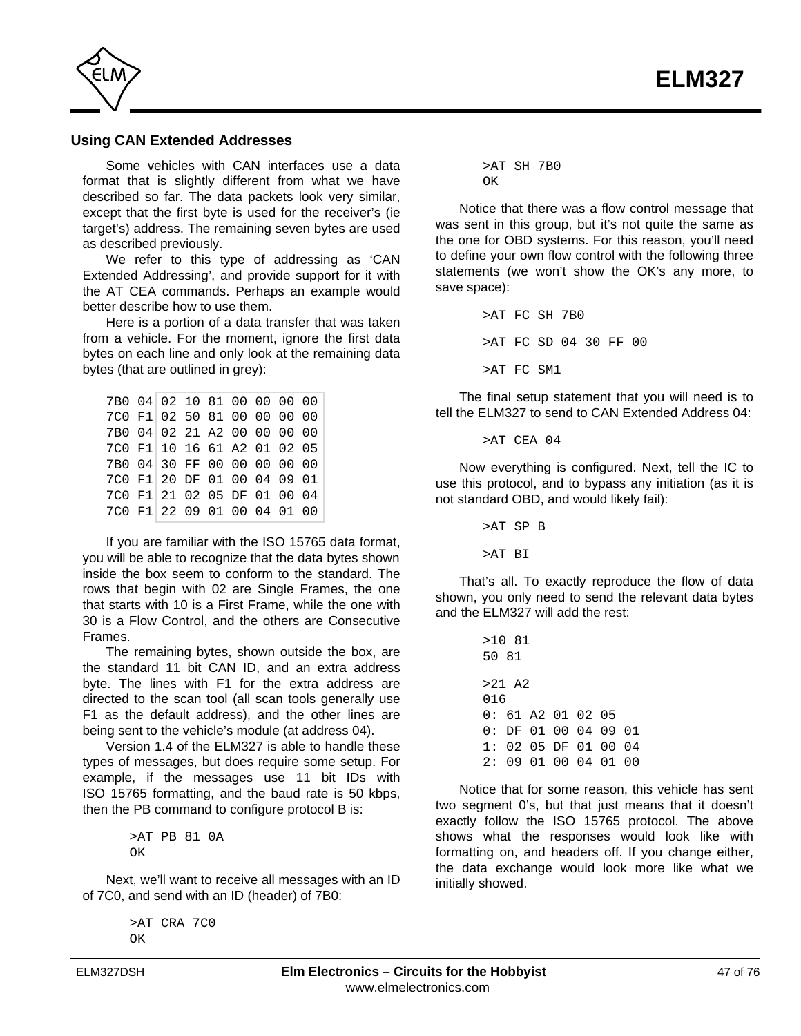

#### **Using CAN Extended Addresses**

Some vehicles with CAN interfaces use a data format that is slightly different from what we have described so far. The data packets look very similar, except that the first byte is used for the receiver's (ie target's) address. The remaining seven bytes are used as described previously.

We refer to this type of addressing as 'CAN Extended Addressing', and provide support for it with the AT CEA commands. Perhaps an example would better describe how to use them.

Here is a portion of a data transfer that was taken from a vehicle. For the moment, ignore the first data bytes on each line and only look at the remaining data bytes (that are outlined in grey):

| 7B0 04 02 10 81 00 00 00 00 |  |  |  |  |
|-----------------------------|--|--|--|--|
| 7C0 F1 02 50 81 00 00 00 00 |  |  |  |  |
| 7B0 04 02 21 A2 00 00 00 00 |  |  |  |  |
| 7C0 F1 10 16 61 A2 01 02 05 |  |  |  |  |
| 7B0 04 30 FF 00 00 00 00 00 |  |  |  |  |
| 7C0 F1 20 DF 01 00 04 09 01 |  |  |  |  |
| 7C0 F1 21 02 05 DF 01 00 04 |  |  |  |  |
| 7C0 F1 22 09 01 00 04 01 00 |  |  |  |  |

If you are familiar with the ISO 15765 data format, you will be able to recognize that the data bytes shown inside the box seem to conform to the standard. The rows that begin with 02 are Single Frames, the one that starts with 10 is a First Frame, while the one with 30 is a Flow Control, and the others are Consecutive Frames.

The remaining bytes, shown outside the box, are the standard 11 bit CAN ID, and an extra address byte. The lines with F1 for the extra address are directed to the scan tool (all scan tools generally use F1 as the default address), and the other lines are being sent to the vehicle's module (at address 04).

Version 1.4 of the ELM327 is able to handle these types of messages, but does require some setup. For example, if the messages use 11 bit IDs with ISO 15765 formatting, and the baud rate is 50 kbps, then the PB command to configure protocol B is:

> >AT PB 81 0A OK

Next, we'll want to receive all messages with an ID of 7C0, and send with an ID (header) of 7B0:

> >AT CRA 7C0  $\bigcap K$

>AT SH 7B0  $\cap$ K

Notice that there was a flow control message that was sent in this group, but it's not quite the same as the one for OBD systems. For this reason, you'll need to define your own flow control with the following three statements (we won't show the OK's any more, to save space):

> >AT FC SH 7B0 >AT FC SD 04 30 FF 00 >AT FC SM1

The final setup statement that you will need is to tell the ELM327 to send to CAN Extended Address 04:

 $>$ AT CEA 04

Now everything is configured. Next, tell the IC to use this protocol, and to bypass any initiation (as it is not standard OBD, and would likely fail):

> >AT SP B >AT BI

That's all. To exactly reproduce the flow of data shown, you only need to send the relevant data bytes and the ELM327 will add the rest:

> >10 81 50 81 >21 A2 016 0: 61 A2 01 02 05 0: DF 01 00 04 09 01 1: 02 05 DF 01 00 04 2: 09 01 00 04 01 00

Notice that for some reason, this vehicle has sent two segment 0's, but that just means that it doesn't exactly follow the ISO 15765 protocol. The above shows what the responses would look like with formatting on, and headers off. If you change either, the data exchange would look more like what we initially showed.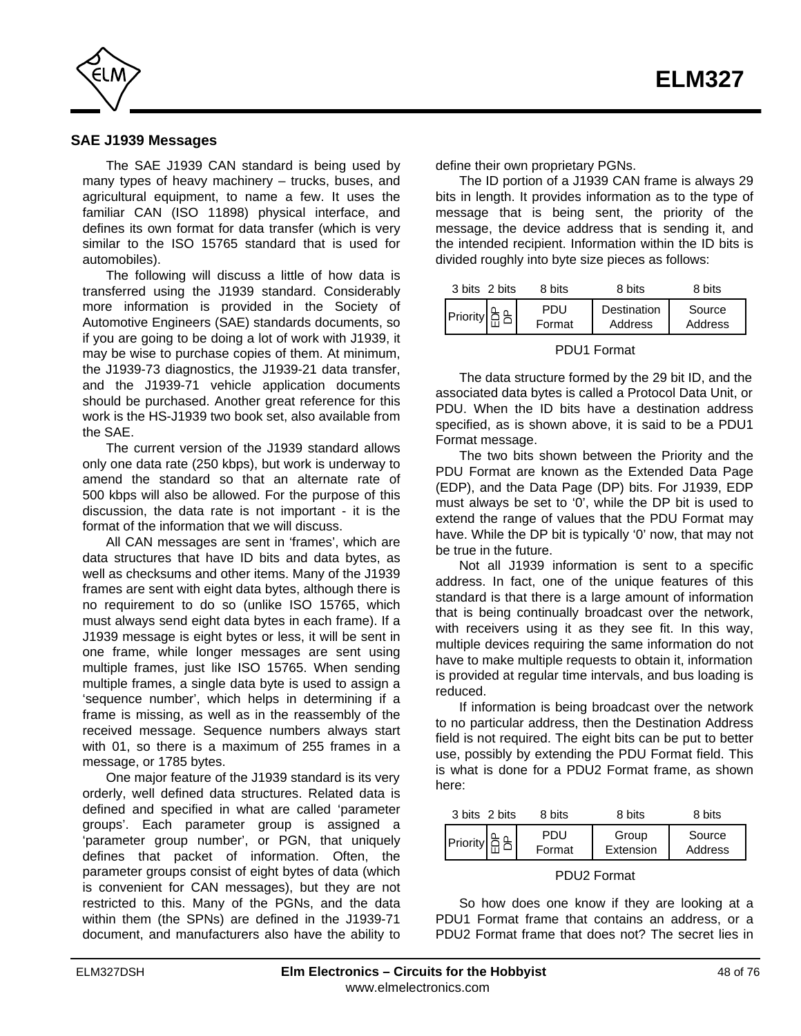<span id="page-47-0"></span>

#### **SAE J1939 Messages**

The SAE J1939 CAN standard is being used by many types of heavy machinery – trucks, buses, and agricultural equipment, to name a few. It uses the familiar CAN (ISO 11898) physical interface, and defines its own format for data transfer (which is very similar to the ISO 15765 standard that is used for automobiles).

The following will discuss a little of how data is transferred using the J1939 standard. Considerably more information is provided in the Society of Automotive Engineers (SAE) standards documents, so if you are going to be doing a lot of work with J1939, it may be wise to purchase copies of them. At minimum, the J1939-73 diagnostics, the J1939-21 data transfer, and the J1939-71 vehicle application documents should be purchased. Another great reference for this work is the HS-J1939 two book set, also available from the SAE.

The current version of the J1939 standard allows only one data rate (250 kbps), but work is underway to amend the standard so that an alternate rate of 500 kbps will also be allowed. For the purpose of this discussion, the data rate is not important - it is the format of the information that we will discuss.

All CAN messages are sent in 'frames', which are data structures that have ID bits and data bytes, as well as checksums and other items. Many of the J1939 frames are sent with eight data bytes, although there is no requirement to do so (unlike ISO 15765, which must always send eight data bytes in each frame). If a J1939 message is eight bytes or less, it will be sent in one frame, while longer messages are sent using multiple frames, just like ISO 15765. When sending multiple frames, a single data byte is used to assign a 'sequence number', which helps in determining if a frame is missing, as well as in the reassembly of the received message. Sequence numbers always start with 01, so there is a maximum of 255 frames in a message, or 1785 bytes.

One major feature of the J1939 standard is its very orderly, well defined data structures. Related data is defined and specified in what are called 'parameter groups'. Each parameter group is assigned a 'parameter group number', or PGN, that uniquely defines that packet of information. Often, the parameter groups consist of eight bytes of data (which is convenient for CAN messages), but they are not restricted to this. Many of the PGNs, and the data within them (the SPNs) are defined in the J1939-71 document, and manufacturers also have the ability to define their own proprietary PGNs.

The ID portion of a J1939 CAN frame is always 29 bits in length. It provides information as to the type of message that is being sent, the priority of the message, the device address that is sending it, and the intended recipient. Information within the ID bits is divided roughly into byte size pieces as follows:

| 3 bits 2 bits | 8 bits        | 8 bits                 | 8 bits            |
|---------------|---------------|------------------------|-------------------|
|               | PDU<br>Format | Destination<br>Address | Source<br>Address |

#### PDU1 Format

The data structure formed by the 29 bit ID, and the associated data bytes is called a Protocol Data Unit, or PDU. When the ID bits have a destination address specified, as is shown above, it is said to be a PDU1 Format message.

The two bits shown between the Priority and the PDU Format are known as the Extended Data Page (EDP), and the Data Page (DP) bits. For J1939, EDP must always be set to '0', while the DP bit is used to extend the range of values that the PDU Format may have. While the DP bit is typically '0' now, that may not be true in the future.

Not all J1939 information is sent to a specific address. In fact, one of the unique features of this standard is that there is a large amount of information that is being continually broadcast over the network, with receivers using it as they see fit. In this way, multiple devices requiring the same information do not have to make multiple requests to obtain it, information is provided at regular time intervals, and bus loading is reduced.

If information is being broadcast over the network to no particular address, then the Destination Address field is not required. The eight bits can be put to better use, possibly by extending the PDU Format field. This is what is done for a PDU2 Format frame, as shown here:

| 3 bits 2 bits | 8 bits        | 8 bits             | 8 bits            |
|---------------|---------------|--------------------|-------------------|
|               | PDU<br>Format | Group<br>Extension | Source<br>Address |

#### PDU2 Format

So how does one know if they are looking at a PDU1 Format frame that contains an address, or a PDU2 Format frame that does not? The secret lies in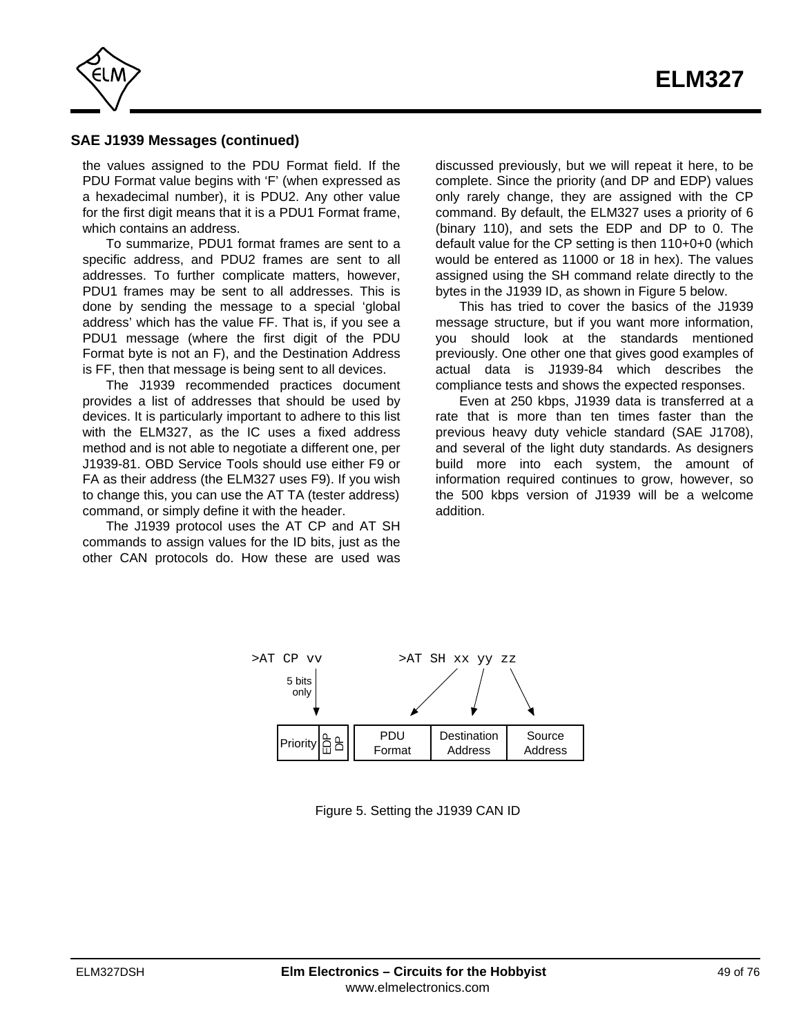

#### **SAE J1939 Messages (continued)**

the values assigned to the PDU Format field. If the PDU Format value begins with 'F' (when expressed as a hexadecimal number), it is PDU2. Any other value for the first digit means that it is a PDU1 Format frame, which contains an address.

To summarize, PDU1 format frames are sent to a specific address, and PDU2 frames are sent to all addresses. To further complicate matters, however, PDU1 frames may be sent to all addresses. This is done by sending the message to a special 'global address' which has the value FF. That is, if you see a PDU1 message (where the first digit of the PDU Format byte is not an F), and the Destination Address is FF, then that message is being sent to all devices.

The J1939 recommended practices document provides a list of addresses that should be used by devices. It is particularly important to adhere to this list with the ELM327, as the IC uses a fixed address method and is not able to negotiate a different one, per J1939-81. OBD Service Tools should use either F9 or FA as their address (the ELM327 uses F9). If you wish to change this, you can use the AT TA (tester address) command, or simply define it with the header.

The J1939 protocol uses the AT CP and AT SH commands to assign values for the ID bits, just as the other CAN protocols do. How these are used was discussed previously, but we will repeat it here, to be complete. Since the priority (and DP and EDP) values only rarely change, they are assigned with the CP command. By default, the ELM327 uses a priority of 6 (binary 110), and sets the EDP and DP to 0. The default value for the CP setting is then 110+0+0 (which would be entered as 11000 or 18 in hex). The values assigned using the SH command relate directly to the bytes in the J1939 ID, as shown in Figure 5 below.

This has tried to cover the basics of the J1939 message structure, but if you want more information, you should look at the standards mentioned previously. One other one that gives good examples of actual data is J1939-84 which describes the compliance tests and shows the expected responses.

Even at 250 kbps, J1939 data is transferred at a rate that is more than ten times faster than the previous heavy duty vehicle standard (SAE J1708), and several of the light duty standards. As designers build more into each system, the amount of information required continues to grow, however, so the 500 kbps version of J1939 will be a welcome addition.



Figure 5. Setting the J1939 CAN ID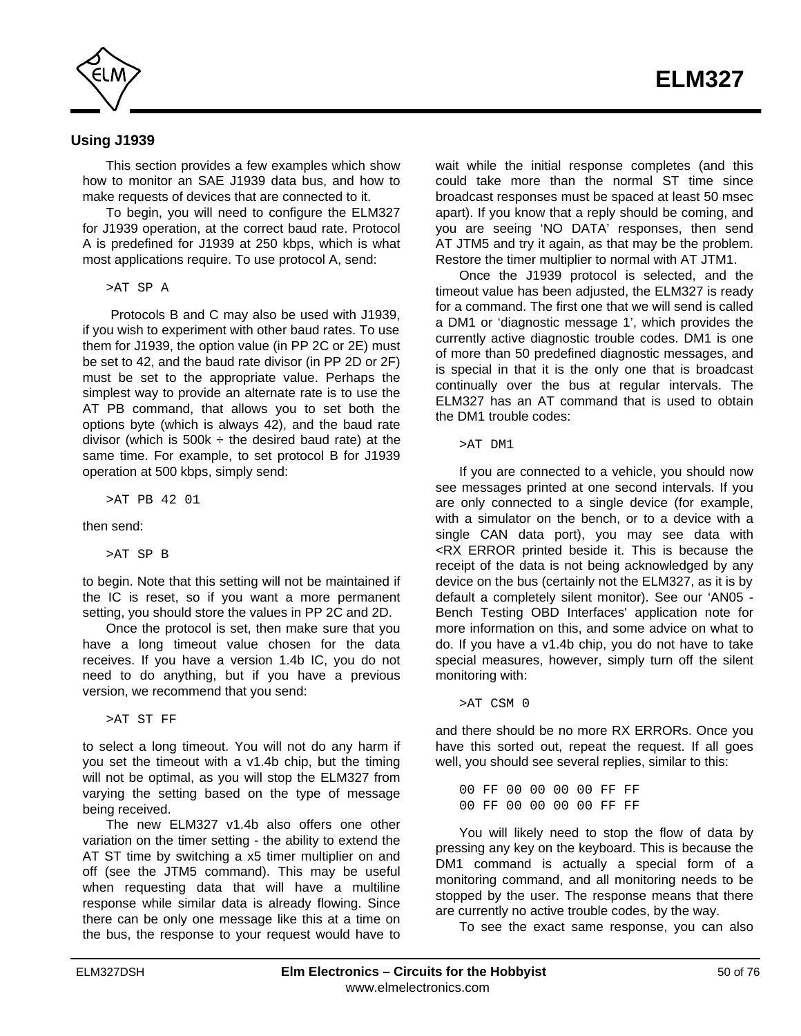

#### **Using J1939**

This section provides a few examples which show how to monitor an SAE J1939 data bus, and how to make requests of devices that are connected to it.

To begin, you will need to configure the ELM327 for J1939 operation, at the correct baud rate. Protocol A is predefined for J1939 at 250 kbps, which is what most applications require. To use protocol A, send:

>AT SP A

 Protocols B and C may also be used with J1939, if you wish to experiment with other baud rates. To use them for J1939, the option value (in PP 2C or 2E) must be set to 42, and the baud rate divisor (in PP 2D or 2F) must be set to the appropriate value. Perhaps the simplest way to provide an alternate rate is to use the AT PB command, that allows you to set both the options byte (which is always 42), and the baud rate divisor (which is  $500k \div$  the desired baud rate) at the same time. For example, to set protocol B for J1939 operation at 500 kbps, simply send:

>AT PB 42 01

then send:

>AT SP B

to begin. Note that this setting will not be maintained if the IC is reset, so if you want a more permanent setting, you should store the values in PP 2C and 2D.

Once the protocol is set, then make sure that you have a long timeout value chosen for the data receives. If you have a version 1.4b IC, you do not need to do anything, but if you have a previous version, we recommend that you send:

>AT ST FF

to select a long timeout. You will not do any harm if you set the timeout with a v1.4b chip, but the timing will not be optimal, as you will stop the ELM327 from varying the setting based on the type of message being received.

The new ELM327 v1.4b also offers one other variation on the timer setting - the ability to extend the AT ST time by switching a x5 timer multiplier on and off (see the JTM5 command). This may be useful when requesting data that will have a multiline response while similar data is already flowing. Since there can be only one message like this at a time on the bus, the response to your request would have to wait while the initial response completes (and this could take more than the normal ST time since broadcast responses must be spaced at least 50 msec apart). If you know that a reply should be coming, and you are seeing 'NO DATA' responses, then send AT JTM5 and try it again, as that may be the problem. Restore the timer multiplier to normal with AT JTM1.

Once the J1939 protocol is selected, and the timeout value has been adjusted, the ELM327 is ready for a command. The first one that we will send is called a DM1 or 'diagnostic message 1', which provides the currently active diagnostic trouble codes. DM1 is one of more than 50 predefined diagnostic messages, and is special in that it is the only one that is broadcast continually over the bus at regular intervals. The ELM327 has an AT command that is used to obtain the DM1 trouble codes:

>AT DM1

If you are connected to a vehicle, you should now see messages printed at one second intervals. If you are only connected to a single device (for example, with a simulator on the bench, or to a device with a single CAN data port), you may see data with <RX ERROR printed beside it. This is because the receipt of the data is not being acknowledged by any device on the bus (certainly not the ELM327, as it is by default a completely silent monitor). See our 'AN05 - Bench Testing OBD Interfaces' application note for more information on this, and some advice on what to do. If you have a v1.4b chip, you do not have to take special measures, however, simply turn off the silent monitoring with:

>AT CSM 0

and there should be no more RX ERRORs. Once you have this sorted out, repeat the request. If all goes well, you should see several replies, similar to this:

00 FF 00 00 00 00 FF FF 00 FF 00 00 00 00 FF FF

You will likely need to stop the flow of data by pressing any key on the keyboard. This is because the DM1 command is actually a special form of a monitoring command, and all monitoring needs to be stopped by the user. The response means that there are currently no active trouble codes, by the way.

To see the exact same response, you can also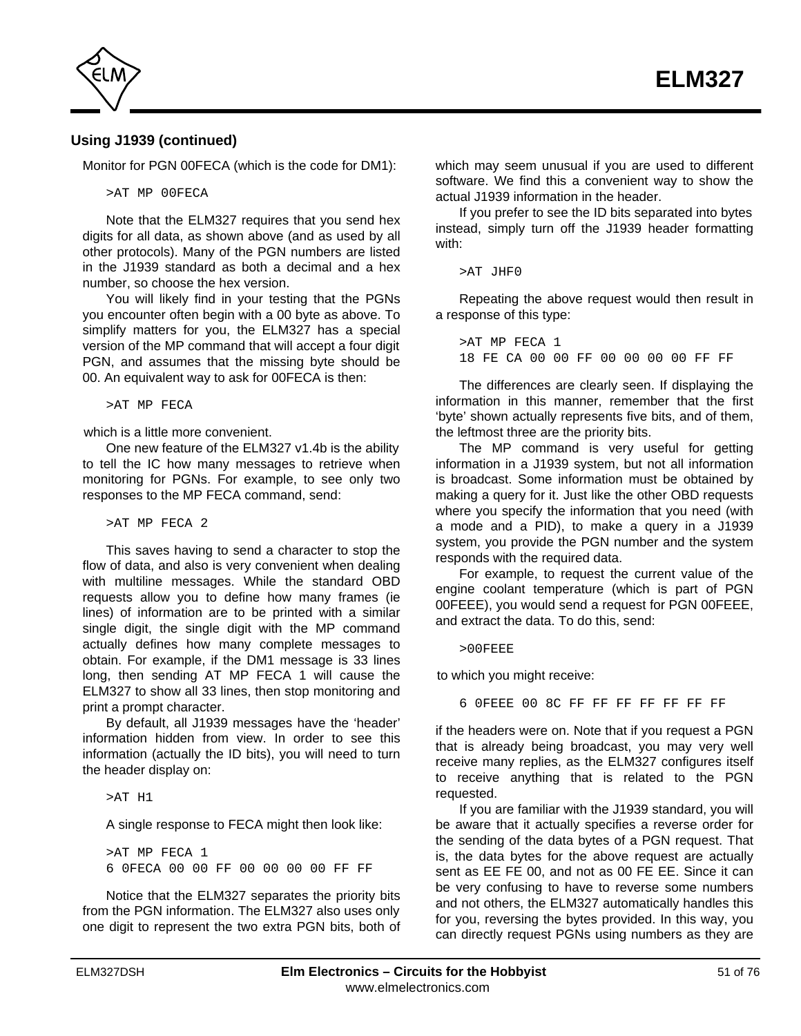

## **Using J1939 (continued)**

Monitor for PGN 00FECA (which is the code for DM1):

>AT MP 00FECA

Note that the ELM327 requires that you send hex digits for all data, as shown above (and as used by all other protocols). Many of the PGN numbers are listed in the J1939 standard as both a decimal and a hex number, so choose the hex version.

You will likely find in your testing that the PGNs you encounter often begin with a 00 byte as above. To simplify matters for you, the ELM327 has a special version of the MP command that will accept a four digit PGN, and assumes that the missing byte should be 00. An equivalent way to ask for 00FECA is then:

>AT MP FECA

which is a little more convenient.

One new feature of the ELM327 v1.4b is the ability to tell the IC how many messages to retrieve when monitoring for PGNs. For example, to see only two responses to the MP FECA command, send:

>AT MP FECA 2

This saves having to send a character to stop the flow of data, and also is very convenient when dealing with multiline messages. While the standard OBD requests allow you to define how many frames (ie lines) of information are to be printed with a similar single digit, the single digit with the MP command actually defines how many complete messages to obtain. For example, if the DM1 message is 33 lines long, then sending AT MP FECA 1 will cause the ELM327 to show all 33 lines, then stop monitoring and print a prompt character.

By default, all J1939 messages have the 'header' information hidden from view. In order to see this information (actually the ID bits), you will need to turn the header display on:

>AT H1

A single response to FECA might then look like:

>AT MP FECA 1 6 0FECA 00 00 FF 00 00 00 00 FF FF

Notice that the ELM327 separates the priority bits from the PGN information. The ELM327 also uses only one digit to represent the two extra PGN bits, both of which may seem unusual if you are used to different software. We find this a convenient way to show the actual J1939 information in the header.

If you prefer to see the ID bits separated into bytes instead, simply turn off the J1939 header formatting with:

>AT JHF0

Repeating the above request would then result in a response of this type:

>AT MP FECA 1 18 FE CA 00 00 FF 00 00 00 00 FF FF

The differences are clearly seen. If displaying the information in this manner, remember that the first 'byte' shown actually represents five bits, and of them, the leftmost three are the priority bits.

The MP command is very useful for getting information in a J1939 system, but not all information is broadcast. Some information must be obtained by making a query for it. Just like the other OBD requests where you specify the information that you need (with a mode and a PID), to make a query in a J1939 system, you provide the PGN number and the system responds with the required data.

For example, to request the current value of the engine coolant temperature (which is part of PGN 00FEEE), you would send a request for PGN 00FEEE, and extract the data. To do this, send:

 $>0.0$ FEEE

to which you might receive:

6 0FEEE 00 8C FF FF FF FF FF FF FF

if the headers were on. Note that if you request a PGN that is already being broadcast, you may very well receive many replies, as the ELM327 configures itself to receive anything that is related to the PGN requested.

If you are familiar with the J1939 standard, you will be aware that it actually specifies a reverse order for the sending of the data bytes of a PGN request. That is, the data bytes for the above request are actually sent as EE FE 00, and not as 00 FE EE. Since it can be very confusing to have to reverse some numbers and not others, the ELM327 automatically handles this for you, reversing the bytes provided. In this way, you can directly request PGNs using numbers as they are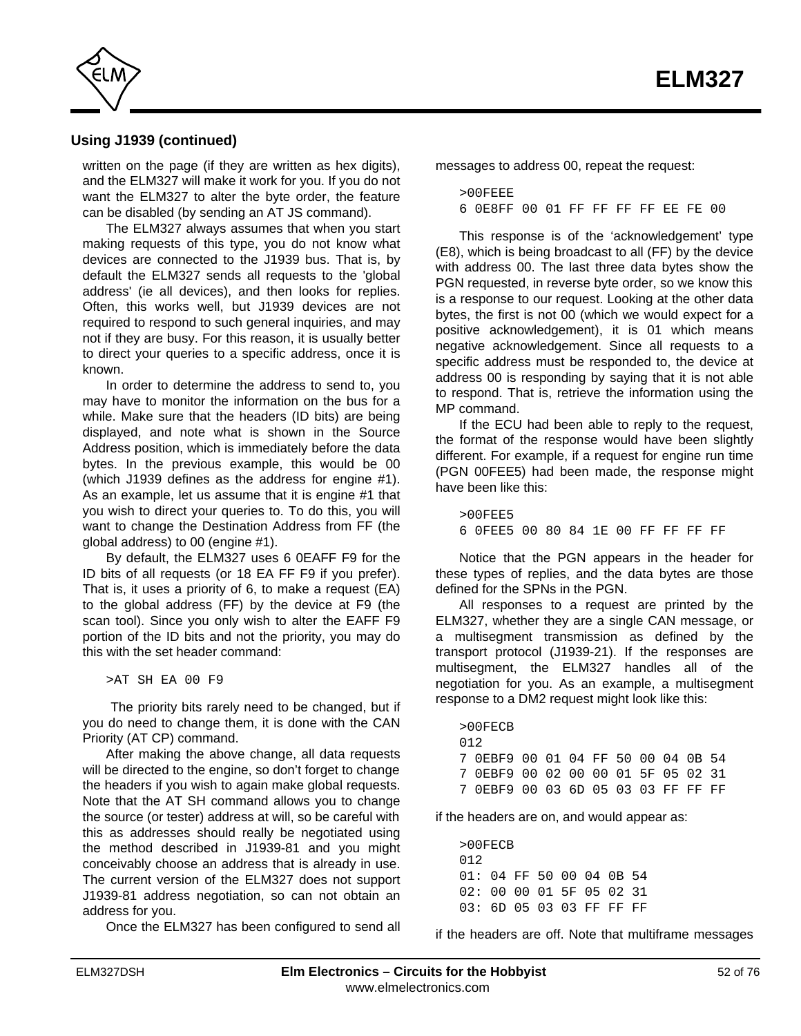

## **Using J1939 (continued)**

written on the page (if they are written as hex digits), and the ELM327 will make it work for you. If you do not want the ELM327 to alter the byte order, the feature can be disabled (by sending an AT JS command).

The ELM327 always assumes that when you start making requests of this type, you do not know what devices are connected to the J1939 bus. That is, by default the ELM327 sends all requests to the 'global address' (ie all devices), and then looks for replies. Often, this works well, but J1939 devices are not required to respond to such general inquiries, and may not if they are busy. For this reason, it is usually better to direct your queries to a specific address, once it is known.

In order to determine the address to send to, you may have to monitor the information on the bus for a while. Make sure that the headers (ID bits) are being displayed, and note what is shown in the Source Address position, which is immediately before the data bytes. In the previous example, this would be 00 (which J1939 defines as the address for engine #1). As an example, let us assume that it is engine #1 that you wish to direct your queries to. To do this, you will want to change the Destination Address from FF (the global address) to 00 (engine #1).

By default, the ELM327 uses 6 0EAFF F9 for the ID bits of all requests (or 18 EA FF F9 if you prefer). That is, it uses a priority of 6, to make a request (EA) to the global address (FF) by the device at F9 (the scan tool). Since you only wish to alter the EAFF F9 portion of the ID bits and not the priority, you may do this with the set header command:

>AT SH EA 00 F9

 The priority bits rarely need to be changed, but if you do need to change them, it is done with the CAN Priority (AT CP) command.

After making the above change, all data requests will be directed to the engine, so don't forget to change the headers if you wish to again make global requests. Note that the AT SH command allows you to change the source (or tester) address at will, so be careful with this as addresses should really be negotiated using the method described in J1939-81 and you might conceivably choose an address that is already in use. The current version of the ELM327 does not support J1939-81 address negotiation, so can not obtain an address for you.

Once the ELM327 has been configured to send all

messages to address 00, repeat the request:

>00FEEE 6 0E8FF 00 01 FF FF FF FF EE FE 00

This response is of the 'acknowledgement' type (E8), which is being broadcast to all (FF) by the device with address 00. The last three data bytes show the PGN requested, in reverse byte order, so we know this is a response to our request. Looking at the other data bytes, the first is not 00 (which we would expect for a positive acknowledgement), it is 01 which means negative acknowledgement. Since all requests to a specific address must be responded to, the device at address 00 is responding by saying that it is not able to respond. That is, retrieve the information using the MP command.

If the ECU had been able to reply to the request, the format of the response would have been slightly different. For example, if a request for engine run time (PGN 00FEE5) had been made, the response might have been like this:

 $>00$ FEE5 6 0FEE5 00 80 84 1E 00 FF FF FF FF

Notice that the PGN appears in the header for these types of replies, and the data bytes are those defined for the SPNs in the PGN.

All responses to a request are printed by the ELM327, whether they are a single CAN message, or a multisegment transmission as defined by the transport protocol (J1939-21). If the responses are multisegment, the ELM327 handles all of the negotiation for you. As an example, a multisegment response to a DM2 request might look like this:

>00FECB 012 7 0EBF9 00 01 04 FF 50 00 04 0B 54 7 0EBF9 00 02 00 00 01 5F 05 02 31 7 0EBF9 00 03 6D 05 03 03 FF FF FF

if the headers are on, and would appear as:

>00FECB 012 01: 04 FF 50 00 04 0B 54 02: 00 00 01 5F 05 02 31 03: 6D 05 03 03 FF FF FF

if the headers are off. Note that multiframe messages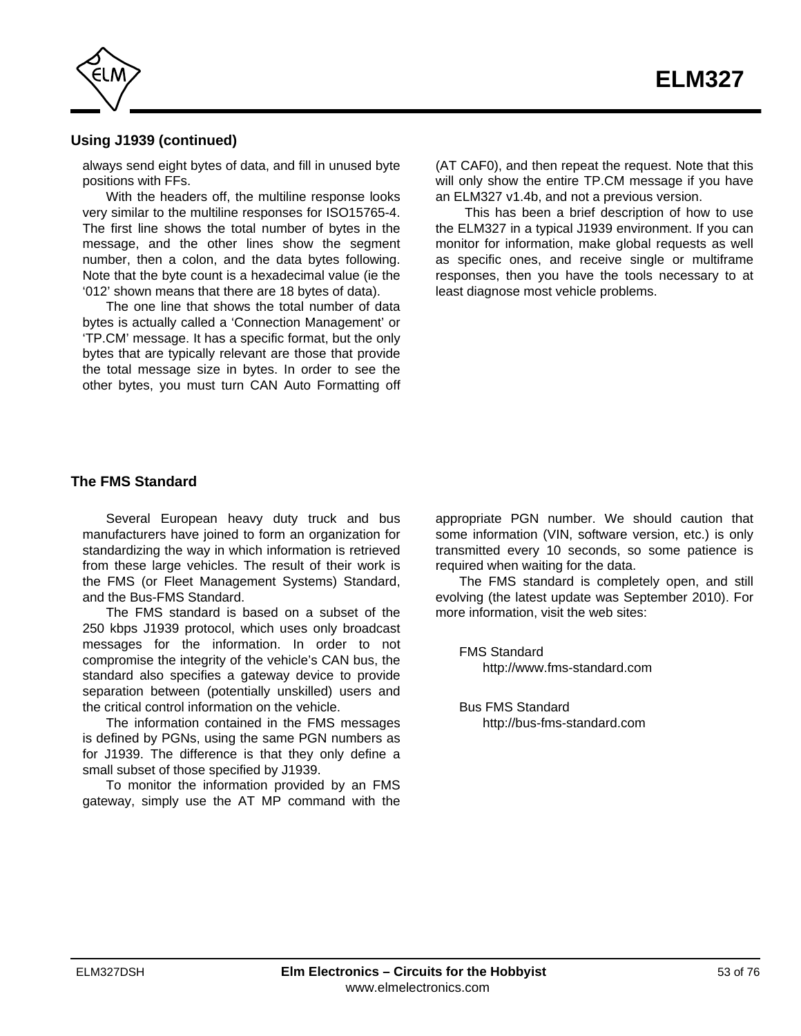

## **Using J1939 (continued)**

always send eight bytes of data, and fill in unused byte positions with FFs.

With the headers off, the multiline response looks very similar to the multiline responses for ISO15765-4. The first line shows the total number of bytes in the message, and the other lines show the segment number, then a colon, and the data bytes following. Note that the byte count is a hexadecimal value (ie the '012' shown means that there are 18 bytes of data).

The one line that shows the total number of data bytes is actually called a 'Connection Management' or 'TP.CM' message. It has a specific format, but the only bytes that are typically relevant are those that provide the total message size in bytes. In order to see the other bytes, you must turn CAN Auto Formatting off

(AT CAF0), and then repeat the request. Note that this will only show the entire TP.CM message if you have an ELM327 v1.4b, and not a previous version.

 This has been a brief description of how to use the ELM327 in a typical J1939 environment. If you can monitor for information, make global requests as well as specific ones, and receive single or multiframe responses, then you have the tools necessary to at least diagnose most vehicle problems.

#### **The FMS Standard**

Several European heavy duty truck and bus manufacturers have joined to form an organization for standardizing the way in which information is retrieved from these large vehicles. The result of their work is the FMS (or Fleet Management Systems) Standard, and the Bus-FMS Standard.

The FMS standard is based on a subset of the 250 kbps J1939 protocol, which uses only broadcast messages for the information. In order to not compromise the integrity of the vehicle's CAN bus, the standard also specifies a gateway device to provide separation between (potentially unskilled) users and the critical control information on the vehicle.

The information contained in the FMS messages is defined by PGNs, using the same PGN numbers as for J1939. The difference is that they only define a small subset of those specified by J1939.

To monitor the information provided by an FMS gateway, simply use the AT MP command with the appropriate PGN number. We should caution that some information (VIN, software version, etc.) is only transmitted every 10 seconds, so some patience is required when waiting for the data.

The FMS standard is completely open, and still evolving (the latest update was September 2010). For more information, visit the web sites:

FMS Standard http://www.fms-standard.com

Bus FMS Standard http://bus-fms-standard.com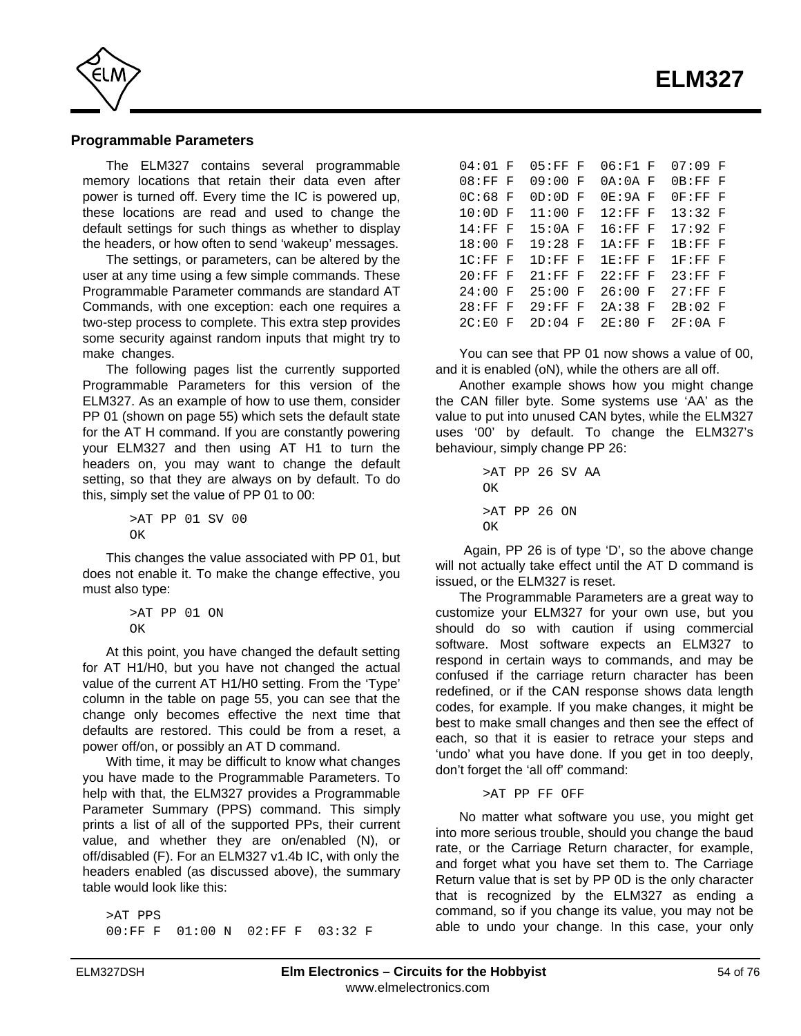<span id="page-53-0"></span>

#### **Programmable Parameters**

The ELM327 contains several programmable memory locations that retain their data even after power is turned off. Every time the IC is powered up, these locations are read and used to change the default settings for such things as whether to display the headers, or how often to send 'wakeup' messages.

The settings, or parameters, can be altered by the user at any time using a few simple commands. These Programmable Parameter commands are standard AT Commands, with one exception: each one requires a two-step process to complete. This extra step provides some security against random inputs that might try to make changes.

The following pages list the currently supported Programmable Parameters for this version of the ELM327. As an example of how to use them, consider PP 0[1 \(shown on page 55\)](#page-54-0) which sets the default state for the AT H command. If you are constantly powering your ELM327 and then using AT H1 to turn the headers on, you may want to change the default setting, so that they are always on by default. To do this, simply set the value of PP 01 to 00:

> >AT PP 01 SV 00  $\cap$ K

This changes the value associated with PP 01, but does not enable it. To make the change effective, you must also type:

```
>AT PP 01 ON
OK
```
At this point, you have changed the default setting for AT H1/H0, but you have not changed the actual value of the current AT H1/H0 setting. From the 'Type' column in th[e table on page 55,](#page-54-0) you can see that the change only becomes effective the next time that defaults are restored. This could be from a reset, a power off/on, or possibly an AT D command.

With time, it may be difficult to know what changes you have made to the Programmable Parameters. To help with that, the ELM327 provides a Programmable Parameter Summary (PPS) command. This simply prints a list of all of the supported PPs, their current value, and whether they are on/enabled (N), or off/disabled (F). For an ELM327 v1.4b IC, with only the headers enabled (as discussed above), the summary table would look like this:

>AT PPS 00:FF F 01:00 N 02:FF F 03:32 F

| $04:01$ F |   | $05:FF$ F   |    | 06:F1 F     |   | $07:09$ F   |    |
|-----------|---|-------------|----|-------------|---|-------------|----|
| $08:FF$ F |   | 09:00       | F  | $0A:0A$ F   |   | 0B:FF       | F  |
| $0C:68$ F |   | $OD:OD$ F   |    | $0E:9A$ F   |   | 0F : FF     | ान |
| $10:0D$ F |   | 11:00       | ान | $12:$ FF    | F | 13:32 F     |    |
| $14:FF$ F |   | $15:0A$ F   |    | 16:FF       | F | 17:92F      |    |
| $18:00$ F |   | 19:28 F     |    | $1A:FF$ $F$ |   | $1B:FF$ $F$ |    |
| $1C:FF$ F |   | $1D:FF$ $F$ |    | 1E:FF       | F | 1F : FF     | ਾ  |
| $20:FF$ F |   | $21:FF$ F   |    | $22:FF$ F   |   | 23:FF       | ਾ  |
| 24:00     | F | 25:00       | F  | 26:00       | F | 27:FF       | F  |
| 28:FF     | F | 29:FF       | F  | 2A:38       | F | 2B:02       | ਾ  |
| 2C: E0    | F | 2D:04       | F  | 2E:80       | F | $2F:0A$ F   |    |

You can see that PP 01 now shows a value of 00, and it is enabled (oN), while the others are all off.

Another example shows how you might change the CAN filler byte. Some systems use 'AA' as the value to put into unused CAN bytes, while the ELM327 uses '00' by default. To change the ELM327's behaviour, simply change PP 26:

```
>AT PP 26 SV AA
\capK
>AT PP 26 ON
\capK
```
 Again, PP 26 is of type 'D', so the above change will not actually take effect until the AT D command is issued, or the ELM327 is reset.

The Programmable Parameters are a great way to customize your ELM327 for your own use, but you should do so with caution if using commercial software. Most software expects an ELM327 to respond in certain ways to commands, and may be confused if the carriage return character has been redefined, or if the CAN response shows data length codes, for example. If you make changes, it might be best to make small changes and then see the effect of each, so that it is easier to retrace your steps and 'undo' what you have done. If you get in too deeply, don't forget the 'all off' command:

>AT PP FF OFF

No matter what software you use, you might get into more serious trouble, should you change the baud rate, or the Carriage Return character, for example, and forget what you have set them to. The Carriage Return value that is set by PP 0D is the only character that is recognized by the ELM327 as ending a command, so if you change its value, you may not be able to undo your change. In this case, your only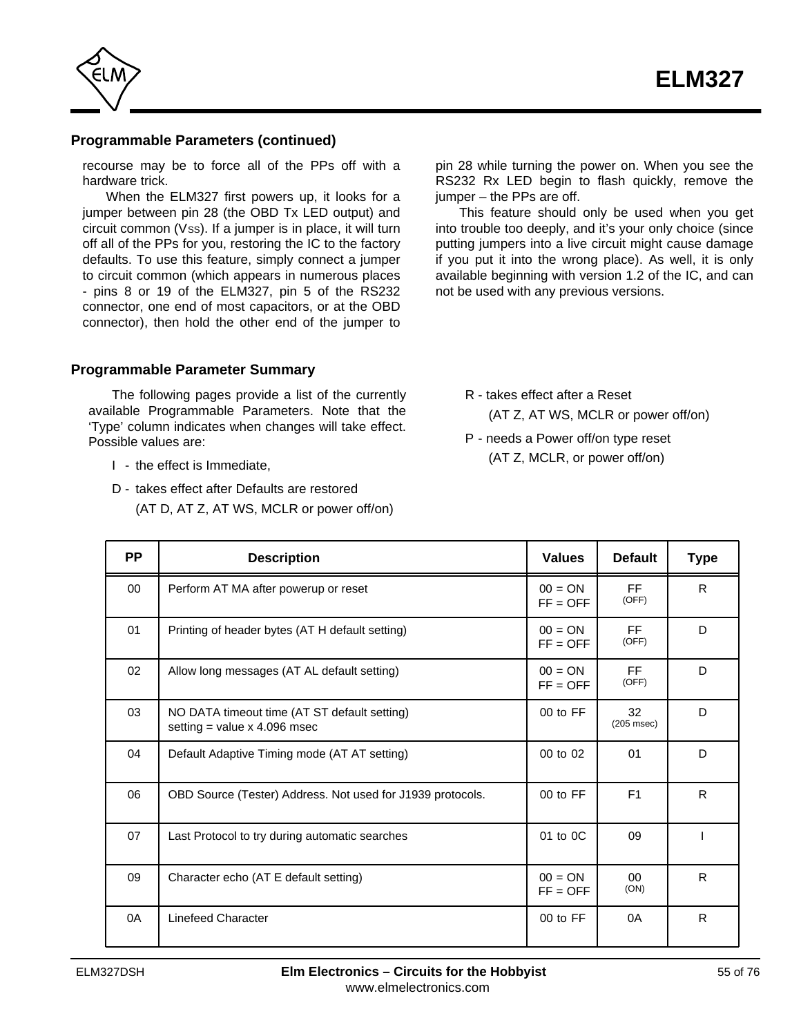<span id="page-54-0"></span>

#### **Programmable Parameters (continued)**

recourse may be to force all of the PPs off with a hardware trick.

When the ELM327 first powers up, it looks for a jumper between pin 28 (the OBD Tx LED output) and  $circuit common (Vss)$ . If a jumper is in place, it will turn off all of the PPs for you, restoring the IC to the factory defaults. To use this feature, simply connect a jumper to circuit common (which appears in numerous places - pins 8 or 19 of the ELM327, pin 5 of the RS232 connector, one end of most capacitors, or at the OBD connector), then hold the other end of the jumper to

**Programmable Parameter Summary**

The following pages provide a list of the currently available Programmable Parameters. Note that the 'Type' column indicates when changes will take effect. Possible values are:

- I the effect is Immediate,
- D takes effect after Defaults are restored (AT D, AT Z, AT WS, MCLR or power off/on)

pin 28 while turning the power on. When you see the RS232 Rx LED begin to flash quickly, remove the  $i$ umper – the PPs are off.

This feature should only be used when you get into trouble too deeply, and it's your only choice (since putting jumpers into a live circuit might cause damage if you put it into the wrong place). As well, it is only available beginning with version 1.2 of the IC, and can not be used with any previous versions.

R - takes effect after a Reset

(AT Z, AT WS, MCLR or power off/on)

P - needs a Power off/on type reset (AT Z, MCLR, or power off/on)

| <b>PP</b> | <b>Description</b>                                                             | <b>Values</b>           | <b>Default</b>        | <b>Type</b>  |
|-----------|--------------------------------------------------------------------------------|-------------------------|-----------------------|--------------|
| 00        | Perform AT MA after powerup or reset                                           | $00 = ON$<br>$FF = OFF$ | <b>FF</b><br>(OFF)    | $\mathsf{R}$ |
| 01        | Printing of header bytes (AT H default setting)                                | $00 = ON$<br>$FF = OFF$ | FF<br>(OFF)           | D            |
| 02        | Allow long messages (AT AL default setting)                                    | $00 = ON$<br>$FF = OFF$ | <b>FF</b><br>(OFF)    | D            |
| 03        | NO DATA timeout time (AT ST default setting)<br>setting = value $x$ 4.096 msec | 00 to FF                | 32<br>$(205$ msec $)$ | D            |
| 04        | Default Adaptive Timing mode (AT AT setting)                                   | 00 to 02                | 01                    | D            |
| 06        | OBD Source (Tester) Address. Not used for J1939 protocols.                     | 00 to FF                | F <sub>1</sub>        | R            |
| 07        | Last Protocol to try during automatic searches                                 | 01 to 0C                | 09                    |              |
| 09        | Character echo (AT E default setting)                                          | $00 = ON$<br>$FF = OFF$ | $00\,$<br>(ON)        | $\mathsf{R}$ |
| 0A        | Linefeed Character                                                             | 00 to FF                | 0A                    | R            |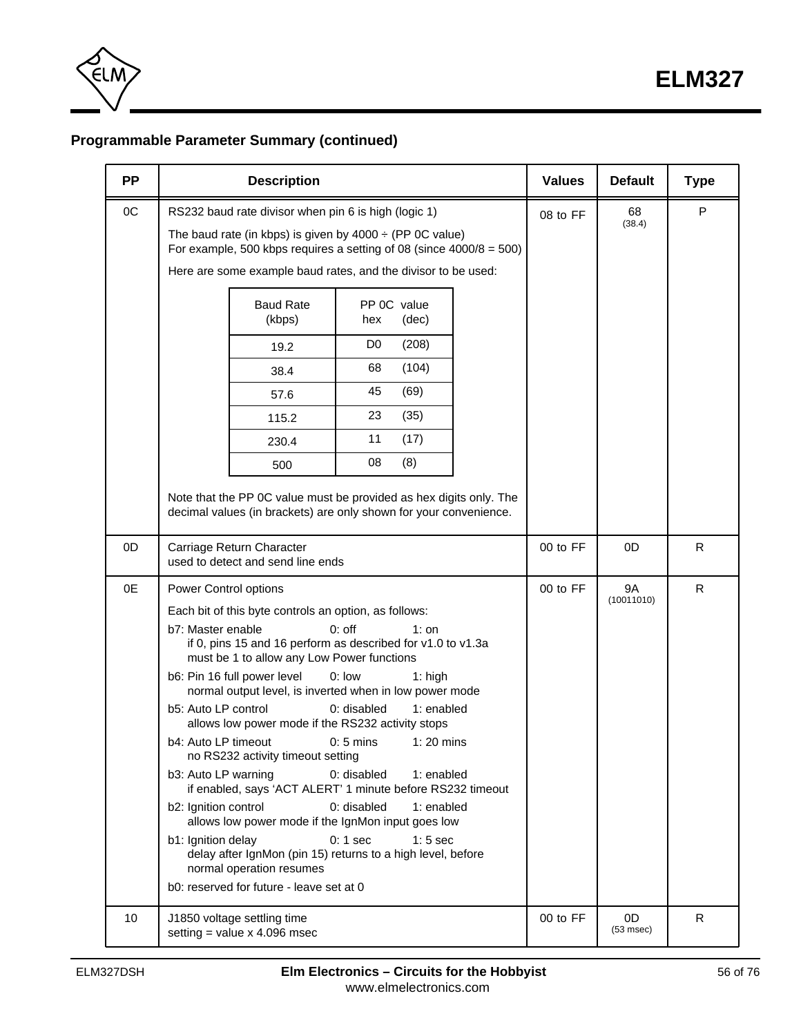

# **Programmable Parameter Summary (continued)**

| <b>PP</b> | <b>Description</b>                                                                                                                                                                                                                                                     | <b>Values</b> | <b>Default</b>       | <b>Type</b> |
|-----------|------------------------------------------------------------------------------------------------------------------------------------------------------------------------------------------------------------------------------------------------------------------------|---------------|----------------------|-------------|
| OC        | RS232 baud rate divisor when pin 6 is high (logic 1)<br>The baud rate (in kbps) is given by $4000 \div (PP \, OC \, value)$<br>For example, 500 kbps requires a setting of 08 (since $4000/8 = 500$ )<br>Here are some example baud rates, and the divisor to be used: | 08 to FF      | 68<br>(38.4)         | P           |
|           | PP 0C value<br><b>Baud Rate</b><br>(kbps)<br>hex<br>(dec)                                                                                                                                                                                                              |               |                      |             |
|           | D <sub>0</sub><br>(208)<br>19.2                                                                                                                                                                                                                                        |               |                      |             |
|           | (104)<br>68<br>38.4                                                                                                                                                                                                                                                    |               |                      |             |
|           | (69)<br>45<br>57.6                                                                                                                                                                                                                                                     |               |                      |             |
|           | 23<br>(35)<br>115.2                                                                                                                                                                                                                                                    |               |                      |             |
|           | 11<br>(17)<br>230.4                                                                                                                                                                                                                                                    |               |                      |             |
|           | 08<br>(8)<br>500                                                                                                                                                                                                                                                       |               |                      |             |
|           | Note that the PP 0C value must be provided as hex digits only. The<br>decimal values (in brackets) are only shown for your convenience.                                                                                                                                |               |                      |             |
| 0D        | Carriage Return Character<br>used to detect and send line ends                                                                                                                                                                                                         | 00 to FF      | 0D                   | R           |
| 0E        | Power Control options                                                                                                                                                                                                                                                  | 00 to FF      | 9A<br>(10011010)     | R           |
|           | Each bit of this byte controls an option, as follows:                                                                                                                                                                                                                  |               |                      |             |
|           | b7: Master enable<br>$0:$ off<br>$1:$ on<br>if 0, pins 15 and 16 perform as described for v1.0 to v1.3a<br>must be 1 to allow any Low Power functions                                                                                                                  |               |                      |             |
|           | b6: Pin 16 full power level<br>$0:$ low<br>$1:$ high<br>normal output level, is inverted when in low power mode                                                                                                                                                        |               |                      |             |
|           | b5: Auto LP control<br>1: enabled<br>$0:$ disabled<br>allows low power mode if the RS232 activity stops                                                                                                                                                                |               |                      |             |
|           | b4: Auto LP timeout<br>$0:5$ mins<br>$1:20$ mins<br>no RS232 activity timeout setting                                                                                                                                                                                  |               |                      |             |
|           | 0: disabled<br>b3: Auto LP warning<br>1: enabled<br>if enabled, says 'ACT ALERT' 1 minute before RS232 timeout                                                                                                                                                         |               |                      |             |
|           | 0: disabled<br>1: enabled<br>b2: Ignition control<br>allows low power mode if the IgnMon input goes low                                                                                                                                                                |               |                      |             |
|           | b1: Ignition delay<br>$0:1$ sec<br>$1:5$ sec<br>delay after IgnMon (pin 15) returns to a high level, before<br>normal operation resumes                                                                                                                                |               |                      |             |
|           | b0: reserved for future - leave set at 0                                                                                                                                                                                                                               |               |                      |             |
| 10        | J1850 voltage settling time<br>setting = value $x$ 4.096 msec                                                                                                                                                                                                          | 00 to FF      | 0D<br>$(53$ msec $)$ | R           |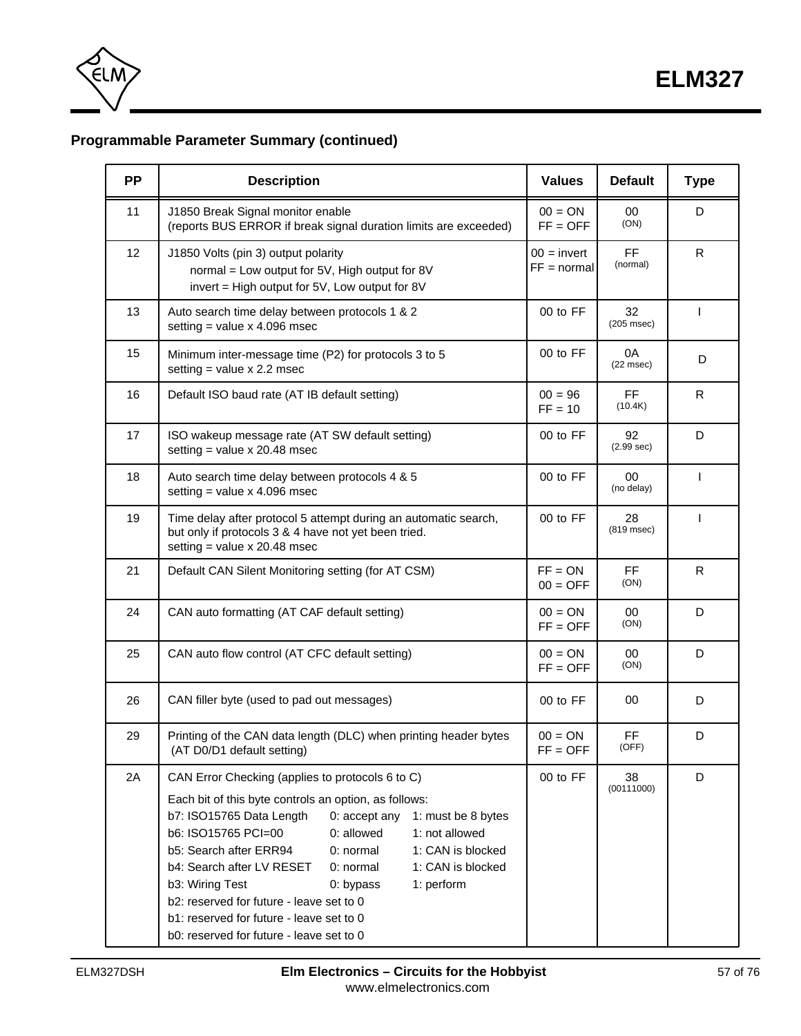

# **Programmable Parameter Summary (continued)**

| <b>PP</b> | <b>Description</b>                                                                                                                                                                                                                                                                                                                                                                                                                                                                                                                               | <b>Values</b>                  | <b>Default</b>        | <b>Type</b>  |
|-----------|--------------------------------------------------------------------------------------------------------------------------------------------------------------------------------------------------------------------------------------------------------------------------------------------------------------------------------------------------------------------------------------------------------------------------------------------------------------------------------------------------------------------------------------------------|--------------------------------|-----------------------|--------------|
| 11        | J1850 Break Signal monitor enable<br>(reports BUS ERROR if break signal duration limits are exceeded)                                                                                                                                                                                                                                                                                                                                                                                                                                            | $00 = ON$<br>$FF = OFF$        | 00<br>(ON)            | D            |
| 12        | J1850 Volts (pin 3) output polarity<br>normal = Low output for 5V, High output for 8V<br>invert = High output for 5V, Low output for 8V                                                                                                                                                                                                                                                                                                                                                                                                          | $00 =$ invert<br>$FF = normal$ | <b>FF</b><br>(normal) | R            |
| 13        | Auto search time delay between protocols 1 & 2<br>setting = value $x$ 4.096 msec                                                                                                                                                                                                                                                                                                                                                                                                                                                                 | 00 to FF                       | 32<br>$(205$ msec $)$ | T            |
| 15        | Minimum inter-message time (P2) for protocols 3 to 5<br>setting = value $x$ 2.2 msec                                                                                                                                                                                                                                                                                                                                                                                                                                                             | 00 to FF                       | 0A<br>$(22$ msec $)$  | D            |
| 16        | Default ISO baud rate (AT IB default setting)                                                                                                                                                                                                                                                                                                                                                                                                                                                                                                    | $00 = 96$<br>$FF = 10$         | <b>FF</b><br>(10.4K)  | R            |
| 17        | ISO wakeup message rate (AT SW default setting)<br>setting = value $x$ 20.48 msec                                                                                                                                                                                                                                                                                                                                                                                                                                                                | 00 to FF                       | 92<br>(2.99 sec)      | D            |
| 18        | Auto search time delay between protocols 4 & 5<br>setting = value $x$ 4.096 msec                                                                                                                                                                                                                                                                                                                                                                                                                                                                 | 00 to FF                       | 00<br>(no delay)      | $\mathbf{I}$ |
| 19        | Time delay after protocol 5 attempt during an automatic search,<br>but only if protocols 3 & 4 have not yet been tried.<br>setting = value $x$ 20.48 msec                                                                                                                                                                                                                                                                                                                                                                                        | 00 to FF                       | 28<br>(819 msec)      | $\mathbf{I}$ |
| 21        | Default CAN Silent Monitoring setting (for AT CSM)                                                                                                                                                                                                                                                                                                                                                                                                                                                                                               | $FF = ON$<br>$00 = OFF$        | <b>FF</b><br>(ON)     | R            |
| 24        | CAN auto formatting (AT CAF default setting)                                                                                                                                                                                                                                                                                                                                                                                                                                                                                                     | $00 = ON$<br>$FF = OFF$        | 00<br>(ON)            | D            |
| 25        | CAN auto flow control (AT CFC default setting)                                                                                                                                                                                                                                                                                                                                                                                                                                                                                                   | $00 = ON$<br>$FF = OFF$        | 00<br>(ON)            | D            |
| 26        | CAN filler byte (used to pad out messages)                                                                                                                                                                                                                                                                                                                                                                                                                                                                                                       | 00 to FF                       | 00                    | D            |
| 29        | Printing of the CAN data length (DLC) when printing header bytes<br>(AT D0/D1 default setting)                                                                                                                                                                                                                                                                                                                                                                                                                                                   | $00 = ON$<br>$FF = OFF$        | <b>FF</b><br>(OFF)    | D            |
| 2A        | CAN Error Checking (applies to protocols 6 to C)<br>Each bit of this byte controls an option, as follows:<br>b7: ISO15765 Data Length<br>0: accept any<br>1: must be 8 bytes<br>b6: ISO15765 PCI=00<br>0: allowed<br>1: not allowed<br>b5: Search after ERR94<br>0: normal<br>1: CAN is blocked<br>b4: Search after LV RESET<br>0: normal<br>1: CAN is blocked<br>b3: Wiring Test<br>1: perform<br>0: bypass<br>b2: reserved for future - leave set to 0<br>b1: reserved for future - leave set to 0<br>b0: reserved for future - leave set to 0 | 00 to FF                       | 38<br>(00111000)      | D            |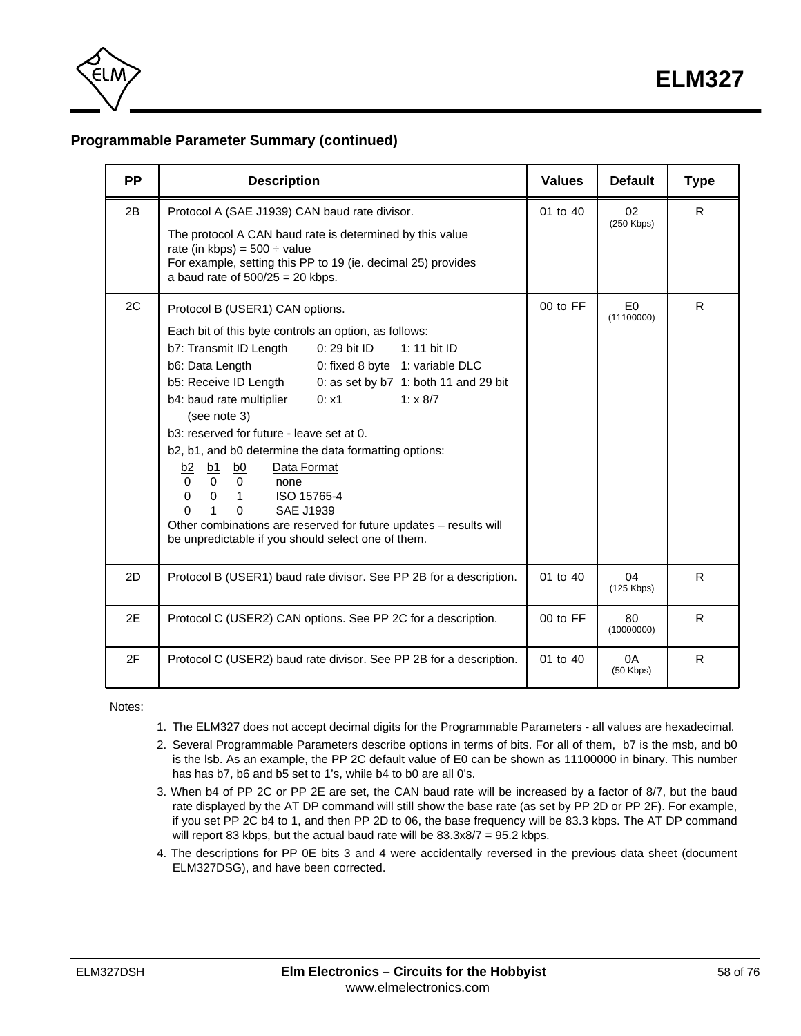

# **Programmable Parameter Summary (continued)**

| <b>PP</b> | <b>Description</b>                                                                                                                                                                                                                                                                                                                                                                                                                                                                                                                                                                                                                                                                                                                                                                            | <b>Values</b> | <b>Default</b>               | <b>Type</b> |
|-----------|-----------------------------------------------------------------------------------------------------------------------------------------------------------------------------------------------------------------------------------------------------------------------------------------------------------------------------------------------------------------------------------------------------------------------------------------------------------------------------------------------------------------------------------------------------------------------------------------------------------------------------------------------------------------------------------------------------------------------------------------------------------------------------------------------|---------------|------------------------------|-------------|
| 2B        | Protocol A (SAE J1939) CAN baud rate divisor.<br>The protocol A CAN baud rate is determined by this value<br>rate (in kbps) = $500 \div$ value<br>For example, setting this PP to 19 (ie. decimal 25) provides<br>a baud rate of $500/25 = 20$ kbps.                                                                                                                                                                                                                                                                                                                                                                                                                                                                                                                                          | 01 to 40      | 02<br>$(250$ Kbps)           | R.          |
| 2C        | Protocol B (USER1) CAN options.<br>Each bit of this byte controls an option, as follows:<br>b7: Transmit ID Length<br>0: 29 bit ID<br>1: 11 bit ID<br>b6: Data Length<br>0: fixed 8 byte 1: variable DLC<br>b5: Receive ID Length<br>0: as set by $b7$ 1: both 11 and 29 bit<br>b4: baud rate multiplier<br>0: x1<br>1: x 8/7<br>(see note 3)<br>b3: reserved for future - leave set at 0.<br>b2, b1, and b0 determine the data formatting options:<br>Data Format<br>b2<br>$\underline{b0}$<br><u>b1</u><br>$\Omega$<br>$\Omega$<br>$\Omega$<br>none<br>$\mathbf 0$<br>$\Omega$<br>ISO 15765-4<br>$\overline{1}$<br>$\Omega$<br><b>SAE J1939</b><br>1<br>$\Omega$<br>Other combinations are reserved for future updates - results will<br>be unpredictable if you should select one of them. | $00$ to $FF$  | E <sub>0</sub><br>(11100000) | R           |
| 2D        | Protocol B (USER1) baud rate divisor. See PP 2B for a description.                                                                                                                                                                                                                                                                                                                                                                                                                                                                                                                                                                                                                                                                                                                            | 01 to 40      | 04<br>$(125$ Kbps)           | R.          |
| 2E        | Protocol C (USER2) CAN options. See PP 2C for a description.                                                                                                                                                                                                                                                                                                                                                                                                                                                                                                                                                                                                                                                                                                                                  | $00$ to $FF$  | 80<br>(10000000)             | R.          |
| 2F        | Protocol C (USER2) baud rate divisor. See PP 2B for a description.                                                                                                                                                                                                                                                                                                                                                                                                                                                                                                                                                                                                                                                                                                                            | 01 to 40      | 0A<br>$(50$ Kbps)            | R           |

Notes:

- 1. The ELM327 does not accept decimal digits for the Programmable Parameters all values are hexadecimal.
- 2. Several Programmable Parameters describe options in terms of bits. For all of them, b7 is the msb, and b0 is the lsb. As an example, the PP 2C default value of E0 can be shown as 11100000 in binary. This number has has b7, b6 and b5 set to 1's, while b4 to b0 are all 0's.
- 3. When b4 of PP 2C or PP 2E are set, the CAN baud rate will be increased by a factor of 8/7, but the baud rate displayed by the AT DP command will still show the base rate (as set by PP 2D or PP 2F). For example, if you set PP 2C b4 to 1, and then PP 2D to 06, the base frequency will be 83.3 kbps. The AT DP command will report 83 kbps, but the actual baud rate will be 83.3x8/7 = 95.2 kbps.
- 4. The descriptions for PP 0E bits 3 and 4 were accidentally reversed in the previous data sheet (document ELM327DSG), and have been corrected.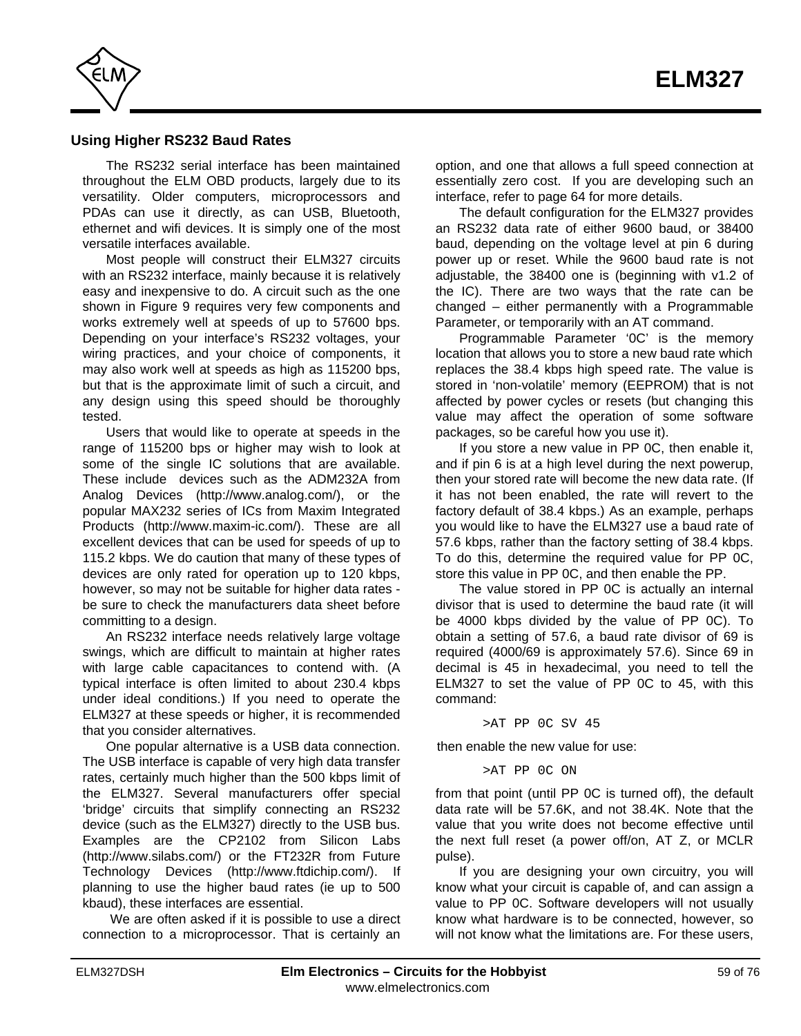

#### **Using Higher RS232 Baud Rates**

The RS232 serial interface has been maintained throughout the ELM OBD products, largely due to its versatility. Older computers, microprocessors and PDAs can use it directly, as can USB, Bluetooth, ethernet and wifi devices. It is simply one of the most versatile interfaces available.

Most people will construct their ELM327 circuits with an RS232 interface, mainly because it is relatively easy and inexpensive to do. A circuit such as the one shown in Figure 9 requires very few components and works extremely well at speeds of up to 57600 bps. Depending on your interface's RS232 voltages, your wiring practices, and your choice of components, it may also work well at speeds as high as 115200 bps, but that is the approximate limit of such a circuit, and any design using this speed should be thoroughly tested.

Users that would like to operate at speeds in the range of 115200 bps or higher may wish to look at some of the single IC solutions that are available. These include devices such as the ADM232A from Analog Devices (http://www.analog.com/), or the popular MAX232 series of ICs from Maxim Integrated Products (http://www.maxim-ic.com/). These are all excellent devices that can be used for speeds of up to 115.2 kbps. We do caution that many of these types of devices are only rated for operation up to 120 kbps, however, so may not be suitable for higher data rates be sure to check the manufacturers data sheet before committing to a design.

An RS232 interface needs relatively large voltage swings, which are difficult to maintain at higher rates with large cable capacitances to contend with. (A typical interface is often limited to about 230.4 kbps under ideal conditions.) If you need to operate the ELM327 at these speeds or higher, it is recommended that you consider alternatives.

One popular alternative is a USB data connection. The USB interface is capable of very high data transfer rates, certainly much higher than the 500 kbps limit of the ELM327. Several manufacturers offer special 'bridge' circuits that simplify connecting an RS232 device (such as the ELM327) directly to the USB bus. Examples are the CP2102 from Silicon Labs (http://www.silabs.com/) or the FT232R from Future Technology Devices (http://www.ftdichip.com/). If planning to use the higher baud rates (ie up to 500 kbaud), these interfaces are essential.

 We are often asked if it is possible to use a direct connection to a microprocessor. That is certainly an

option, and one that allows a full speed connection at essentially zero cost. If you are developing such an interface[, refer to page 64 f](#page-63-0)or more details.

The default configuration for the ELM327 provides an RS232 data rate of either 9600 baud, or 38400 baud, depending on the voltage level at pin 6 during power up or reset. While the 9600 baud rate is not adjustable, the 38400 one is (beginning with v1.2 of the IC). There are two ways that the rate can be changed – either permanently with a Programmable Parameter, or temporarily with an AT command.

Programmable Parameter '0C' is the memory location that allows you to store a new baud rate which replaces the 38.4 kbps high speed rate. The value is stored in 'non-volatile' memory (EEPROM) that is not affected by power cycles or resets (but changing this value may affect the operation of some software packages, so be careful how you use it).

If you store a new value in PP 0C, then enable it, and if pin 6 is at a high level during the next powerup, then your stored rate will become the new data rate. (If it has not been enabled, the rate will revert to the factory default of 38.4 kbps.) As an example, perhaps you would like to have the ELM327 use a baud rate of 57.6 kbps, rather than the factory setting of 38.4 kbps. To do this, determine the required value for PP 0C, store this value in PP 0C, and then enable the PP.

The value stored in PP 0C is actually an internal divisor that is used to determine the baud rate (it will be 4000 kbps divided by the value of PP 0C). To obtain a setting of 57.6, a baud rate divisor of 69 is required (4000/69 is approximately 57.6). Since 69 in decimal is 45 in hexadecimal, you need to tell the ELM327 to set the value of PP 0C to 45, with this command:

>AT PP 0C SV 45

then enable the new value for use:

>AT PP 0C ON

from that point (until PP 0C is turned off), the default data rate will be 57.6K, and not 38.4K. Note that the value that you write does not become effective until the next full reset (a power off/on, AT Z, or MCLR pulse).

If you are designing your own circuitry, you will know what your circuit is capable of, and can assign a value to PP 0C. Software developers will not usually know what hardware is to be connected, however, so will not know what the limitations are. For these users,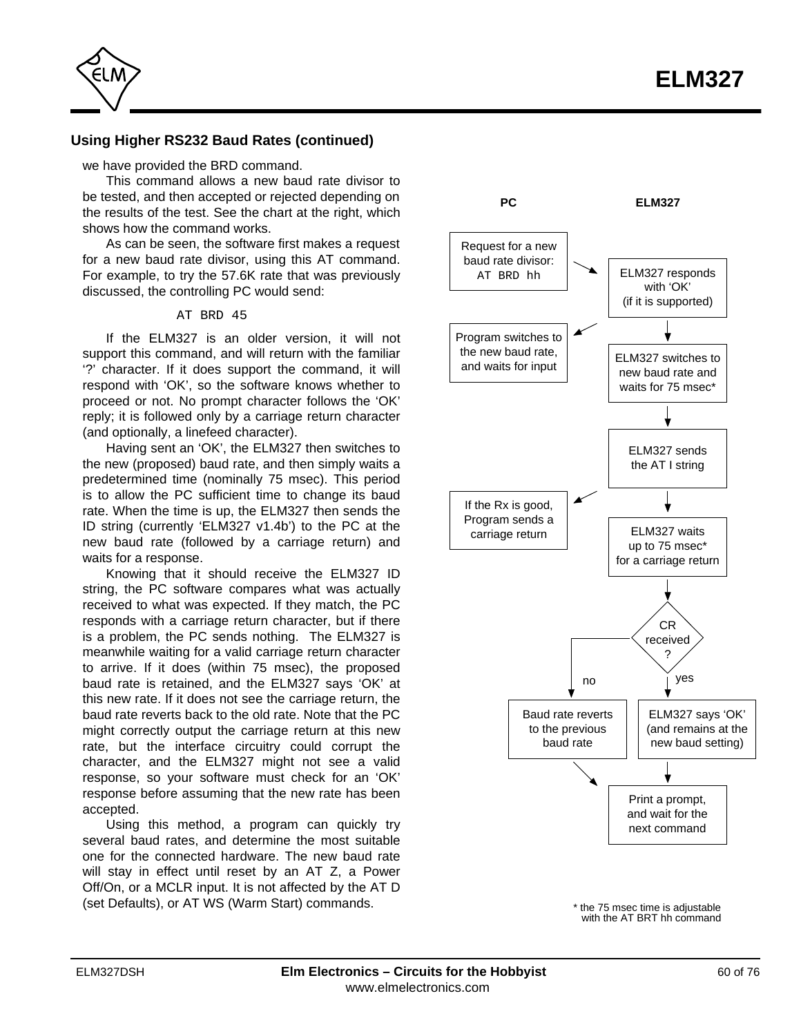

#### **Using Higher RS232 Baud Rates (continued)**

we have provided the BRD command.

This command allows a new baud rate divisor to be tested, and then accepted or rejected depending on the results of the test. See the chart at the right, which shows how the command works.

As can be seen, the software first makes a request for a new baud rate divisor, using this AT command. For example, to try the 57.6K rate that was previously discussed, the controlling PC would send:

#### AT BRD 45

If the ELM327 is an older version, it will not support this command, and will return with the familiar '?' character. If it does support the command, it will respond with 'OK', so the software knows whether to proceed or not. No prompt character follows the 'OK' reply; it is followed only by a carriage return character (and optionally, a linefeed character).

Having sent an 'OK', the ELM327 then switches to the new (proposed) baud rate, and then simply waits a predetermined time (nominally 75 msec). This period is to allow the PC sufficient time to change its baud rate. When the time is up, the ELM327 then sends the ID string (currently 'ELM327 v1.4b') to the PC at the new baud rate (followed by a carriage return) and waits for a response.

Knowing that it should receive the ELM327 ID string, the PC software compares what was actually received to what was expected. If they match, the PC responds with a carriage return character, but if there is a problem, the PC sends nothing. The ELM327 is meanwhile waiting for a valid carriage return character to arrive. If it does (within 75 msec), the proposed baud rate is retained, and the ELM327 says 'OK' at this new rate. If it does not see the carriage return, the baud rate reverts back to the old rate. Note that the PC might correctly output the carriage return at this new rate, but the interface circuitry could corrupt the character, and the ELM327 might not see a valid response, so your software must check for an 'OK' response before assuming that the new rate has been accepted.

Using this method, a program can quickly try several baud rates, and determine the most suitable one for the connected hardware. The new baud rate will stay in effect until reset by an AT Z, a Power Off/On, or a MCLR input. It is not affected by the AT D (set Defaults), or AT WS (Warm Start) commands.



\* the 75 msec time is adjustable with the AT BRT hh command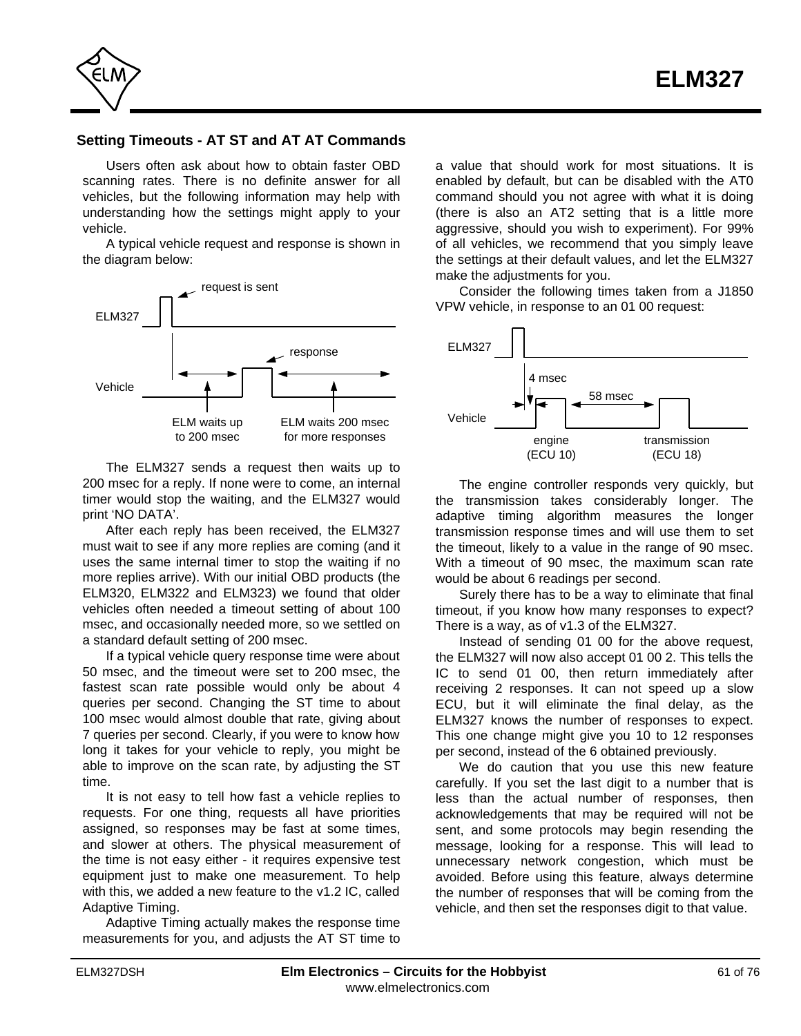

## **Setting Timeouts - AT ST and AT AT Commands**

Users often ask about how to obtain faster OBD scanning rates. There is no definite answer for all vehicles, but the following information may help with understanding how the settings might apply to your vehicle.

A typical vehicle request and response is shown in the diagram below:



The ELM327 sends a request then waits up to 200 msec for a reply. If none were to come, an internal timer would stop the waiting, and the ELM327 would print 'NO DATA'.

After each reply has been received, the ELM327 must wait to see if any more replies are coming (and it uses the same internal timer to stop the waiting if no more replies arrive). With our initial OBD products (the ELM320, ELM322 and ELM323) we found that older vehicles often needed a timeout setting of about 100 msec, and occasionally needed more, so we settled on a standard default setting of 200 msec.

If a typical vehicle query response time were about 50 msec, and the timeout were set to 200 msec, the fastest scan rate possible would only be about 4 queries per second. Changing the ST time to about 100 msec would almost double that rate, giving about 7 queries per second. Clearly, if you were to know how long it takes for your vehicle to reply, you might be able to improve on the scan rate, by adjusting the ST time.

It is not easy to tell how fast a vehicle replies to requests. For one thing, requests all have priorities assigned, so responses may be fast at some times, and slower at others. The physical measurement of the time is not easy either - it requires expensive test equipment just to make one measurement. To help with this, we added a new feature to the v1.2 IC, called Adaptive Timing.

Adaptive Timing actually makes the response time measurements for you, and adjusts the AT ST time to a value that should work for most situations. It is enabled by default, but can be disabled with the AT0 command should you not agree with what it is doing (there is also an AT2 setting that is a little more aggressive, should you wish to experiment). For 99% of all vehicles, we recommend that you simply leave the settings at their default values, and let the ELM327 make the adjustments for you.

Consider the following times taken from a J1850 VPW vehicle, in response to an 01 00 request:



The engine controller responds very quickly, but the transmission takes considerably longer. The adaptive timing algorithm measures the longer transmission response times and will use them to set the timeout, likely to a value in the range of 90 msec. With a timeout of 90 msec, the maximum scan rate would be about 6 readings per second.

Surely there has to be a way to eliminate that final timeout, if you know how many responses to expect? There is a way, as of v1.3 of the ELM327.

Instead of sending 01 00 for the above request, the ELM327 will now also accept 01 00 2. This tells the IC to send 01 00, then return immediately after receiving 2 responses. It can not speed up a slow ECU, but it will eliminate the final delay, as the ELM327 knows the number of responses to expect. This one change might give you 10 to 12 responses per second, instead of the 6 obtained previously.

We do caution that you use this new feature carefully. If you set the last digit to a number that is less than the actual number of responses, then acknowledgements that may be required will not be sent, and some protocols may begin resending the message, looking for a response. This will lead to unnecessary network congestion, which must be avoided. Before using this feature, always determine the number of responses that will be coming from the vehicle, and then set the responses digit to that value.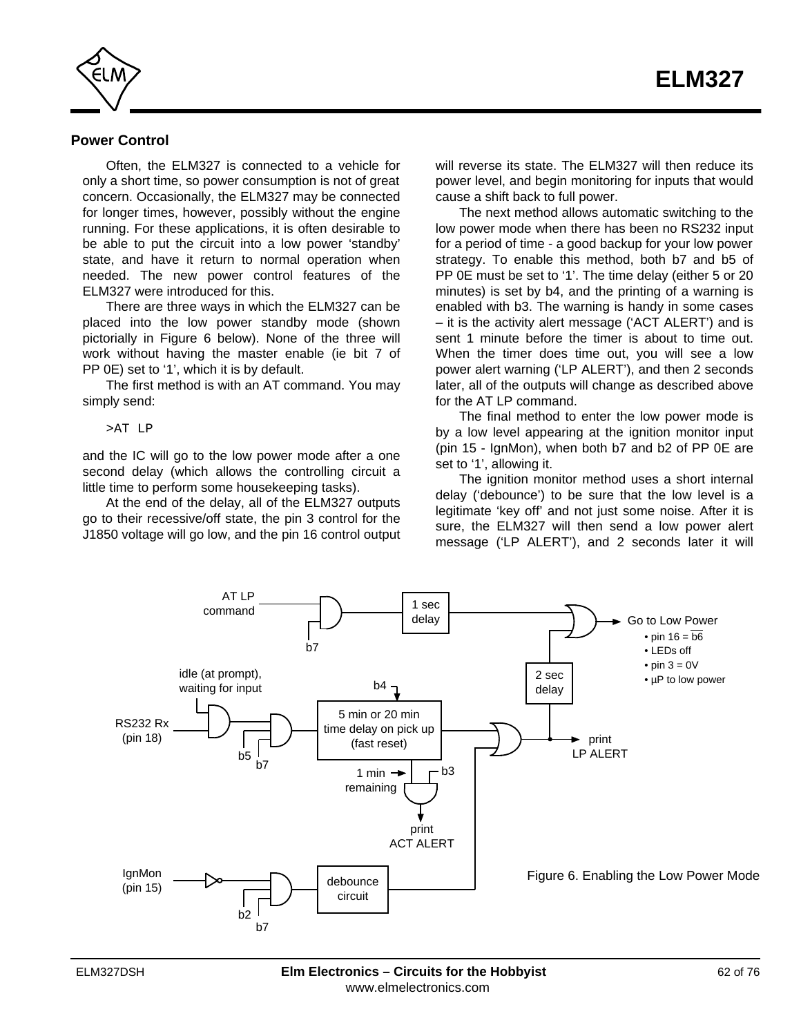

#### **Power Control**

Often, the ELM327 is connected to a vehicle for only a short time, so power consumption is not of great concern. Occasionally, the ELM327 may be connected for longer times, however, possibly without the engine running. For these applications, it is often desirable to be able to put the circuit into a low power 'standby' state, and have it return to normal operation when needed. The new power control features of the ELM327 were introduced for this.

There are three ways in which the ELM327 can be placed into the low power standby mode (shown pictorially in Figure 6 below). None of the three will work without having the master enable (ie bit 7 of PP 0E) set to '1', which it is by default.

The first method is with an AT command. You may simply send:

>AT LP

and the IC will go to the low power mode after a one second delay (which allows the controlling circuit a little time to perform some housekeeping tasks).

At the end of the delay, all of the ELM327 outputs go to their recessive/off state, the pin 3 control for the J1850 voltage will go low, and the pin 16 control output will reverse its state. The ELM327 will then reduce its power level, and begin monitoring for inputs that would cause a shift back to full power.

The next method allows automatic switching to the low power mode when there has been no RS232 input for a period of time - a good backup for your low power strategy. To enable this method, both b7 and b5 of PP 0E must be set to '1'. The time delay (either 5 or 20 minutes) is set by b4, and the printing of a warning is enabled with b3. The warning is handy in some cases – it is the activity alert message ('ACT ALERT') and is sent 1 minute before the timer is about to time out. When the timer does time out, you will see a low power alert warning ('LP ALERT'), and then 2 seconds later, all of the outputs will change as described above for the AT LP command.

The final method to enter the low power mode is by a low level appearing at the ignition monitor input (pin 15 - IgnMon), when both b7 and b2 of PP 0E are set to '1', allowing it.

The ignition monitor method uses a short internal delay ('debounce') to be sure that the low level is a legitimate 'key off' and not just some noise. After it is sure, the ELM327 will then send a low power alert message ('LP ALERT'), and 2 seconds later it will

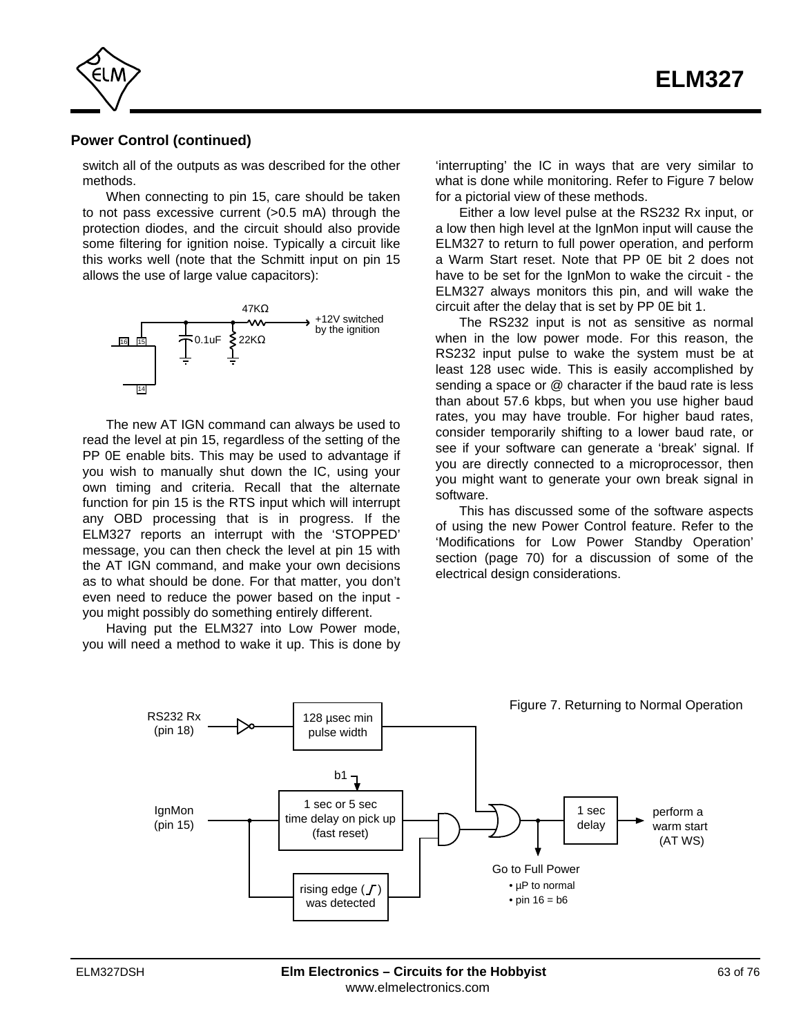

#### **Power Control (continued)**

switch all of the outputs as was described for the other methods.

When connecting to pin 15, care should be taken to not pass excessive current (>0.5 mA) through the protection diodes, and the circuit should also provide some filtering for ignition noise. Typically a circuit like this works well (note that the Schmitt input on pin 15 allows the use of large value capacitors):



The new AT IGN command can always be used to read the level at pin 15, regardless of the setting of the PP 0E enable bits. This may be used to advantage if you wish to manually shut down the IC, using your own timing and criteria. Recall that the alternate function for pin 15 is the RTS input which will interrupt any OBD processing that is in progress. If the ELM327 reports an interrupt with the 'STOPPED' message, you can then check the level at pin 15 with the AT IGN command, and make your own decisions as to what should be done. For that matter, you don't even need to reduce the power based on the input you might possibly do something entirely different.

Having put the ELM327 into Low Power mode, you will need a method to wake it up. This is done by

'interrupting' the IC in ways that are very similar to what is done while monitoring. Refer to Figure 7 below for a pictorial view of these methods.

Either a low level pulse at the RS232 Rx input, or a low then high level at the IgnMon input will cause the ELM327 to return to full power operation, and perform a Warm Start reset. Note that PP 0E bit 2 does not have to be set for the IgnMon to wake the circuit - the ELM327 always monitors this pin, and will wake the circuit after the delay that is set by PP 0E bit 1.

The RS232 input is not as sensitive as normal when in the low power mode. For this reason, the RS232 input pulse to wake the system must be at least 128 usec wide. This is easily accomplished by sending a space or @ character if the baud rate is less than about 57.6 kbps, but when you use higher baud rates, you may have trouble. For higher baud rates, consider temporarily shifting to a lower baud rate, or see if your software can generate a 'break' signal. If you are directly connected to a microprocessor, then you might want to generate your own break signal in software.

This has discussed some of the software aspects of using the new Power Control feature. Refer to the ['Modifications for Low Power Standby Operation'](#page-69-0) [section \(page 70\)](#page-69-0) for a discussion of some of the electrical design considerations.

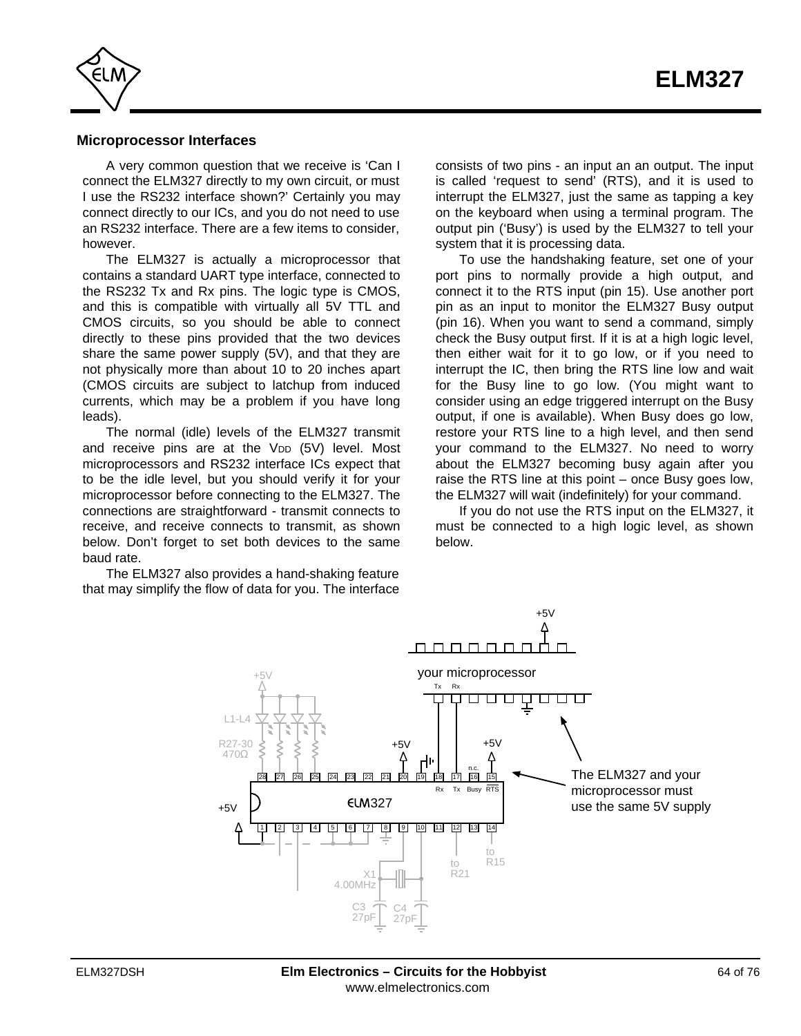<span id="page-63-0"></span>

#### **Microprocessor Interfaces**

A very common question that we receive is 'Can I connect the ELM327 directly to my own circuit, or must I use the RS232 interface shown?' Certainly you may connect directly to our ICs, and you do not need to use an RS232 interface. There are a few items to consider, however.

The ELM327 is actually a microprocessor that contains a standard UART type interface, connected to the RS232 Tx and Rx pins. The logic type is CMOS, and this is compatible with virtually all 5V TTL and CMOS circuits, so you should be able to connect directly to these pins provided that the two devices share the same power supply (5V), and that they are not physically more than about 10 to 20 inches apart (CMOS circuits are subject to latchup from induced currents, which may be a problem if you have long leads).

The normal (idle) levels of the ELM327 transmit and receive pins are at the V<sub>DD</sub> (5V) level. Most microprocessors and RS232 interface ICs expect that to be the idle level, but you should verify it for your microprocessor before connecting to the ELM327. The connections are straightforward - transmit connects to receive, and receive connects to transmit, as shown below. Don't forget to set both devices to the same baud rate.

The ELM327 also provides a hand-shaking feature that may simplify the flow of data for you. The interface consists of two pins - an input an an output. The input is called 'request to send' (RTS), and it is used to interrupt the ELM327, just the same as tapping a key on the keyboard when using a terminal program. The output pin ('Busy') is used by the ELM327 to tell your system that it is processing data.

To use the handshaking feature, set one of your port pins to normally provide a high output, and connect it to the RTS input (pin 15). Use another port pin as an input to monitor the ELM327 Busy output (pin 16). When you want to send a command, simply check the Busy output first. If it is at a high logic level, then either wait for it to go low, or if you need to interrupt the IC, then bring the RTS line low and wait for the Busy line to go low. (You might want to consider using an edge triggered interrupt on the Busy output, if one is available). When Busy does go low, restore your RTS line to a high level, and then send your command to the ELM327. No need to worry about the ELM327 becoming busy again after you raise the RTS line at this point – once Busy goes low, the ELM327 will wait (indefinitely) for your command.

If you do not use the RTS input on the ELM327, it must be connected to a high logic level, as shown below.

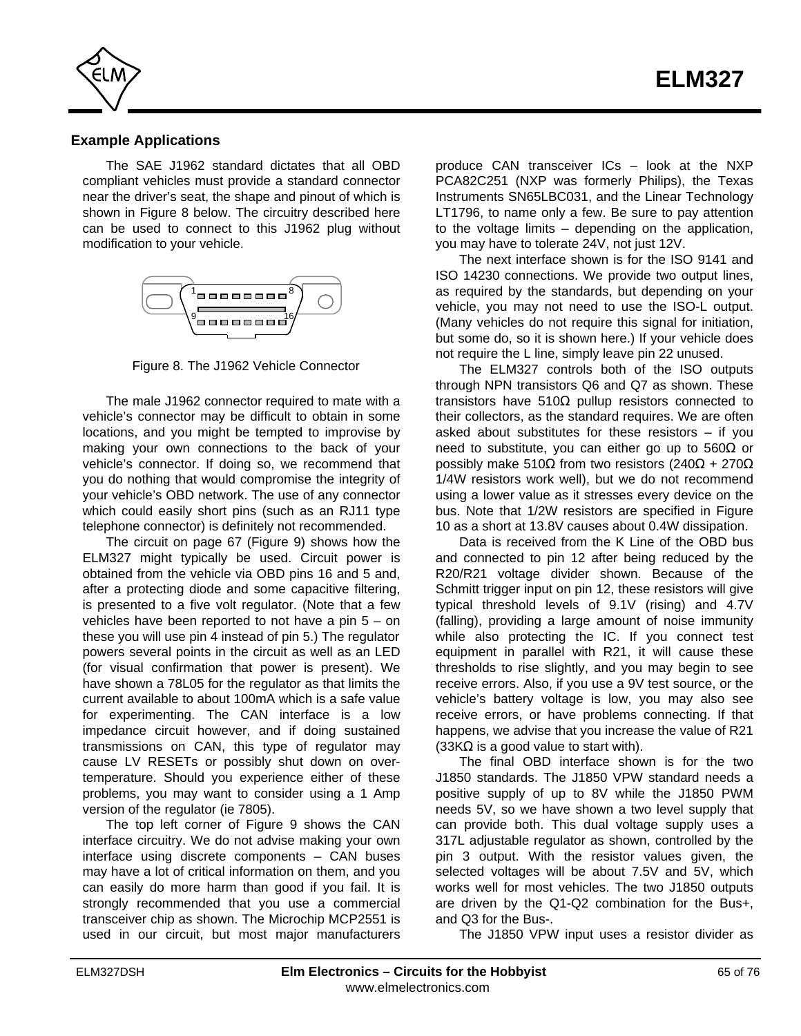

## **Example Applications**

The SAE J1962 standard dictates that all OBD compliant vehicles must provide a standard connector near the driver's seat, the shape and pinout of which is shown in Figure 8 below. The circuitry described here can be used to connect to this J1962 plug without modification to your vehicle.



Figure 8. The J1962 Vehicle Connector

The male J1962 connector required to mate with a vehicle's connector may be difficult to obtain in some locations, and you might be tempted to improvise by making your own connections to the back of your vehicle's connector. If doing so, we recommend that you do nothing that would compromise the integrity of your vehicle's OBD network. The use of any connector which could easily short pins (such as an RJ11 type telephone connector) is definitely not recommended.

The circuit o[n page 67 \(Figure 9\)](#page-66-0) shows how the ELM327 might typically be used. Circuit power is obtained from the vehicle via OBD pins 16 and 5 and, after a protecting diode and some capacitive filtering, is presented to a five volt regulator. (Note that a few vehicles have been reported to not have a pin 5 – on these you will use pin 4 instead of pin 5.) The regulator powers several points in the circuit as well as an LED (for visual confirmation that power is present). We have shown a 78L05 for the regulator as that limits the current available to about 100mA which is a safe value for experimenting. The CAN interface is a low impedance circuit however, and if doing sustained transmissions on CAN, this type of regulator may cause LV RESETs or possibly shut down on overtemperature. Should you experience either of these problems, you may want to consider using a 1 Amp version of the regulator (ie 7805).

The top left corner of Figure 9 shows the CAN interface circuitry. We do not advise making your own interface using discrete components – CAN buses may have a lot of critical information on them, and you can easily do more harm than good if you fail. It is strongly recommended that you use a commercial transceiver chip as shown. The Microchip MCP2551 is used in our circuit, but most major manufacturers

produce CAN transceiver ICs – look at the NXP PCA82C251 (NXP was formerly Philips), the Texas Instruments SN65LBC031, and the Linear Technology LT1796, to name only a few. Be sure to pay attention to the voltage limits – depending on the application, you may have to tolerate 24V, not just 12V.

The next interface shown is for the ISO 9141 and ISO 14230 connections. We provide two output lines, as required by the standards, but depending on your vehicle, you may not need to use the ISO-L output. (Many vehicles do not require this signal for initiation, but some do, so it is shown here.) If your vehicle does not require the L line, simply leave pin 22 unused.

The ELM327 controls both of the ISO outputs through NPN transistors Q6 and Q7 as shown. These transistors have 510 pullup resistors connected to their collectors, as the standard requires. We are often asked about substitutes for these resistors – if you need to substitute, you can either go up to 560 or possibly make 510 from two resistors  $(240 + 270)$ 1/4W resistors work well), but we do not recommend using a lower value as it stresses every device on the bus. Note that 1/2W resistors are specified in Figure 10 as a short at 13.8V causes about 0.4W dissipation.

Data is received from the K Line of the OBD bus and connected to pin 12 after being reduced by the R20/R21 voltage divider shown. Because of the Schmitt trigger input on pin 12, these resistors will give typical threshold levels of 9.1V (rising) and 4.7V (falling), providing a large amount of noise immunity while also protecting the IC. If you connect test equipment in parallel with R21, it will cause these thresholds to rise slightly, and you may begin to see receive errors. Also, if you use a 9V test source, or the vehicle's battery voltage is low, you may also see receive errors, or have problems connecting. If that happens, we advise that you increase the value of R21 (33K is a good value to start with).

The final OBD interface shown is for the two J1850 standards. The J1850 VPW standard needs a positive supply of up to 8V while the J1850 PWM needs 5V, so we have shown a two level supply that can provide both. This dual voltage supply uses a 317L adjustable regulator as shown, controlled by the pin 3 output. With the resistor values given, the selected voltages will be about 7.5V and 5V, which works well for most vehicles. The two J1850 outputs are driven by the Q1-Q2 combination for the Bus+, and Q3 for the Bus-.

The J1850 VPW input uses a resistor divider as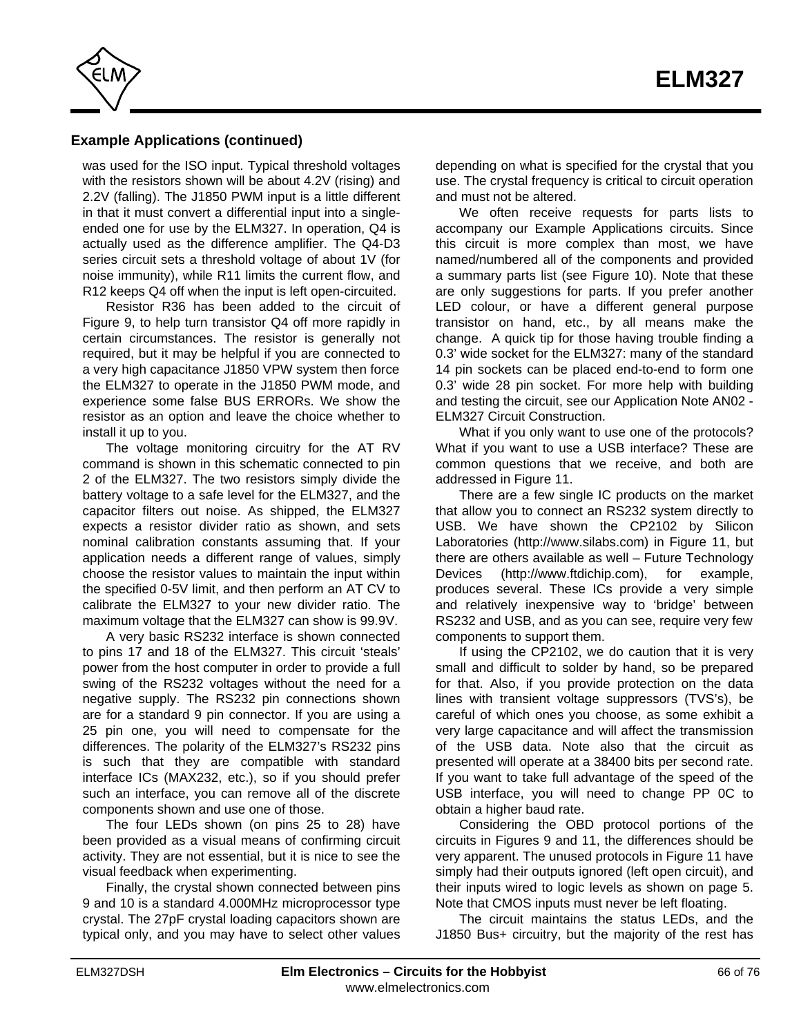

## **Example Applications (continued)**

was used for the ISO input. Typical threshold voltages with the resistors shown will be about 4.2V (rising) and 2.2V (falling). The J1850 PWM input is a little different in that it must convert a differential input into a singleended one for use by the ELM327. In operation, Q4 is actually used as the difference amplifier. The Q4-D3 series circuit sets a threshold voltage of about 1V (for noise immunity), while R11 limits the current flow, and R12 keeps Q4 off when the input is left open-circuited.

Resistor R36 has been added to the circuit of Figure 9, to help turn transistor Q4 off more rapidly in certain circumstances. The resistor is generally not required, but it may be helpful if you are connected to a very high capacitance J1850 VPW system then force the ELM327 to operate in the J1850 PWM mode, and experience some false BUS ERRORs. We show the resistor as an option and leave the choice whether to install it up to you.

The voltage monitoring circuitry for the AT RV command is shown in this schematic connected to pin 2 of the ELM327. The two resistors simply divide the battery voltage to a safe level for the ELM327, and the capacitor filters out noise. As shipped, the ELM327 expects a resistor divider ratio as shown, and sets nominal calibration constants assuming that. If your application needs a different range of values, simply choose the resistor values to maintain the input within the specified 0-5V limit, and then perform an AT CV to calibrate the ELM327 to your new divider ratio. The maximum voltage that the ELM327 can show is 99.9V.

A very basic RS232 interface is shown connected to pins 17 and 18 of the ELM327. This circuit 'steals' power from the host computer in order to provide a full swing of the RS232 voltages without the need for a negative supply. The RS232 pin connections shown are for a standard 9 pin connector. If you are using a 25 pin one, you will need to compensate for the differences. The polarity of the ELM327's RS232 pins is such that they are compatible with standard interface ICs (MAX232, etc.), so if you should prefer such an interface, you can remove all of the discrete components shown and use one of those.

The four LEDs shown (on pins 25 to 28) have been provided as a visual means of confirming circuit activity. They are not essential, but it is nice to see the visual feedback when experimenting.

Finally, the crystal shown connected between pins 9 and 10 is a standard 4.000MHz microprocessor type crystal. The 27pF crystal loading capacitors shown are typical only, and you may have to select other values

depending on what is specified for the crystal that you use. The crystal frequency is critical to circuit operation and must not be altered.

We often receive requests for parts lists to accompany our Example Applications circuits. Since this circuit is more complex than most, we have named/numbered all of the components and provided a summary parts list (see Figure 10). Note that these are only suggestions for parts. If you prefer another LED colour, or have a different general purpose transistor on hand, etc., by all means make the change. A quick tip for those having trouble finding a 0.3' wide socket for the ELM327: many of the standard 14 pin sockets can be placed end-to-end to form one 0.3' wide 28 pin socket. For more help with building and testing the circuit, see our Application Note AN02 - ELM327 Circuit Construction.

What if you only want to use one of the protocols? What if you want to use a USB interface? These are common questions that we receive, and both are addressed in Figure 11.

There are a few single IC products on the market that allow you to connect an RS232 system directly to USB. We have shown the CP2102 by Silicon Laboratories (http://www.silabs.com) in Figure 11, but there are others available as well – Future Technology Devices (http://www.ftdichip.com), for example, produces several. These ICs provide a very simple and relatively inexpensive way to 'bridge' between RS232 and USB, and as you can see, require very few components to support them.

If using the CP2102, we do caution that it is very small and difficult to solder by hand, so be prepared for that. Also, if you provide protection on the data lines with transient voltage suppressors (TVS's), be careful of which ones you choose, as some exhibit a very large capacitance and will affect the transmission of the USB data. Note also that the circuit as presented will operate at a 38400 bits per second rate. If you want to take full advantage of the speed of the USB interface, you will need to change PP 0C to obtain a higher baud rate.

Considering the OBD protocol portions of the circuits in Figures 9 and 11, the differences should be very apparent. The unused protocols in Figure 11 have simply had their outputs ignored (left open circuit), and their inputs wired to logic levels a[s shown on page 5.](#page-4-0) Note that CMOS inputs must never be left floating.

The circuit maintains the status LEDs, and the J1850 Bus+ circuitry, but the majority of the rest has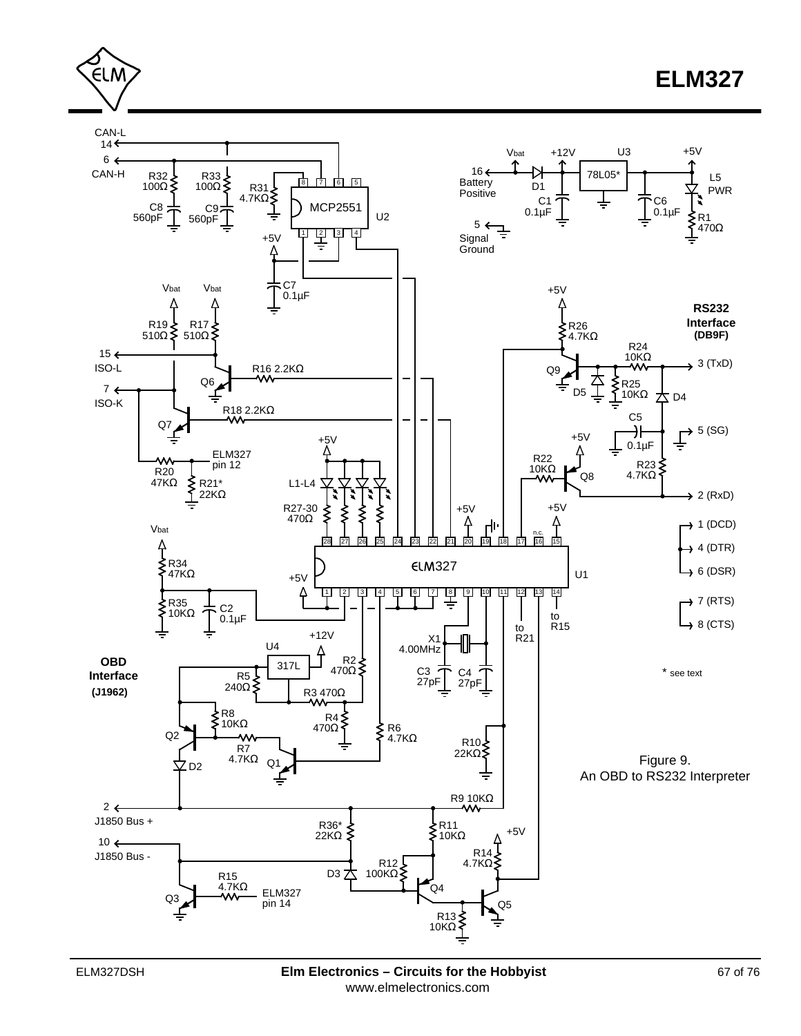



<span id="page-66-0"></span>∈LM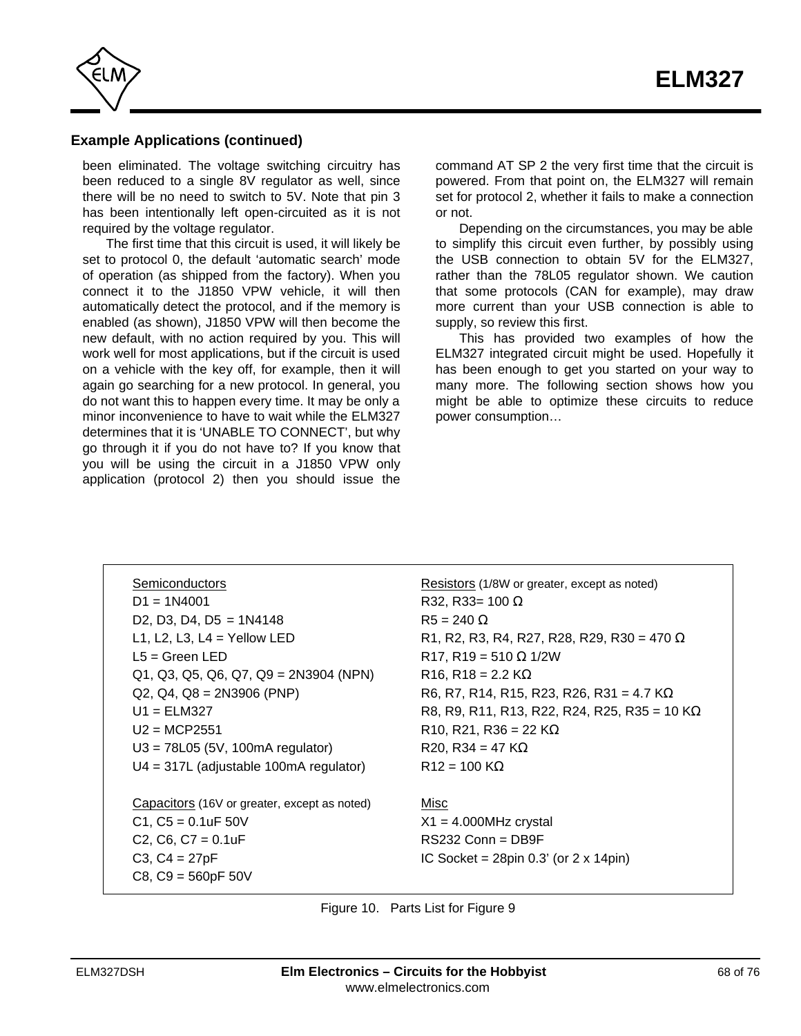

## **Example Applications (continued)**

been eliminated. The voltage switching circuitry has been reduced to a single 8V regulator as well, since there will be no need to switch to 5V. Note that pin 3 has been intentionally left open-circuited as it is not required by the voltage regulator.

The first time that this circuit is used, it will likely be set to protocol 0, the default 'automatic search' mode of operation (as shipped from the factory). When you connect it to the J1850 VPW vehicle, it will then automatically detect the protocol, and if the memory is enabled (as shown), J1850 VPW will then become the new default, with no action required by you. This will work well for most applications, but if the circuit is used on a vehicle with the key off, for example, then it will again go searching for a new protocol. In general, you do not want this to happen every time. It may be only a minor inconvenience to have to wait while the ELM327 determines that it is 'UNABLE TO CONNECT', but why go through it if you do not have to? If you know that you will be using the circuit in a J1850 VPW only application (protocol 2) then you should issue the

command AT SP 2 the very first time that the circuit is powered. From that point on, the ELM327 will remain set for protocol 2, whether it fails to make a connection or not.

Depending on the circumstances, you may be able to simplify this circuit even further, by possibly using the USB connection to obtain 5V for the ELM327, rather than the 78L05 regulator shown. We caution that some protocols (CAN for example), may draw more current than your USB connection is able to supply, so review this first.

This has provided two examples of how the ELM327 integrated circuit might be used. Hopefully it has been enough to get you started on your way to many more. The following section shows how you might be able to optimize these circuits to reduce power consumption…

| Semiconductors                                                               |
|------------------------------------------------------------------------------|
| $D1 = 1N4001$                                                                |
| D <sub>2</sub> , D <sub>3</sub> , D <sub>4</sub> , D <sub>5</sub> = $1N4148$ |
| L1, L2, L3, L4 = Yellow LED                                                  |
| L5 = Green LED                                                               |
| $Q1, Q3, Q5, Q6, Q7, Q9 = 2N3904 (NPN)$                                      |
| $Q2, Q4, Q8 = 2N3906 (PNP)$                                                  |
| $U1 = FLM327$                                                                |
| $U2 = MCP2551$                                                               |
| $U3 = 78L05$ (5V, 100mA regulator)                                           |
| $U4 = 317L$ (adjustable 100mA regulator)                                     |
|                                                                              |
| Capacitors (16V or greater, except as noted)                                 |
| $C1, C5 = 0.1$ uF 50V                                                        |
| $C2, C6, C7 = 0.1uF$                                                         |
| $C3, C4 = 27pF$                                                              |
| $C8, C9 = 560pF 50V$                                                         |

Resistors (1/8W or greater, except as noted) R32, R33= 100  $R5 = 240$ R1, R2, R3, R4, R27, R28, R29, R30 = 470  $R17, R19 = 510$  1/2W  $R16, R18 = 2.2 K$ R6, R7, R14, R15, R23, R26, R31 = 4.7 K R8, R9, R11, R13, R22, R24, R25, R35 = 10 K  $R10, R21, R36 = 22 K$ R20, R34 = 47 K  $R12 = 100 K$ 

Misc  $X1 = 4.000MHz$  crystal RS232 Conn = DB9F IC Socket =  $28pin\ 0.3'$  (or  $2 \times 14pin$ )

Figure 10. Parts List for Figure 9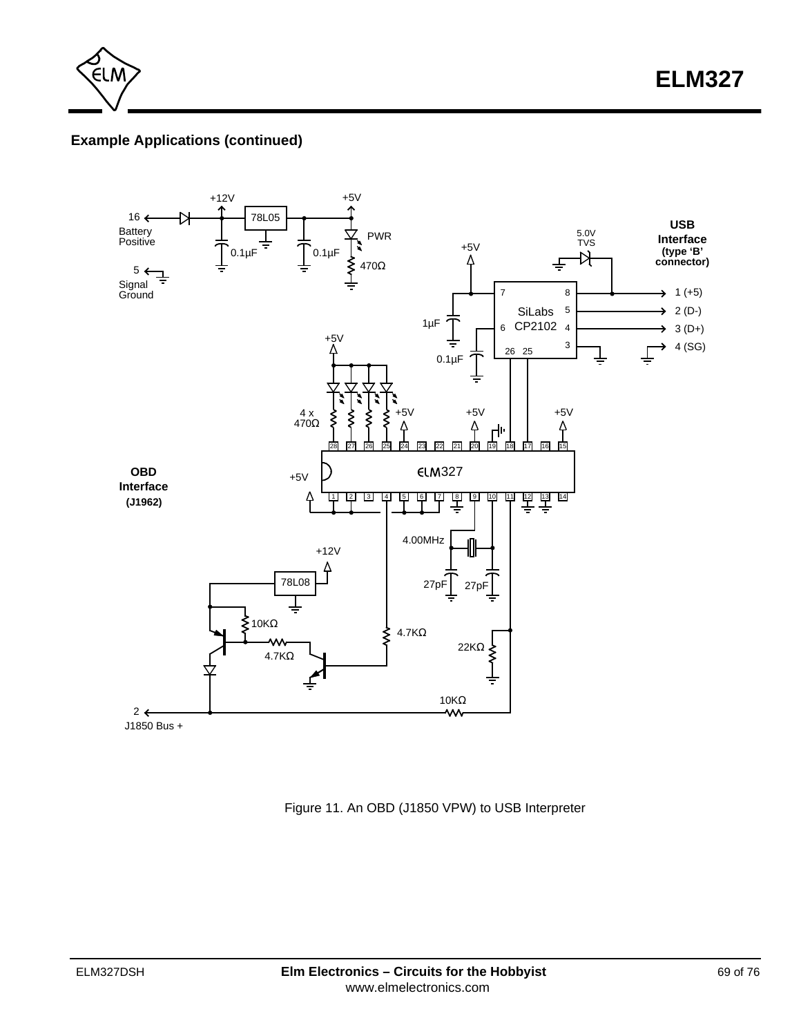

# **Example Applications (continued)**



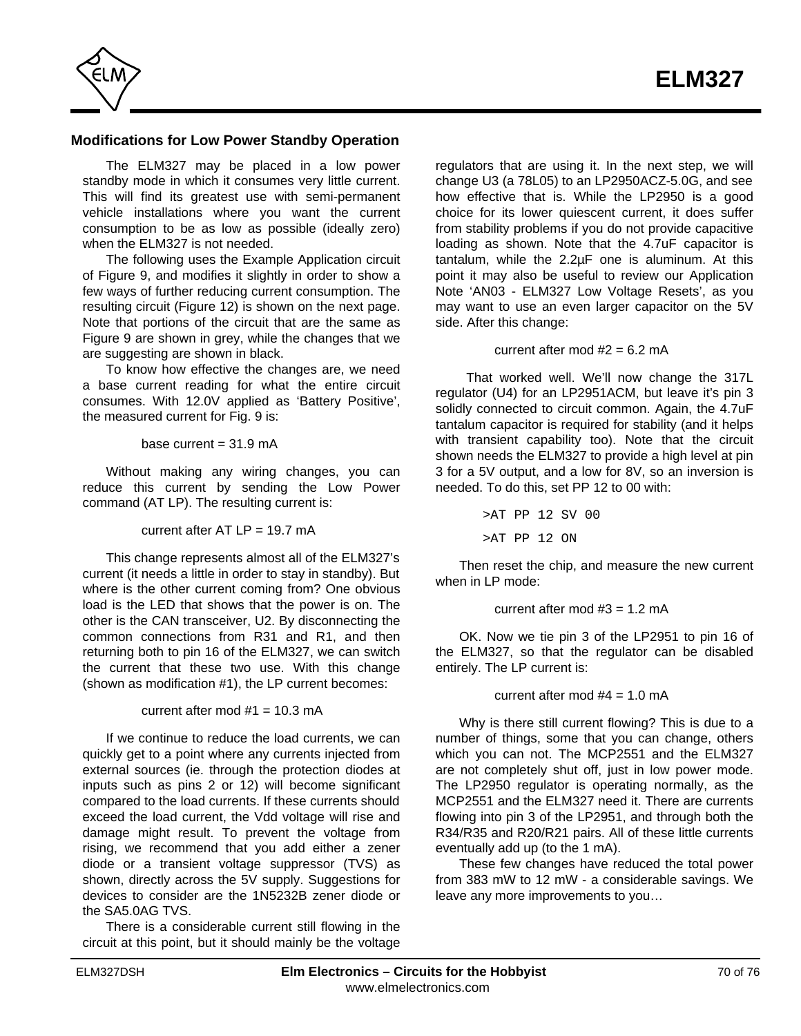<span id="page-69-0"></span>

## **Modifications for Low Power Standby Operation**

The ELM327 may be placed in a low power standby mode in which it consumes very little current. This will find its greatest use with semi-permanent vehicle installations where you want the current consumption to be as low as possible (ideally zero) when the ELM327 is not needed.

The following uses the Example Application circuit of Figure 9, and modifies it slightly in order to show a few ways of further reducing current consumption. The resulting circuit [\(Figure 12\) is shown on the next page.](#page-70-0) Note that portions of the circuit that are the same as Figure 9 are shown in grey, while the changes that we are suggesting are shown in black.

To know how effective the changes are, we need a base current reading for what the entire circuit consumes. With 12.0V applied as 'Battery Positive', the measured current for Fig. 9 is:

base current  $= 31.9$  mA

Without making any wiring changes, you can reduce this current by sending the Low Power command (AT LP). The resulting current is:

current after  $AT LP = 19.7 mA$ 

This change represents almost all of the ELM327's current (it needs a little in order to stay in standby). But where is the other current coming from? One obvious load is the LED that shows that the power is on. The other is the CAN transceiver, U2. By disconnecting the common connections from R31 and R1, and then returning both to pin 16 of the ELM327, we can switch the current that these two use. With this change (shown as modification #1), the LP current becomes:

current after mod  $#1 = 10.3$  mA

If we continue to reduce the load currents, we can quickly get to a point where any currents injected from external sources (ie. through the protection diodes at inputs such as pins 2 or 12) will become significant compared to the load currents. If these currents should exceed the load current, the Vdd voltage will rise and damage might result. To prevent the voltage from rising, we recommend that you add either a zener diode or a transient voltage suppressor (TVS) as shown, directly across the 5V supply. Suggestions for devices to consider are the 1N5232B zener diode or the SA5.0AG TVS.

There is a considerable current still flowing in the circuit at this point, but it should mainly be the voltage regulators that are using it. In the next step, we will change U3 (a 78L05) to an LP2950ACZ-5.0G, and see how effective that is. While the LP2950 is a good choice for its lower quiescent current, it does suffer from stability problems if you do not provide capacitive loading as shown. Note that the 4.7uF capacitor is tantalum, while the 2.2µF one is aluminum. At this point it may also be useful to review our Application Note 'AN03 - ELM327 Low Voltage Resets', as you may want to use an even larger capacitor on the 5V side. After this change:

current after mod  $#2 = 6.2$  mA

 That worked well. We'll now change the 317L regulator (U4) for an LP2951ACM, but leave it's pin 3 solidly connected to circuit common. Again, the 4.7uF tantalum capacitor is required for stability (and it helps with transient capability too). Note that the circuit shown needs the  $ELM327$  to provide a high level at pin 3 for a 5V output, and a low for 8V, so an inversion is needed. To do this, set PP 12 to 00 with:

> >AT PP 12 SV 00 >AT PP 12 ON

Then reset the chip, and measure the new current when in LP mode:

current after mod  $#3 = 1.2$  mA

OK. Now we tie pin 3 of the LP2951 to pin 16 of the ELM327, so that the regulator can be disabled entirely. The LP current is:

current after mod  $#4 = 1.0$  mA

Why is there still current flowing? This is due to a number of things, some that you can change, others which you can not. The MCP2551 and the ELM327 are not completely shut off, just in low power mode. The LP2950 regulator is operating normally, as the MCP2551 and the ELM327 need it. There are currents flowing into pin 3 of the LP2951, and through both the R34/R35 and R20/R21 pairs. All of these little currents eventually add up (to the 1 mA).

These few changes have reduced the total power from 383 mW to 12 mW - a considerable savings. We leave any more improvements to you…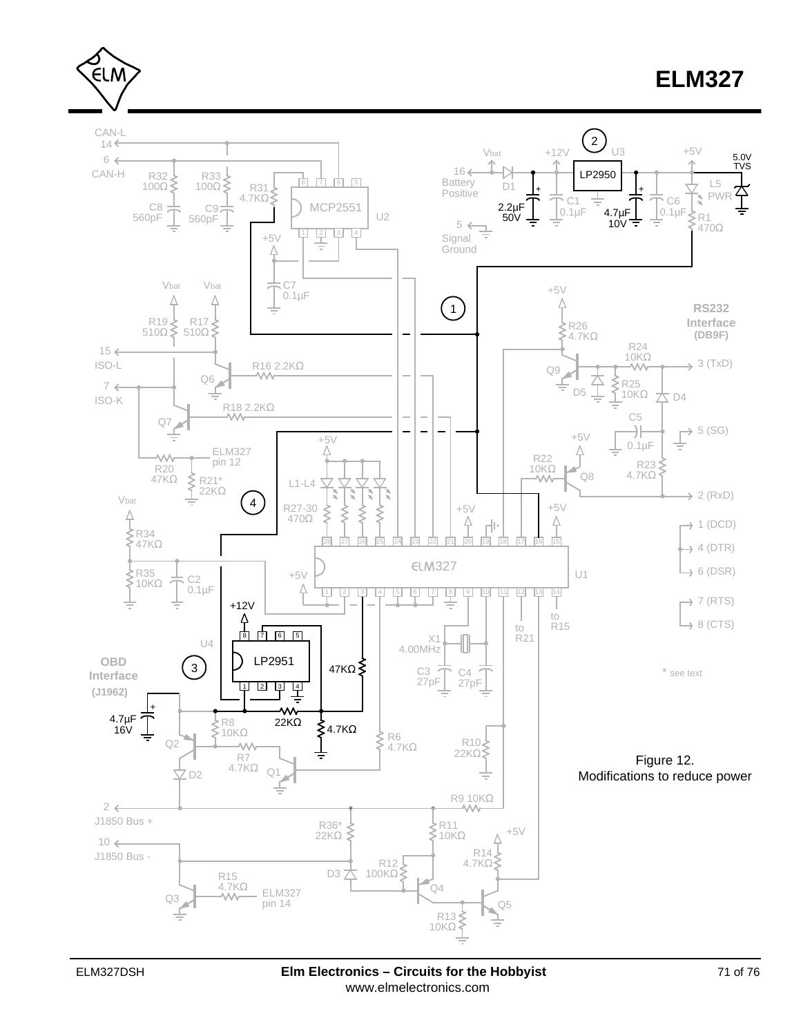<span id="page-70-0"></span>∈LM



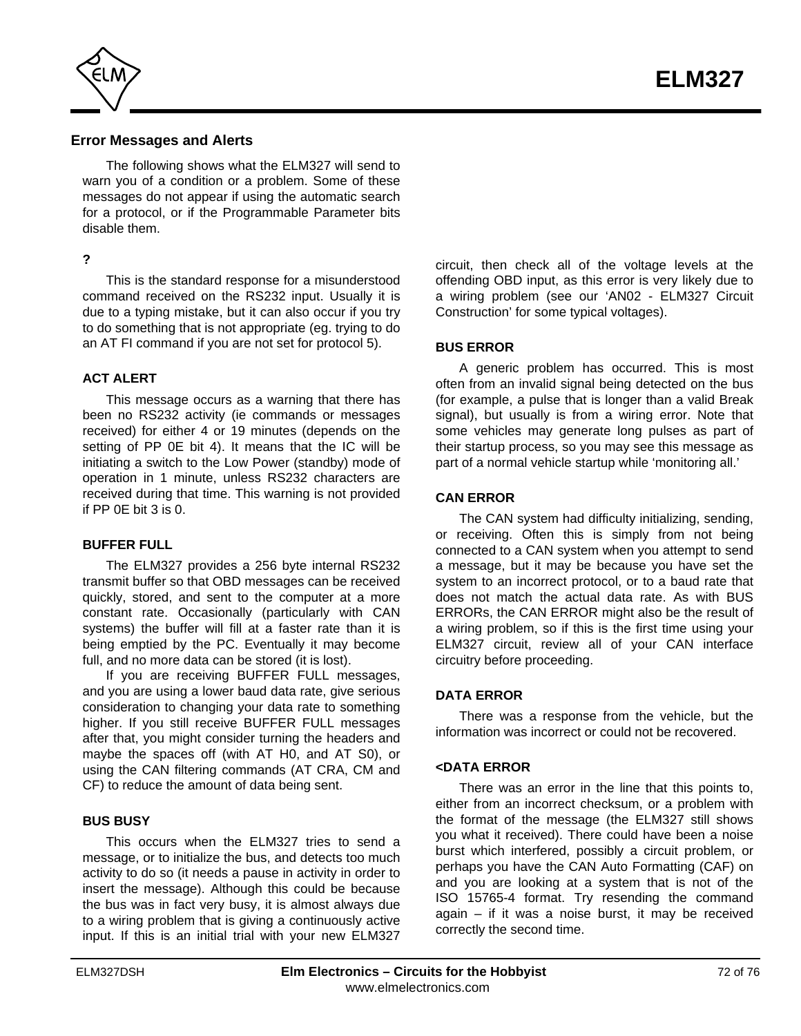

#### **Error Messages and Alerts**

The following shows what the ELM327 will send to warn you of a condition or a problem. Some of these messages do not appear if using the automatic search for a protocol, or if the Programmable Parameter bits disable them.

#### **?**

This is the standard response for a misunderstood command received on the RS232 input. Usually it is due to a typing mistake, but it can also occur if you try to do something that is not appropriate (eg. trying to do an AT FI command if you are not set for protocol 5).

#### **ACT ALERT**

This message occurs as a warning that there has been no RS232 activity (ie commands or messages received) for either 4 or 19 minutes (depends on the setting of PP 0E bit 4). It means that the IC will be initiating a switch to the Low Power (standby) mode of operation in 1 minute, unless RS232 characters are received during that time. This warning is not provided if PP 0E bit 3 is 0.

#### **BUFFER FULL**

The ELM327 provides a 256 byte internal RS232 transmit buffer so that OBD messages can be received quickly, stored, and sent to the computer at a more constant rate. Occasionally (particularly with CAN systems) the buffer will fill at a faster rate than it is being emptied by the PC. Eventually it may become full, and no more data can be stored (it is lost).

If you are receiving BUFFER FULL messages, and you are using a lower baud data rate, give serious consideration to changing your data rate to something higher. If you still receive BUFFER FULL messages after that, you might consider turning the headers and maybe the spaces off (with AT H0, and AT S0), or using the CAN filtering commands (AT CRA, CM and CF) to reduce the amount of data being sent.

#### **BUS BUSY**

This occurs when the ELM327 tries to send a message, or to initialize the bus, and detects too much activity to do so (it needs a pause in activity in order to insert the message). Although this could be because the bus was in fact very busy, it is almost always due to a wiring problem that is giving a continuously active input. If this is an initial trial with your new ELM327 circuit, then check all of the voltage levels at the offending OBD input, as this error is very likely due to a wiring problem (see our 'AN02 - ELM327 Circuit Construction' for some typical voltages).

#### **BUS ERROR**

A generic problem has occurred. This is most often from an invalid signal being detected on the bus (for example, a pulse that is longer than a valid Break signal), but usually is from a wiring error. Note that some vehicles may generate long pulses as part of their startup process, so you may see this message as part of a normal vehicle startup while 'monitoring all.'

#### **CAN ERROR**

The CAN system had difficulty initializing, sending, or receiving. Often this is simply from not being connected to a CAN system when you attempt to send a message, but it may be because you have set the system to an incorrect protocol, or to a baud rate that does not match the actual data rate. As with BUS ERRORs, the CAN ERROR might also be the result of a wiring problem, so if this is the first time using your ELM327 circuit, review all of your CAN interface circuitry before proceeding.

#### **DATA ERROR**

There was a response from the vehicle, but the information was incorrect or could not be recovered.

#### **<DATA ERROR**

There was an error in the line that this points to, either from an incorrect checksum, or a problem with the format of the message (the ELM327 still shows you what it received). There could have been a noise burst which interfered, possibly a circuit problem, or perhaps you have the CAN Auto Formatting (CAF) on and you are looking at a system that is not of the ISO 15765-4 format. Try resending the command again – if it was a noise burst, it may be received correctly the second time.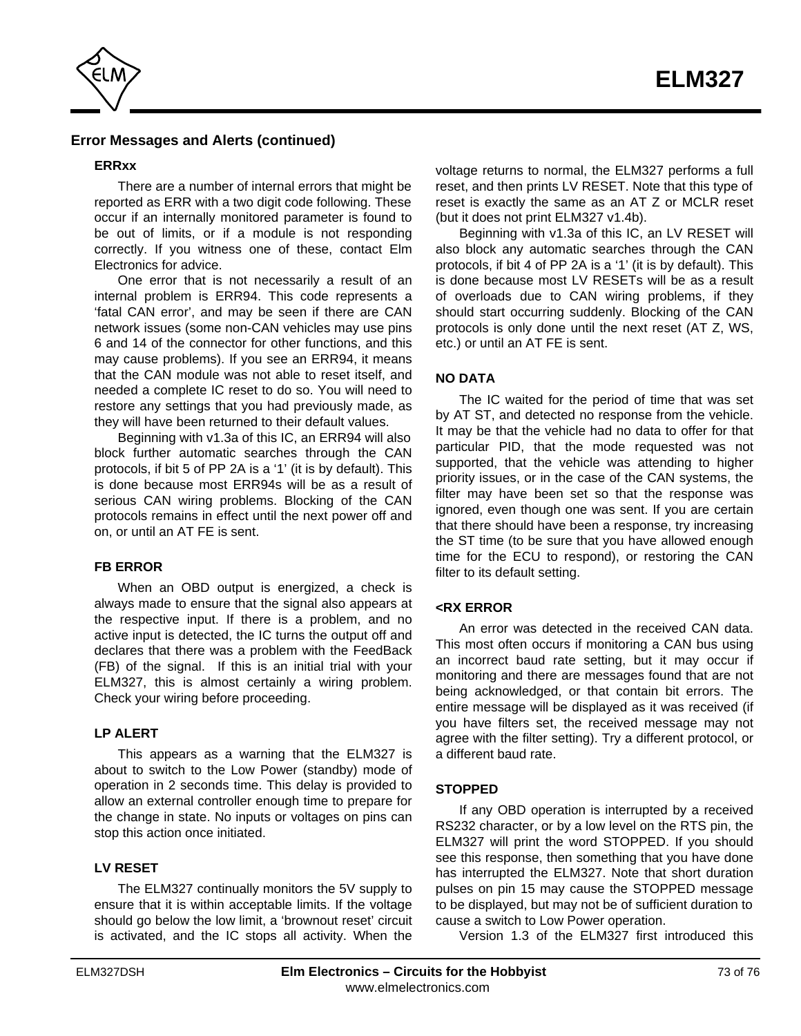

### **Error Messages and Alerts (continued)**

#### **ERRxx**

There are a number of internal errors that might be reported as ERR with a two digit code following. These occur if an internally monitored parameter is found to be out of limits, or if a module is not responding correctly. If you witness one of these, contact Elm Electronics for advice.

One error that is not necessarily a result of an internal problem is ERR94. This code represents a 'fatal CAN error', and may be seen if there are CAN network issues (some non-CAN vehicles may use pins 6 and 14 of the connector for other functions, and this may cause problems). If you see an ERR94, it means that the CAN module was not able to reset itself, and needed a complete IC reset to do so. You will need to restore any settings that you had previously made, as they will have been returned to their default values.

Beginning with v1.3a of this IC, an ERR94 will also block further automatic searches through the CAN protocols, if bit 5 of PP 2A is a '1' (it is by default). This is done because most ERR94s will be as a result of serious CAN wiring problems. Blocking of the CAN protocols remains in effect until the next power off and on, or until an AT FE is sent.

#### **FB ERROR**

When an OBD output is energized, a check is always made to ensure that the signal also appears at the respective input. If there is a problem, and no active input is detected, the IC turns the output off and declares that there was a problem with the FeedBack (FB) of the signal. If this is an initial trial with your ELM327, this is almost certainly a wiring problem. Check your wiring before proceeding.

#### **LP ALERT**

This appears as a warning that the ELM327 is about to switch to the Low Power (standby) mode of operation in 2 seconds time. This delay is provided to allow an external controller enough time to prepare for the change in state. No inputs or voltages on pins can stop this action once initiated.

#### **LV RESET**

The ELM327 continually monitors the 5V supply to ensure that it is within acceptable limits. If the voltage should go below the low limit, a 'brownout reset' circuit is activated, and the IC stops all activity. When the voltage returns to normal, the ELM327 performs a full reset, and then prints LV RESET. Note that this type of reset is exactly the same as an AT Z or MCLR reset (but it does not print ELM327 v1.4b).

Beginning with v1.3a of this IC, an LV RESET will also block any automatic searches through the CAN protocols, if bit 4 of PP 2A is a '1' (it is by default). This is done because most LV RESETs will be as a result of overloads due to CAN wiring problems, if they should start occurring suddenly. Blocking of the CAN protocols is only done until the next reset (AT Z, WS, etc.) or until an AT FE is sent.

#### **NO DATA**

The IC waited for the period of time that was set by AT ST, and detected no response from the vehicle. It may be that the vehicle had no data to offer for that particular PID, that the mode requested was not supported, that the vehicle was attending to higher priority issues, or in the case of the CAN systems, the filter may have been set so that the response was ignored, even though one was sent. If you are certain that there should have been a response, try increasing the ST time (to be sure that you have allowed enough time for the ECU to respond), or restoring the CAN filter to its default setting.

#### **<RX ERROR**

An error was detected in the received CAN data. This most often occurs if monitoring a CAN bus using an incorrect baud rate setting, but it may occur if monitoring and there are messages found that are not being acknowledged, or that contain bit errors. The entire message will be displayed as it was received (if you have filters set, the received message may not agree with the filter setting). Try a different protocol, or a different baud rate.

#### **STOPPED**

If any OBD operation is interrupted by a received RS232 character, or by a low level on the RTS pin, the ELM327 will print the word STOPPED. If you should see this response, then something that you have done has interrupted the ELM327. Note that short duration pulses on pin 15 may cause the STOPPED message to be displayed, but may not be of sufficient duration to cause a switch to Low Power operation.

Version 1.3 of the ELM327 first introduced this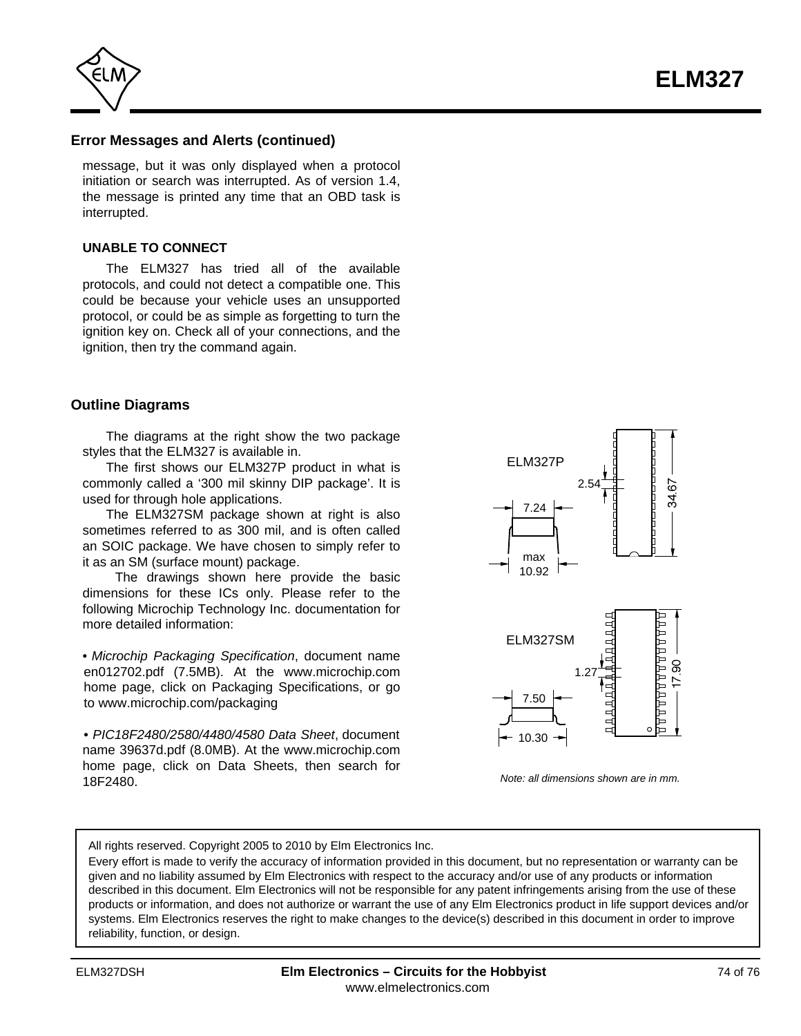<span id="page-73-0"></span>

### **Error Messages and Alerts (continued)**

message, but it was only displayed when a protocol initiation or search was interrupted. As of version 1.4, the message is printed any time that an OBD task is interrupted.

#### **UNABLE TO CONNECT**

The ELM327 has tried all of the available protocols, and could not detect a compatible one. This could be because your vehicle uses an unsupported protocol, or could be as simple as forgetting to turn the ignition key on. Check all of your connections, and the ignition, then try the command again.

#### **Outline Diagrams**

The diagrams at the right show the two package styles that the ELM327 is available in.

The first shows our ELM327P product in what is commonly called a '300 mil skinny DIP package'. It is used for through hole applications.

The ELM327SM package shown at right is also sometimes referred to as 300 mil, and is often called an SOIC package. We have chosen to simply refer to it as an SM (surface mount) package.

 The drawings shown here provide the basic dimensions for these ICs only. Please refer to the following Microchip Technology Inc. documentation for more detailed information:

• *Microchip Packaging Specification*, document name en012702.pdf (7.5MB). At the www.microchip.com home page, click on Packaging Specifications, or go to www.microchip.com/packaging

• *PIC18F2480/2580/4480/4580 Data Sheet*, document name 39637d.pdf (8.0MB). At the www.microchip.com home page, click on Data Sheets, then search for 18F2480.



*Note: all dimensions shown are in mm.*

All rights reserved. Copyright 2005 to 2010 by Elm Electronics Inc.

Every effort is made to verify the accuracy of information provided in this document, but no representation or warranty can be given and no liability assumed by Elm Electronics with respect to the accuracy and/or use of any products or information described in this document. Elm Electronics will not be responsible for any patent infringements arising from the use of these products or information, and does not authorize or warrant the use of any Elm Electronics product in life support devices and/or systems. Elm Electronics reserves the right to make changes to the device(s) described in this document in order to improve reliability, function, or design.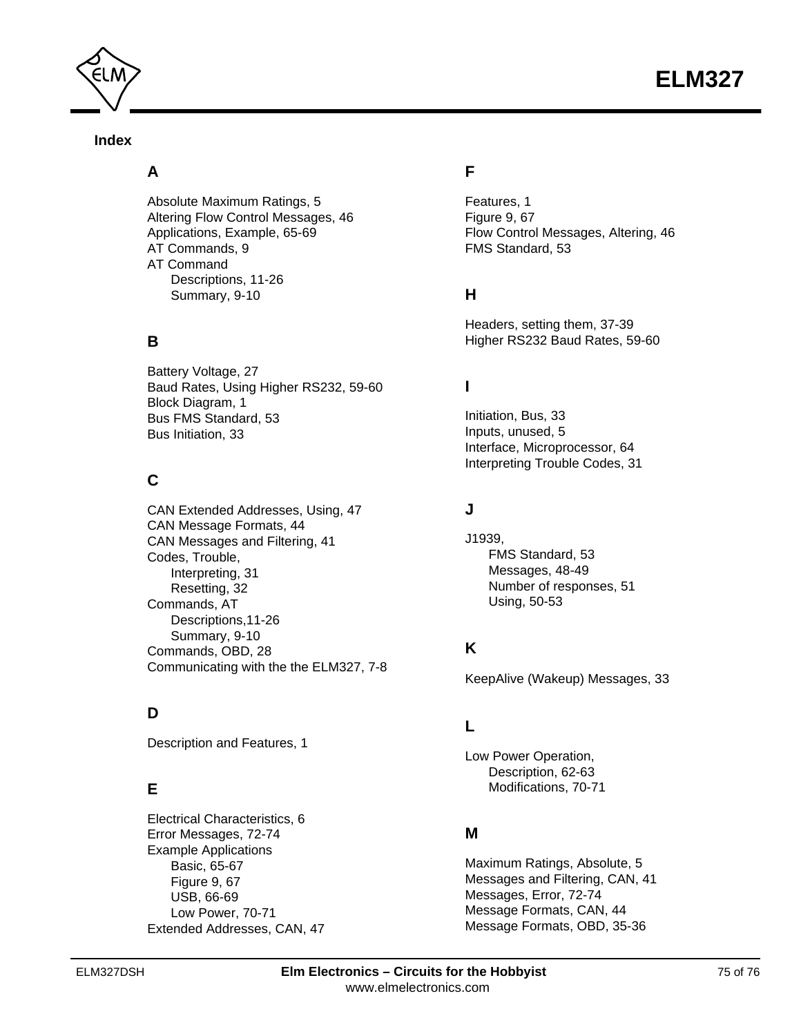



### **Index**

## **A**

[Absolute Maximum Ratings, 5](#page-4-0) [Altering Flow Control Messages, 46](#page-45-0) [Applications, Example, 65-69](#page-64-0) [AT Commands, 9](#page-8-0) AT Command [Descriptions, 11-26](#page-10-0) [Summary, 9-10](#page-8-0)

## **B**

[Battery Voltage, 27](#page-26-0) [Baud Rates, Using Higher RS232, 59-60](#page-58-0) [Block Diagram, 1](#page-0-0) [Bus FMS Standard, 53](#page-52-0) [Bus Initiation, 33](#page-32-0)

# **C**

[CAN Extended Addresses, Using, 47](#page-46-0) [CAN Message Formats, 44](#page-43-0) [CAN Messages and Filtering, 41](#page-40-0) Codes, Trouble, [Interpreting, 31](#page-30-0) [Resetting, 32](#page-31-0) Commands, AT [Descriptions,11-26](#page-10-0) [Summary, 9-10](#page-8-0) [Commands, OBD, 28](#page-27-0) [Communicating with the the ELM327, 7-8](#page-6-0)

## **D**

[Description and Features, 1](#page-0-0)

## **E**

[Electrical Characteristics, 6](#page-5-0) [Error Messages, 72-74](#page-71-0) Example Applications [Basic, 65-67](#page-64-0) [Figure 9, 67](#page-66-0) [USB, 66-69](#page-65-0) [Low Power, 70-71](#page-69-0) [Extended Addresses, CAN, 47](#page-46-0)

# **F**

[Features, 1](#page-0-0) [Figure 9, 67](#page-66-0) [Flow Control Messages, Altering, 46](#page-45-0) [FMS Standard, 53](#page-52-0)

# **H**

[Headers, setting them, 37-39](#page-36-0) [Higher RS232 Baud Rates, 59-60](#page-58-0)

## **I**

[Initiation, Bus, 33](#page-32-0) [Inputs, unused, 5](#page-4-0) [Interface, Microprocessor, 64](#page-63-0) [Interpreting Trouble Codes, 31](#page-30-0)

## **J**

J1939, [FMS Standard, 53](#page-52-0) [Messages, 48-49](#page-47-0) [Number of responses, 51](#page-50-0) [Using, 50-53](#page-49-0)

# **K**

[KeepAlive \(Wakeup\) Messages, 33](#page-32-0)

# **L**

Low Power Operation, [Description, 62-63](#page-61-0) [Modifications, 70-71](#page-69-0)

## **M**

[Maximum Ratings, Absolute, 5](#page-4-0) [Messages and Filtering, CAN, 41](#page-40-0) [Messages, Error, 72-74](#page-71-0) [Message Formats, CAN, 44](#page-43-0) [Message Formats, OBD, 35-36](#page-34-0)